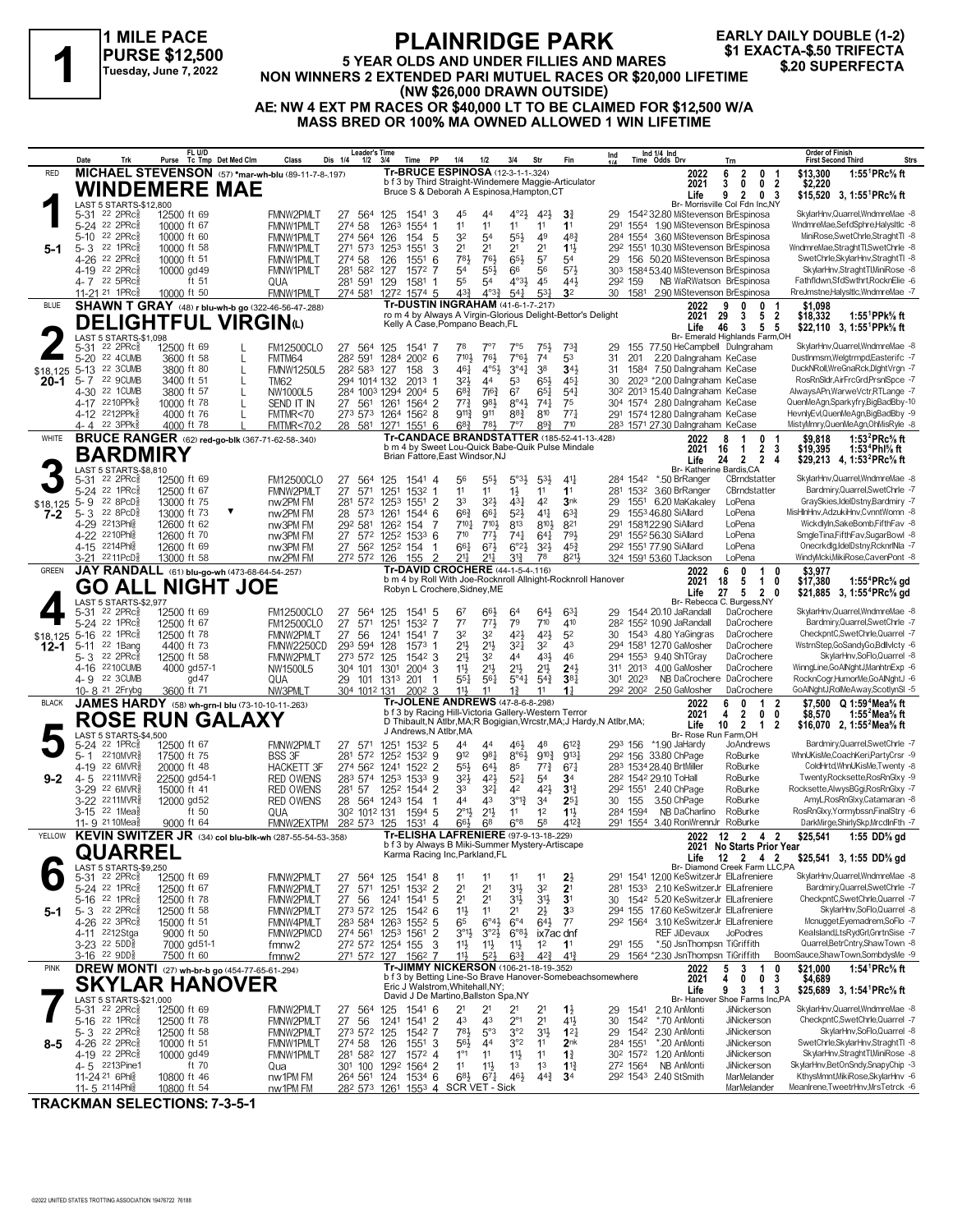### **1 MILE PACE PURSE \$12,500 Tuesday, June 7, 2022**

### **PLAINRIDGE PARK 5 YEAR OLDS AND UNDER FILLIES AND MARES NON WINNERS 2 EXTENDED PARIT AND SEXACTA-\$.50 TRIFECTA**<br>
Tuesday, June 7, 2022 NON WINNERS 2 EXTENDED PARI MUTUEL RACES OR \$20,000 LIFETIME<br>
(NON \$36,000 DRAWN OUTSIDE) **(NW \$26,000 DRAWN OUTSIDE) AE: NW 4 EXT PM RACES OR \$40,000 LT TO BE CLAIMED FOR \$12,500 W/A MASS BRED OR 100% MA OWNED ALLOWED 1 WIN LIFETIME EARLY DAILY DOUBLE (1-2)**

|                  | Date            | Leader's Time<br>Dis 1/4<br>$1/2$ $3/4$                          |                                                         | Time PP                                            | 1/4                                                       | 1/2                                                           | 3/4      | Str                              |                                                                                          | Ind                                    |                                    | Ind 1/4 Ind<br>Time Odds Drv       | Trr                                                                                                    | <b>Order of Finish</b><br><b>First Second Third</b><br>Strs |                                  |                                                                                          |                                                                   |                                                                                                           |
|------------------|-----------------|------------------------------------------------------------------|---------------------------------------------------------|----------------------------------------------------|-----------------------------------------------------------|---------------------------------------------------------------|----------|----------------------------------|------------------------------------------------------------------------------------------|----------------------------------------|------------------------------------|------------------------------------|--------------------------------------------------------------------------------------------------------|-------------------------------------------------------------|----------------------------------|------------------------------------------------------------------------------------------|-------------------------------------------------------------------|-----------------------------------------------------------------------------------------------------------|
| <b>RED</b>       |                 |                                                                  |                                                         | MICHAEL STEVENSON (57) *mar-wh-blu (89-11-7-8-197) |                                                           |                                                               |          | Tr-BRUCE ESPINOSA (12-3-1-1-324) |                                                                                          |                                        |                                    |                                    |                                                                                                        |                                                             | 2022                             | $\overline{2}$<br>6<br>0                                                                 | 1:55 ${}^1$ PRc ${}^5\!$ ft<br>\$13,300<br>-1                     |                                                                                                           |
|                  |                 |                                                                  | WINDEMERE MAE                                           |                                                    |                                                           |                                                               |          |                                  | Bruce S & Deborah A Espinosa, Hampton, CT                                                |                                        |                                    |                                    | b f 3 by Third Straight-Windemere Maggie-Articulator                                                   |                                                             |                                  | 2021<br>Life                                                                             | 0<br>0 <sub>2</sub><br>3<br>9<br>$\overline{2}$<br>0 <sup>3</sup> | \$2,220<br>\$15,520 3, 1:55 <sup>1</sup> PRc <sup>5</sup> / <sub>8</sub> ft                               |
|                  |                 | LAST 5 STARTS-\$12,800                                           |                                                         |                                                    |                                                           |                                                               |          |                                  |                                                                                          |                                        |                                    |                                    |                                                                                                        |                                                             |                                  |                                                                                          | Br- Morrisville Col Fdn Inc,NY                                    |                                                                                                           |
|                  | 5-31            | $22$ 2PR $c_{8}^5$                                               | 12500 ft 69                                             |                                                    | <b>FMNW2PMLT</b>                                          | 27 564 125                                                    |          | 1541                             | 45<br>3                                                                                  | 44                                     | $4^{\circ}2\frac{1}{2}$            | 421                                | $3\frac{3}{4}$                                                                                         | 29                                                          |                                  | 1542 32.80 MiStevenson BrEspinosa                                                        |                                                                   | SkylarHnv, Quarrel, WndmreMae -8                                                                          |
|                  | $5 - 10$        | 5-24 22 2PRc<br>22 2PRc3                                         | 10000 ft 67<br>10000 ft 60                              |                                                    | <b>FMNW1PMLT</b><br><b>FMNW1PMLT</b>                      | 274 58<br>274 564 126                                         | 1263     | 1554<br>1<br>154<br>-5           | 11<br>32                                                                                 | 11<br>54                               | 11<br>$55\frac{1}{2}$              | 11<br>49                           | 1 <sup>1</sup><br>48 <sup>3</sup>                                                                      | 291                                                         |                                  | 1554 1.90 MiStevenson BrEspinosa<br>284 1554 3.60 MiStevenson BrEspinosa                 |                                                                   | WndmreMae,SefdSphre,HalysItlc -8<br>MiniRose,SwetChrle,StraghtTl -8                                       |
| 5-1              |                 | 5-3 22 1PRc <sup>5</sup>                                         | 10000 ft 58                                             |                                                    | <b>FMNW1PMLT</b>                                          | 271 573                                                       | 1253     | 1551                             | 2 <sup>1</sup><br>3                                                                      | 2 <sup>1</sup>                         | 2 <sup>1</sup>                     | 2 <sup>1</sup>                     | $11\frac{1}{2}$                                                                                        |                                                             |                                  | 292 1551 10.30 MiStevenson BrEspinosa                                                    |                                                                   | WndmreMae.StraghtTl.SwetChrle -8                                                                          |
|                  |                 | 4-26 22 2PRcs                                                    | 10000 ft 51                                             |                                                    | <b>FMNW1PMLT</b>                                          | 274 58                                                        | 126      | 1551                             | 781<br>6                                                                                 | 76}                                    | $65\frac{1}{2}$                    | 5 <sup>7</sup>                     | 5 <sup>4</sup>                                                                                         | 29                                                          |                                  | 156 50.20 MiStevenson BrEspinosa                                                         |                                                                   | SwetChrle, SkylarHnv, Straght TI -8                                                                       |
|                  | $4 - 19$        | 22 2PRc3                                                         | 10000 gd 49                                             |                                                    | <b>FMNW1PMLT</b>                                          | 281 582                                                       | 127      | 1572 7                           | 54                                                                                       | 55}                                    | 66                                 | 56                                 | 573                                                                                                    | 303                                                         |                                  | 1584 53.40 MiStevenson BrEspinosa                                                        |                                                                   | SkylarHnv,StraghtTl,MiniRose -8                                                                           |
|                  |                 | 4-7 22 5PRc<br>11-21 <sup>21</sup> 1PRc <sup>3</sup>             | ft 51<br>10000 ft 50                                    |                                                    | QUA<br>FMNW1PMLT                                          | 281 591<br>274 581 1272 1574 5                                | 129      | 1581                             | 55<br>$4^{3}\frac{3}{4}$                                                                 | 54<br>$4^{0.33}$                       | $4^{\circ}3\frac{1}{2}$<br>$5^{4}$ | 45<br>$5^{3}$                      | 44}<br>3 <sup>2</sup>                                                                                  | 292 159<br>30                                               |                                  | NB WaRWatson BrEspinosa<br>1581 2.90 MiStevenson BrEspinosa                              |                                                                   | Fathfldwn,SfdSwthrt,RocknElie -6<br>RreJmstne,HalysItIc,WndmreMae -7                                      |
| <b>BLUE</b>      |                 |                                                                  |                                                         |                                                    | <b>SHAWN T GRAY</b> (48) r blu-wh-b go (322-46-56-47-288) |                                                               |          |                                  | <b>Tr-DUSTIN INGRAHAM (41-6-1-7-.217)</b>                                                |                                        |                                    |                                    |                                                                                                        |                                                             |                                  | 2022                                                                                     | 9<br>0<br>0                                                       | \$1,098<br>-1                                                                                             |
|                  |                 |                                                                  |                                                         |                                                    |                                                           |                                                               |          |                                  |                                                                                          |                                        |                                    |                                    | ro m 4 by Always A Virgin-Glorious Delight-Bettor's Delight                                            |                                                             |                                  | 2021                                                                                     | 29<br>5<br>3                                                      | $\overline{\mathbf{2}}$<br>\$18,332<br>1:55 PPk% ft                                                       |
|                  |                 |                                                                  | <b>DELIGHTFUL VIRGIN</b> W                              |                                                    |                                                           |                                                               |          |                                  | Kelly A Case, Pompano Beach, FL                                                          |                                        |                                    |                                    |                                                                                                        |                                                             |                                  | Life                                                                                     | 46<br>3<br>5 <sub>5</sub>                                         | \$22,110 3, 1:55 <sup>1</sup> PPk% ft                                                                     |
|                  |                 | LAST 5 STARTS-\$1,098<br>5-31 <sup>22</sup> 2PRc <sup>5</sup>    | 12500 ft 69                                             |                                                    | <b>FM12500CLO</b>                                         | 27 564 125                                                    |          | 1541                             | 78                                                                                       | $7^{\circ}7$                           | 7°5                                | 751                                | $73\frac{3}{4}$                                                                                        | 29                                                          |                                  | 155 77.50 HeCampbell Dulngraham                                                          | Br- Emerald Highlands Farm, OH                                    | SkylarHnv, Quarrel, WndmreMae -8                                                                          |
|                  |                 | 5-20 22 4CUMB                                                    | 3600 ft 58                                              | L                                                  | FMTM64                                                    | 282 591                                                       |          | 1284 2002 6                      | $7^{10}$                                                                                 | 76}                                    | $7°6\frac{1}{2}$                   | 74                                 | 53                                                                                                     | 31                                                          | 201                              | 2.20 Dalngraham KeCase                                                                   |                                                                   | DustInmsm, Welgtrmpd, Easterifc -7                                                                        |
| \$18,125         |                 | 5-13 22 3CUMB                                                    | 3800 ft 80                                              | L                                                  | <b>FMNW1250L5</b>                                         | 282 583 127                                                   |          | 158                              | 461<br>3                                                                                 | $4^{\circ}5\frac{1}{2}$                | 3°41                               | 38                                 | 34 <sup>1</sup>                                                                                        | 31                                                          |                                  | 1584 7.50 Dalngraham KeCase                                                              |                                                                   | DuckNRoll, WreGnaRck, DightVrgn -7                                                                        |
| 20-1             | $5 - 7$         | 22 9CUMB<br>4-30 22 1CUMB                                        | 3400 ft 51<br>3800 ft 57                                | L                                                  | <b>TM62</b><br>NW1000L5                                   | 294 1014 132<br>284 1003 1294                                 |          | $201^3$ 1<br>$2004$ 5            | $3^{21}$<br>$68\frac{3}{4}$                                                              | 44<br>$7^{6}3$                         | 53<br>67                           | $65\frac{1}{2}$<br>$65\frac{1}{4}$ | $45\frac{1}{4}$<br>$5^{4}$                                                                             | 30                                                          |                                  | 2023 *2.00 Dalngraham KeCase<br>30 <sup>2</sup> 201 <sup>3</sup> 15.40 Dalngraham KeCase |                                                                   | RosRnSldr, AirFrcGrd, PrsnlSpce -7<br>AlwaysAPn, WarweVctr, RTLange -7                                    |
|                  |                 | 4-17 2210PPk                                                     | 10000 ft 78                                             | L                                                  | SEND IT IN                                                | 27 561 1261                                                   |          | 1564 2                           | $77\frac{3}{4}$                                                                          | 981                                    | $8^{\circ}4\frac{1}{2}$            | $74\frac{1}{4}$                    | 75                                                                                                     |                                                             |                                  | 304 1574 2.80 Dalngraham KeCase                                                          |                                                                   | QuenMeAgn,Sparkyfry,BigBadBby-10                                                                          |
|                  |                 | 4-12 2212PPk                                                     | 4000 ft 76                                              | L                                                  | FMTMR<70                                                  | 273 573 1264 1562 8                                           |          |                                  | $9^{11}\frac{3}{4}$                                                                      | 911                                    | $8^{8}$                            | 810                                | $77\frac{1}{4}$                                                                                        |                                                             |                                  | 291 1574 12.80 Dalngraham KeCase                                                         |                                                                   | HevnlyEvl,QuenMeAgn,BigBadBby -9                                                                          |
|                  |                 | 4-4 22 3PPk <sup>5</sup>                                         | 4000 ft 78                                              |                                                    | <b>FMTMR&lt;70.2</b>                                      | 28 581 1271 1551 6                                            |          |                                  | $6^{8}3$                                                                                 | 783                                    | 7°7                                | 893                                | 710                                                                                                    |                                                             |                                  | 283 1571 27.30 Dalngraham KeCase                                                         |                                                                   | MistyMmry,QuenMeAgn,OhMisRyle -8                                                                          |
| <b>WHITE</b>     |                 |                                                                  | <b>BRUCE RANGER</b> (62) red-go-blk (367-71-62-58-.340) |                                                    |                                                           |                                                               |          |                                  |                                                                                          |                                        |                                    |                                    | <b>Tr-CANDACE BRANDSTATTER (185-52-41-13-.428)</b><br>b m 4 by Sweet Lou-Quick Babe-Quik Pulse Mindale |                                                             |                                  | 2022                                                                                     | 8<br>1<br>0<br>$\overline{2}$<br>16<br>$\overline{1}$             | 1:53 <sup>2</sup> PRc <sup>5</sup> / <sub>8</sub> ft<br>\$9.818                                           |
|                  |                 | <b>BARDMIRY</b>                                                  |                                                         |                                                    |                                                           |                                                               |          |                                  | Brian Fattore, East Windsor, NJ                                                          |                                        |                                    |                                    |                                                                                                        |                                                             |                                  | 2021<br>Life                                                                             | 24 2<br>$\overline{2}$                                            | - 3<br>\$19,395<br>1:53 Phl% ft<br>-4<br>\$29,213 4, 1:53 <sup>2</sup> PRc <sup>5</sup> / <sub>8</sub> ft |
|                  |                 | LAST 5 STARTS-\$8,810                                            |                                                         |                                                    |                                                           |                                                               |          |                                  |                                                                                          |                                        |                                    |                                    |                                                                                                        |                                                             |                                  | Br- Katherine Bardis, CA                                                                 |                                                                   |                                                                                                           |
|                  | 5-31            | $22$ 2PR $c_{8}$<br>5-24 22 1PRc <sup>5</sup>                    | 12500 ft 69<br>12500 ft 67                              |                                                    | <b>FM12500CLO</b><br>FMNW2PMLT                            | 27 564 125<br>27<br>571                                       | 1251     | 1541 4<br>1532 1                 | 56<br>11                                                                                 | $55\frac{1}{2}$<br>11                  | $5°3\frac{1}{2}$<br>$1\frac{1}{2}$ | $5^{3}$<br>11                      | $4^{11}$<br>1 <sup>1</sup>                                                                             |                                                             | 284 1542                         | *.50 BrRanger<br>281 1532 3.60 BrRanger                                                  | CBrndstatter<br>CBrndstatter                                      | SkylarHnv, Quarrel, WndmreMae -8<br>Bardmiry, Quarrel, SwetChrle -7                                       |
|                  | $5 - 9$         | 22 8PcD                                                          | 13000 ft 75                                             |                                                    | nw2PM FM                                                  | 281                                                           |          | 572 1253 1551 2                  | 33                                                                                       | $3^{21}$                               | $43\frac{1}{4}$                    | 42                                 | 3nk                                                                                                    | 29                                                          |                                  | 1551 6.20 MaKakaley                                                                      | LoPena                                                            | GraySkies,IdelDstny,Bardmiry -7                                                                           |
| $$18,125$<br>7-2 |                 | 5-3 22 8PcD <sup>5</sup>                                         | 13000 ft 73                                             | ▼                                                  | nw2PM FM                                                  | 28 573 1261                                                   |          | 1544 6                           | $66\frac{3}{4}$                                                                          | 661                                    | $5^{21}$                           | $4^{11}$                           | $63\frac{3}{4}$                                                                                        | 29                                                          |                                  | 1553 46.80 SiAllard                                                                      | LoPena                                                            | MisHlnHnv,AdzukiHnv,CvnntWomn -8                                                                          |
|                  |                 | 4-29 2213Ph                                                      | 12600 ft 62                                             |                                                    | nw3PM FM                                                  | 292 581                                                       | 1262 154 | 7                                | 7101                                                                                     | 7101                                   | 813                                | 810}                               | 821                                                                                                    |                                                             |                                  | 291 158122.90 SiAllard                                                                   | LoPena                                                            | WickdlyIn,SakeBomb,FifthFav -8                                                                            |
|                  |                 | 4-22 2210Phlg<br>4-15 2214Phlg                                   | 12600 ft 70                                             |                                                    | nw3PM FM                                                  | 27                                                            |          | 572 1252 1533 6                  | $7^{10}$                                                                                 | $77\frac{1}{2}$                        | $74\frac{1}{4}$                    | $64\frac{1}{4}$                    | 791                                                                                                    | 291                                                         |                                  | 1552 56.30 SiAllard                                                                      | LoPena<br>LoPena                                                  | SmgleTina,FifthFav,SugarBowl -8<br>Onecrkdlg,IdelDstny,RcknrlNla -7                                       |
|                  |                 | 3-21 2211PcD <sup>3</sup>                                        | 12600 ft 69<br>13000 ft 58                              |                                                    | nw3PM FM<br>nw2PM FM                                      | 27 562 1252 154<br>272 572 126                                |          | -1<br>155                        | 661<br>2<br>211                                                                          | $6^{7}\frac{1}{2}$<br>$21\frac{1}{2}$  | $6^{o}2\frac{1}{2}$<br>$3^{13}$    | $3^{2}\frac{1}{2}$<br>78           | $45\frac{3}{4}$<br>821}                                                                                |                                                             |                                  | 292 1551 77.90 SiAllard<br>324 1591 53.60 TJackson                                       | LoPena                                                            | WindvMcki.MikiRose.CavenPont -8                                                                           |
| <b>GREEN</b>     |                 |                                                                  | JAY RANDALL (61) blu-go-wh (473-68-64-54-257)           |                                                    |                                                           |                                                               |          |                                  | Tr-DAVID CROCHERE (44-1-5-4-116)                                                         |                                        |                                    |                                    |                                                                                                        |                                                             |                                  | 2022                                                                                     | 0<br>6<br>10                                                      | \$3,977                                                                                                   |
|                  |                 |                                                                  | <b>GO ALL NIGHT JOE</b>                                 |                                                    |                                                           |                                                               |          |                                  | Robyn L Crochere, Sidney, ME                                                             |                                        |                                    |                                    | b m 4 by Roll With Joe-Rocknroll Allnight-Rocknroll Hanover                                            |                                                             |                                  | 2021                                                                                     | 18<br>5<br>1                                                      | \$17,380<br>1:55 <sup>4</sup> $PRc$ <sup>5</sup> / <sub>8</sub> gd<br>0                                   |
|                  |                 | LAST 5 STARTS-\$2,977                                            |                                                         |                                                    |                                                           |                                                               |          |                                  |                                                                                          |                                        |                                    |                                    |                                                                                                        |                                                             |                                  | Life                                                                                     | 5<br>27<br>20<br>Br- Rebecca C. Burgess, NY                       | \$21,885 3, 1:55 <sup>*</sup> PRc <sup>5</sup> / <sub>8</sub> gd                                          |
|                  | $5 - 31$        | 22 2PRc <sup>3</sup>                                             | 12500 ft 69                                             |                                                    | <b>FM12500CLO</b>                                         | 27<br>564                                                     | 125      | 1541 5                           |                                                                                          | 663                                    | 64                                 | 64}                                | $63\frac{1}{4}$                                                                                        | 29                                                          |                                  | 1544 20.10 JaRandall                                                                     | DaCrochere                                                        | SkylarHnv, Quarrel, WndmreMae -8                                                                          |
|                  |                 | 5-24 22 1PRc <sup>5</sup>                                        | 12500 ft 67                                             |                                                    | <b>FM12500CLO</b>                                         | 27<br>571                                                     | 1251     | 1532 7                           | $7^7$                                                                                    | $77\frac{1}{2}$                        | 79                                 | 710                                | 410                                                                                                    |                                                             |                                  | 28 <sup>2</sup> 155 <sup>2</sup> 10.90 JaRandall                                         | DaCrochere                                                        | Bardmiry, Quarrel, SwetChrle -7                                                                           |
| \$18,125         | $5 - 16$        | 22 $1$ PR $c_{8}$<br>22 1Bang                                    | 12500 ft 78<br>4400 ft 73                               |                                                    | FMNW2PMLT                                                 | 56<br>27<br>293 594 128                                       | 1241     | 1541 7<br>-1                     | 32<br>213                                                                                | 32<br>$21\frac{1}{2}$                  | 421<br>3 <sup>2</sup>              | $42\frac{1}{2}$<br>32              | 5 <sup>2</sup><br>43                                                                                   | 30                                                          |                                  | 1543 4.80 YaGingras<br>294 1581 12.70 GaMosher                                           | DaCrochere<br>DaCrochere                                          | CheckpntC,SwetChrle,Quarrel -7<br>WstrnStep,GoSandyGo,Bdllvlcty -6                                        |
| $12 - 1$         | $5 - 11$<br>5-3 | $22$ 2PR $c_{8}^5$                                               | 12500 ft 58                                             |                                                    | FMNW2250CD<br>FMNW2PMLT                                   | 273 572 125                                                   |          | 1573<br>1542 3                   | 2 <sup>1</sup>                                                                           | 32                                     | 44                                 | 431                                | 46                                                                                                     |                                                             |                                  | 294 1553 9.40 ShTGray                                                                    | DaCrochere                                                        | SkylarHnv,SoFlo,Quarrel -8                                                                                |
|                  |                 | 4-16 2210 CUMB                                                   | 4000 gd57-1                                             |                                                    | NW1500L5                                                  | 304 101 1301                                                  |          | $2004$ 3                         | 11}                                                                                      | $21\frac{1}{2}$                        | $21\frac{1}{2}$                    | 2 <sup>11</sup>                    | $24\frac{1}{2}$                                                                                        |                                                             |                                  | 311 2013 4.00 GaMosher                                                                   | DaCrochere                                                        | WinngLine,GoAlNghtJ,ManhtnExp -6                                                                          |
|                  |                 | 4-9 22 3CUMB                                                     | gd 47                                                   |                                                    | QUA                                                       | 29 101 1313                                                   |          | 201<br>-1                        | $55\frac{1}{4}$                                                                          | 561                                    | $5^{\circ}41$                      | $5^{4^{3}_{4}}$                    | $3^{8}$                                                                                                |                                                             | 301 2023                         | NB DaCrochere DaCrochere                                                                 |                                                                   | RocknCogr,HumorMe,GoAlNghtJ -6                                                                            |
| <b>BLACK</b>     |                 | 10-8 <sup>21</sup> 2Frybg                                        | 3600 ft 71                                              |                                                    | NW3PMLT                                                   | 304 1012 131                                                  |          | $200^2$ 3                        | 11}<br>Tr-JOLENE ANDREWS (47-8-6-8-298)                                                  | 11                                     | $1\frac{3}{4}$                     | 11                                 | 1 <sup>1</sup>                                                                                         |                                                             | 292 2002                         | 2.50 GaMosher                                                                            | DaCrochere                                                        | GoAlNghtJ,RolMeAway,ScotlynSI -5                                                                          |
|                  |                 |                                                                  | JAMES HARDY (58) wh-grn-I blu (73-10-10-11-.263)        |                                                    |                                                           |                                                               |          |                                  | b f 3 by Racing Hill-Victoria Gallery-Western Terror                                     |                                        |                                    |                                    |                                                                                                        |                                                             |                                  | 2022<br>2021                                                                             | 6<br>0<br>1<br>$0\quad 0$<br>4<br>2                               | \$7.500 $Q$ 1:59 <sup>4</sup> Mea <sup>5</sup> / <sub>8</sub> ft<br>2<br>1:55 Mea% ft<br>\$8,570          |
|                  |                 |                                                                  | <b>ROSE RUN GALAXY</b>                                  |                                                    |                                                           |                                                               |          |                                  | J Andrews, N Atlbr, MA                                                                   |                                        |                                    |                                    | D Thibault, N Atlbr, MA; R Bogigian, Wrcstr, MA; J Hardy, N Atlbr, MA;                                 |                                                             |                                  | Life                                                                                     | $\overline{2}$<br>10<br>$\mathbf{1}$                              | 2<br>\$16,070 2, 1:55 <sup>2</sup> Mea <sup>5</sup> / <sub>8</sub> ft                                     |
|                  |                 | LAST 5 STARTS-\$4.500<br>5-24 22 1PRc <sup>5</sup>               | 12500 ft 67                                             |                                                    | FMNW2PMLT                                                 | 27<br>571 1251                                                |          | $153^2$ 5                        | 44                                                                                       | 44                                     | 46}                                | 48                                 | $6^{12}$                                                                                               |                                                             |                                  | Br- Rose Run Farm,OH<br>293 156 *1.90 JaHardy                                            | JoAndrews                                                         | Bardmiry, Quarrel, SwetChrle -7                                                                           |
|                  | 5-1             | $2210$ MVR $\frac{5}{8}$                                         | 17500 ft 75                                             |                                                    | <b>BSS 3F</b>                                             | 281 572 1252 1532 9                                           |          |                                  | 912                                                                                      | 981                                    | $8°6\frac{1}{2}$                   | $9^{10}\frac{3}{4}$                | 9131                                                                                                   |                                                             |                                  | 292 156 33.80 ChPage                                                                     | RoBurke                                                           | WhnUKisMe,CoachKeri,PartyCrsr -9                                                                          |
|                  |                 | 4-19 22 6MVR                                                     | 20000 ft 48                                             |                                                    | <b>HACKETT 3F</b>                                         | 274 562 1241                                                  |          | 1522 2                           | $55\frac{1}{2}$                                                                          | $64\frac{1}{2}$                        | 85                                 | $77\frac{3}{4}$                    | 671                                                                                                    |                                                             |                                  | 283 1534 28.40 BrtMiller                                                                 | RoBurke                                                           | ColdHrtd,WhnUKisMe,Twenty -8                                                                              |
| $9 - 2$          | 4- 5            | 2211MVR§                                                         | 22500 gd54-1                                            |                                                    | <b>RED OWENS</b>                                          | 283 574 1253 1533                                             |          |                                  | $3^{2}\frac{1}{2}$<br>9                                                                  | 423                                    | $5^{21}$                           | 54                                 | 3 <sup>4</sup>                                                                                         |                                                             |                                  | 282 1542 29.10 ToHall                                                                    | RoBurke                                                           | Twenty, Rocksette, Ros RnGlxy -9                                                                          |
|                  |                 | 3-29 22 6MVR\$<br>3-22 2211MVR                                   | 15000 ft 41<br>12000 gd52                               |                                                    | <b>RED OWENS</b><br><b>RED OWENS</b>                      | 281 57 1252 1544 2<br>28 564 1243 154                         |          | -1                               | 33<br>44                                                                                 | $3^{21}$<br>43                         | 42<br>$3^{012}$                    | 421<br>3 <sup>4</sup>              | 3 <sup>12</sup><br>$2^{5}$                                                                             | 30                                                          | 155                              | 292 1551 2.40 ChPage<br>3.50 ChPage                                                      | RoBurke<br>RoBurke                                                | Rocksette, AlwysBGgi, RosRnGlxy -7<br>AmyL, Ros RnGlxy, Catamaran -8                                      |
|                  |                 | 3-15 <sup>22</sup> 1Mea <sup>§</sup>                             | ft 50                                                   |                                                    | QUA                                                       | 30 <sup>2</sup> 101 <sup>2</sup> 131                          |          | 1594 5                           | $2^{\circ}1\frac{1}{2}$                                                                  | $21\frac{1}{2}$                        | 11                                 | 1 <sup>2</sup>                     | $1\frac{11}{2}$                                                                                        |                                                             | 284 1594                         | NB DaCharlino                                                                            | RoBurke                                                           | RosRnGlxy,Yormybssn,FinalStry -6                                                                          |
|                  |                 | 11-9 <sup>21</sup> 10 Mea                                        | 9000 ft 64                                              |                                                    | FMNW2EXTPM                                                | 282 573 125                                                   |          | 1531 4                           | 66}                                                                                      | 6 <sup>8</sup>                         | $6^{\circ}8$                       | 58                                 | $4^{12}\frac{3}{4}$                                                                                    |                                                             |                                  | 291 1554 3.40 RonWrennJr                                                                 | RoBurke                                                           | DarkMirge,ShirlySkp,MrcdInFth -7                                                                          |
| YELLOW           |                 |                                                                  |                                                         |                                                    | KEVIN SWITZER JR (34) col blu-blk-wh (287-55-54-53-.358)  |                                                               |          |                                  | Tr-ELISHA LAFRENIERE (97-9-13-18-229)<br>b f 3 by Always B Miki-Summer Mystery-Artiscape |                                        |                                    |                                    |                                                                                                        |                                                             |                                  | 2022                                                                                     | 12 2 4 2<br>2021 No Starts Prior Year                             | \$25.541<br>1:55 DD% gd                                                                                   |
|                  |                 | QUARREL                                                          |                                                         |                                                    |                                                           |                                                               |          |                                  | Karma Racing Inc, Parkland, FL                                                           |                                        |                                    |                                    |                                                                                                        |                                                             |                                  | Life                                                                                     | 12 2 4 2                                                          | \$25,541 3, 1:55 DD% gd                                                                                   |
|                  |                 | LAST 5 STARTS-\$9,250<br>$22$ 2PR $c_{8}^5$                      |                                                         |                                                    |                                                           |                                                               |          |                                  |                                                                                          |                                        |                                    |                                    |                                                                                                        |                                                             |                                  |                                                                                          | Br- Diamond Creek Farm LLC,PA                                     | SkylarHnv, Quarrel, WndmreMae -8                                                                          |
|                  | 5-31            | 5-24 22 1PRc <sup>5</sup>                                        | 12500 ft 69<br>12500 ft 67                              |                                                    | FMNW2PMLT<br><b>FMNW2PMLT</b>                             | 564 125<br>27<br>27<br>571                                    | 1251     | 1541 8<br>1532 2                 | 11<br>2 <sup>1</sup>                                                                     | 11<br>2 <sup>1</sup>                   | 11<br>3 <sup>1</sup>               | 11<br>3 <sup>2</sup>               | $2\frac{1}{2}$<br>2 <sup>1</sup>                                                                       | 281                                                         |                                  | 291 1541 12.00 KeSwitzerJr ElLafreniere<br>1533 2.10 KeSwitzerJr ElLafreniere            |                                                                   | Bardmiry, Quarrel, SwetChrle -7                                                                           |
|                  |                 | 5-16 22 1PRc <sup>5</sup>                                        | 12500 ft 78                                             |                                                    | FMNW2PMLT                                                 | 27<br>56                                                      | 1241     | 1541                             | 2 <sup>1</sup><br>5                                                                      | 2 <sup>1</sup>                         | 3 <sup>1</sup>                     | 3 <sup>1</sup>                     | 3 <sup>1</sup>                                                                                         | 30                                                          |                                  | 1542 5.20 KeSwitzerJr ElLafreniere                                                       |                                                                   | CheckpntC,SwetChrle,Quarrel -7                                                                            |
| 5-1              |                 | $5 - 3$ 22 2PRc $\frac{5}{8}$                                    | 12500 ft 58                                             |                                                    | FMNW2PMLT                                                 | 273 572 125                                                   |          | 1542 6                           | 11}                                                                                      | 11                                     | 2 <sup>1</sup>                     | $2\frac{1}{2}$                     | 3 <sup>3</sup>                                                                                         |                                                             |                                  | 294 155 17.60 KeSwitzerJr ElLafreniere                                                   |                                                                   | SkylarHnv,SoFlo,Quarrel -8                                                                                |
|                  |                 | 4-26 22 3PRc <sup>3</sup>                                        | 15000 ft 51                                             |                                                    | FMNW4PMLT                                                 | 283 584 1263 1552 5                                           |          |                                  | 65                                                                                       | $6^{\circ}4\frac{1}{2}$                | $6^{\circ}4$                       | $64\frac{1}{2}$                    | $7^7$                                                                                                  |                                                             |                                  | 292 1564 3.10 KeSwitzerJr ElLafreniere                                                   |                                                                   | Mcnugget, Eyemadrem, SoFlo -7                                                                             |
|                  |                 | 4-11 <sup>22</sup> 12Stga<br>3-23 <sup>22</sup> 5DD <sup>5</sup> | 9000 ft 50<br>7000 gd51-1                               |                                                    | FMNW2PMCD<br>fmnw <sub>2</sub>                            | 274 561 1253 1561<br>272 572 1254 155                         |          |                                  | $\overline{c}$<br>$3^{01}\frac{1}{2}$<br>3<br>11                                         | $3^{02}\frac{1}{2}$<br>$11\frac{1}{2}$ | $6^{83}$<br>11支                    | $1^2$                              | ix7ac dnf<br>1 <sup>1</sup>                                                                            | 291 155                                                     |                                  | <b>REF JiDevaux</b><br>*.50 JsnThompsn TiGriffith                                        | JoPodres                                                          | Kealsland,LtsRydGrl,GnrtnSise -7<br>Quarrel, BetrCntry, Shaw Town -8                                      |
|                  |                 | 3-16 <sup>22</sup> 9DD                                           | 7500 ft 60                                              |                                                    | fmnw <sub>2</sub>                                         | 271 572 127                                                   |          | 1562 7                           | 11}                                                                                      | $5^{2}$                                | $63\frac{3}{4}$                    | $4^{2}\frac{3}{4}$                 | $4^{13}$                                                                                               |                                                             |                                  | 29 1564 *2.30 JsnThompsn TiGriffith                                                      |                                                                   | BoomSauce,ShawTown,SombdysMe -9                                                                           |
| <b>PINK</b>      |                 |                                                                  | <b>DREW MONTI</b> (27) wh-br-b go (454-77-65-61-294)    |                                                    |                                                           |                                                               |          |                                  | Tr-JIMMY NICKERSON (106-21-18-19-.352)                                                   |                                        |                                    |                                    |                                                                                                        |                                                             |                                  | 2022                                                                                     | 5<br>3<br>1                                                       | 0<br>\$21,000<br>1:54 PRc% ft                                                                             |
|                  |                 |                                                                  | <b>SKYLAR HANOVER</b>                                   |                                                    |                                                           |                                                               |          |                                  | Eric J Walstrom, Whitehall, NY;                                                          |                                        |                                    |                                    | b f 3 by Betting Line-So Brave Hanover-Somebeachsomewhere                                              |                                                             |                                  | 2021                                                                                     | 0<br>0<br>4<br>9<br>3                                             | \$4,689<br>3                                                                                              |
|                  |                 | LAST 5 STARTS-\$21,000                                           |                                                         |                                                    |                                                           |                                                               |          |                                  | David J De Martino, Ballston Spa, NY                                                     |                                        |                                    |                                    |                                                                                                        |                                                             |                                  | Life                                                                                     | $1\quad 3$<br>Br- Hanover Shoe Farms Inc,PA                       | \$25,689 3, 1:54 <sup>1</sup> PRc <sup>5</sup> / <sub>8</sub> ft                                          |
|                  |                 | 5-31 22 2PRc <sup>5</sup>                                        | 12500 ft 69                                             |                                                    | FMNW2PMLT                                                 | 27<br>-564                                                    | 125      | 1541 6                           | 2 <sup>1</sup>                                                                           | 2 <sup>1</sup>                         | 21                                 | 2 <sup>1</sup>                     | $1\frac{1}{2}$                                                                                         | 29                                                          | 1541                             | 2.10 AnMonti                                                                             | JiNickerson                                                       | SkylarHnv, Quarrel, WndmreMae -8                                                                          |
|                  |                 | 5-16 22 1PRc<br>$5 - 3$ 22 2PRc $\frac{5}{8}$                    | 12500 ft 78<br>12500 ft 58                              |                                                    | FMNW2PMLT<br>FMNW2PMLT                                    | 27<br>56<br>273 572 125                                       | 1241     | 1541<br>1542 7                   | $\overline{2}$<br>43<br>781                                                              | 43<br>$5^{\circ}3$                     | $2^{\circ}1$<br>3°2                | 2 <sup>1</sup><br>3 <sup>1</sup>   | $4^{11}$<br>$12\frac{1}{4}$                                                                            | 30<br>29                                                    | 1542<br>1542                     | *.70 AnMonti<br>2.30 AnMonti                                                             | JiNickerson<br>JiNickerson                                        | CheckpntC,SwetChrle,Quarrel -7<br>SkylarHnv, SoFlo, Quarrel -8                                            |
| 8-5              |                 | 4-26 22 2PRc3                                                    | 10000 ft 51                                             |                                                    | FMNW1PMLT                                                 | 274 58                                                        | 126      | 1551<br>-3                       | $56\frac{1}{2}$                                                                          | 44                                     | 3°2                                | 11                                 | 2 <sub>nk</sub>                                                                                        |                                                             | 284 1551                         | *.20 AnMonti                                                                             | JiNickerson                                                       | SwetChrle, SkylarHnv, Straght TI -8                                                                       |
|                  |                 | 4-19 22 2PRc <sup>3</sup>                                        | 10000 gd 49                                             |                                                    | FMNW1PMLT                                                 | 281 582 127                                                   |          | 1572 4                           | $1^{\circ}1$                                                                             | 11                                     | 11}                                | 11                                 | $1\frac{3}{4}$                                                                                         |                                                             | 30 <sup>2</sup> 157 <sup>2</sup> | 1.20 AnMonti                                                                             | JiNickerson                                                       | SkylarHnv, Straght TI, MiniRose -8                                                                        |
|                  |                 | 4-5 2213Pine1                                                    | ft 70                                                   |                                                    | Qua                                                       | 301 100 1292 1564 2                                           |          |                                  | 11                                                                                       | 11}                                    | 1 <sup>3</sup>                     | 1 <sup>3</sup>                     | $1\frac{13}{4}$                                                                                        |                                                             | 272 1564                         | NB AnMonti                                                                               | JiNickerson                                                       | SkylarHnv,BetOnSndy,SnapyChip -3                                                                          |
|                  |                 | 11-24 <sup>21</sup> 6Phlg<br>11-5 2114Phil                       | 10800 ft 46<br>10800 ft 54                              |                                                    | nw1PM FM<br>nw1PM FM                                      | 264 561 124<br>28 <sup>2</sup> 573 1261 1553 4 SCR VET - Sick |          | 1534 6                           | $6^{8}$                                                                                  | $67\frac{1}{4}$                        | 46}                                | $44\frac{3}{4}$                    | 3 <sup>4</sup>                                                                                         |                                                             |                                  | 292 1543 2.40 StSmith                                                                    | MarMelander<br>MarMelander                                        | KthysMmnt, MikiRose, SkylarHnv -6<br>MeanIrene, TweetrHnv, MrsTetrck -6                                   |
|                  |                 |                                                                  |                                                         |                                                    |                                                           |                                                               |          |                                  |                                                                                          |                                        |                                    |                                    |                                                                                                        |                                                             |                                  |                                                                                          |                                                                   |                                                                                                           |

**TRACKMAN SELECTIONS: 7-3-5-1**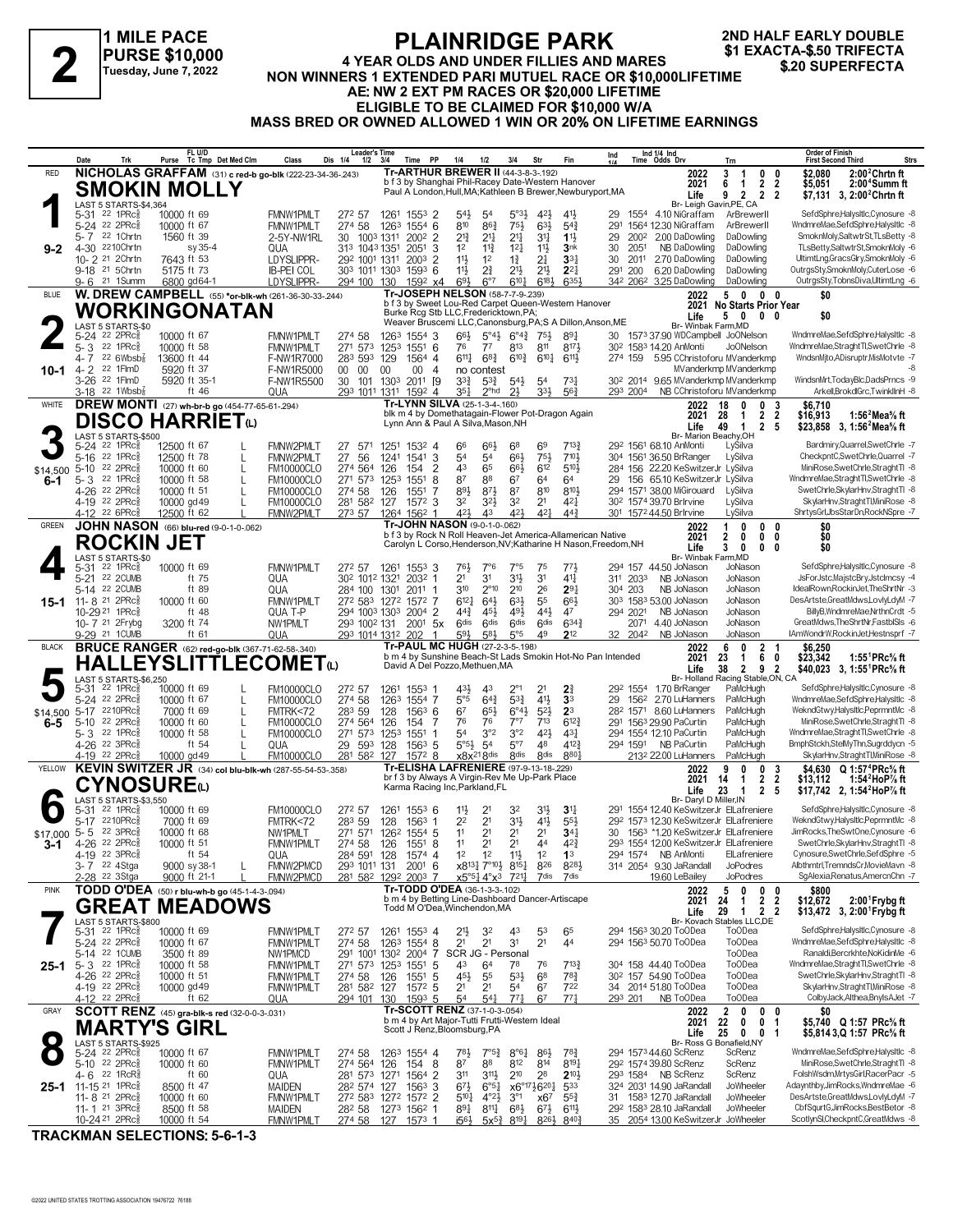**1 MILE PACE PURSE \$10,000 Tuesday, June 7, 2022**

### **PLAINRIDGE PARK 4 YEAR OLDS AND UNDER FILLIES AND MARES NON WINNERS 1 EXACTA-\$.50 TRIFECTA**<br>
Tuesday, June 7, 2022 MON WINNERS 1 EXTENDED PARI MUTUEL RACE OR \$10,000LIFETIME<br>
A EL NIM 2 EXT PM BACES OR \$20,000 LIFETIME **AE: NW 2 EXT PM RACES OR \$20,000 LIFETIME ELIGIBLE TO BE CLAIMED FOR \$10,000 W/A MASS BRED OR OWNED ALLOWED 1 WIN OR 20% ON LIFETIME EARNINGS 2ND HALF EARLY DOUBLE**

Date Trk Purse Tc Tmp Det Med Clm Class Dis 1/4 1/2 3/4 Time PP 1/4 1/2 3/4 Str Fin 1/4 Time Odds Drv<br>RED **NICHOLAS GRAFFAM** (31) **c** red-b go-blk (222-23-34-36-.243) **Tr-ARTHUR BREWER II** (44-3-8-3-.192) Lessons (2022 **FL U/D Tc Tmp Det Med Clm Class Dis 1/4 1/2 3/4 Time PP 1/4 1/2 3/4 Str Fin Ind Leader's Time Ind 1/4 Ind 1/4 Time Odds Drv Order of Finish Trn First Second Third Strs** 5-31 <sup>22</sup> 1PRc‱ 10000 ft 69 FMNW1PMLT 272 57 126<sup>1</sup> 1553 2 54½ 5<sup>o3}</sup> 42½ 41½ 29 1554 4.10 NiGraffam ArBrewerII SefdSphre.Halysltlc,Cynosure -8 1922 1 PRc 10000 ft 69 1 FMNW1PMLT 272 57 1261 1553 2 54 54 523 423 414 29 1554 4.10 NiGraffam ArBrewerII SefdSphre.Halysltlc.Cynosure -8 1992 22 2 PRc 10000 ft 67 FMNW1PMLT 274 58 1263 1554 6 810 863 75½ 63½ 54¾ 291 1564 21 22 1 Chrtn 1560 ft 39 2-5Y-NW1RL 30 1003 1311 2002 2 21 21 21 21 31 11 29 2002 200 DaDowling DaDowling SmoknMoly,SaltwtrSt,TLsBetty -8 21 214 214 214 214 214 214 214 20 2002 200 DaDowling DaDowling TLsBetty,SaltwtrSt,TL 12 11¾ 12¼ 30 4-30 NB DaDowling DaDowling TLsBetty,SaltwtrSt,SmoknMoly -6 2210Chrtn sy 35-4 QUA 313 1043 1351 2051 3 11½ **3**nk 2051 10-2 21 2Chrtn 7643 ft 53 LDYSLIPPR- 292 1001 1311 2003 2 114 12 13 14 24 334 30 2011 2.70 DaDowling DaDowling UltimtLng,GracsGlry,SmoknMoly 6<br>11 9-18 21 5Chrtn 5175 ft 73 B-PEICOL 303 1011 1303 1593 6 114 2 $\frac{3}{4}$  214 2 0-18 <sup>21</sup> 5Chrtn 5175 ft 73 IB-PEI COL 303 1011 1303 1593 6 114 24 214 214 214 291 201 6.20 DaDowling DaDowling OutrgsSty,SmoknMoly,CuterLose -6 21 1Summ 6800 gd64-1 LDYSLIPPR- 294 100 130 1592 x4 6<sup>93</sup> 6<sup>7</sup> 6<sup>101</sup>  $\frac{342\ 206^2\ 3.25\ \text{DaDowling}}{2022\ \ \, 5}$  0 0 0  $\frac{3400\ \text{G}}{100}$ **9-2** Life 9 2 2<br>Br- Leigh Gavin, PE, CA<br>4.10 NiGraffam ArBrewerll b f 3 by Shanghai Phil-Racey Date-Western Hanover Paul A London,Hull,MA;Kathleen B Brewer,Newburyport,MA  **6 1 2 2 \$5,051 2:00<sup>4</sup>Summ ft 3 1 0 0 \$2,080 2:00<sup>2</sup>Chrtn ft 9 2 2 2 \$7,131 2:00<sup>2</sup>Chrtn ft Life 3, 2021 Tr-ARTHUR BREWER II** (44-3-8-3-.192) **SMOKIN MOLLY**<br>
5-31 <sup>22</sup> 1PRG<sub>8</sub> 10000 ft 69<br>
5-24 <sup>22</sup> 2PRG<sub>8</sub> 10000 ft 67<br>
10000 ft 67 LAST 5 STARTS-\$4,364  $5-24$   $22$   $2$  PRCs  $3$  10000 ft 67 FMNW1PMLT  $274$  58  $1263$   $1554$   $3$   $66\frac{1}{2}$   $5^{\circ}4\frac{1}{2}$   $5^{\circ}4\frac{1}{2}$   $89\frac{1}{4}$   $80\frac{1}{4}$   $80\frac{1}{4}$   $80\frac{1}{2}$   $120$   $1573$   $37.90$  WDCampbell JoONelson WndmreMae,Str 5-3 <sup>22</sup> 1PRc‱ 10000 ft 58 FMNW1PMLT 271 573 1253 1551 6 76 77 813 811 817½ 302 1583 14.20 AnMonti JoONelson WindmreMae,StraghtTl,SwetChrle -8 14. T 22 6Wbsb∛ 13600 ft 44 F-NW1R7000 283 593 129 1564 4 611 68} 610 64 611 614 274 159 5.95 CChristoforu MVanderkmp World Mander World Muslim Muslim Muslim Muslim Muslim Muslim F-NW1R5000 00 00 00 4 no contest 610 610¼ 4- 2 <sup>22</sup> 1FlmD 5920 ft 37 F-NW1R5000 00 00 00 00 4 no contest example and the MVanderkmp MVanderkmp example and the second second the second second second second second second second second second second second second sec  $\frac{3.26}{3.26}$  22 1 FmD 5520 ft 35-1 F-NW1R5500 30 101 1303 2011 [9 333 533 543 544 54 734 302 2014 9.65 MVanderkmp MVanderkmp WindsnMrt,TodayBlc,DadsPrncs -9 23 1011 1311 1592 4 354 2nd 23 3204 354 203 2004 NB CChristof 293 2004 NB CChristoforu MVanderkmp **W. DREW CAMPBELL** (55) **\*or-blk-wh** (261-36-30-33-.244) BLUE **2022 5 0 0 0 \$0 10-1** Br- Winbak Farm,MD b f 3 by Sweet Lou-Red Carpet Queen-Western Hanover Burke Rcg Stb LLC,Fredericktown,PA; Weaver Bruscemi LLC,Canonsburg,PA;S A Dillon,Anson,ME  **5 0 0 0 \$0 2021 No Starts Prior Year Life Tr-JOSEPH NELSON** (58-7-7-9-.239) **WORKINGONATAN 2** LAST 5 STARTS-\$0<br>5-24 <sup>22</sup> 2PRc<sup>5</sup> 66 66½ 68 292 5-24 68.10 AnMonti LySilva Bardmiry,Quarrel,SwetChrle -7 22 1PRcÁ 12500 ft 67 L FMNW2PMLT 27 571 1251 1532 4 69 713¾ 1561 134 FRc 12500 ft 78 L FMNW2PMLT 27 56 1241 1541 3 54 54 661 751 701 304 1561 36.50 BrRanger LySilva CheckpntC,SwetChrle,Quarrel 7<br>22 2PRc 10000 ft 60 L FM10000CLO 274 564 126 154 2 43 65 661 612 5101 284 156 22.20 KeSwitz 5–10 22 2PRc៖ 10000 ft 60 L EM10000CLO 274 564 126 154 2 43 65 66½ 612 510½ 284 156 22.20 KeSwitzerJr LySilva MiniRose,SwetChrle,StraghtTl -8<br>5–3 22 1PRc៖ 10000 ft 58 L EM10000CLO 271 573 1253 1551 8 14% 37 810 8104 294 1  $5-3$  22 1PRc‱ 10000 ft 58 L FM10000CLO 271 573 1253 1551 8 87 88 67 64 64 29 156 65.10 KeSwitzerJr LySilva WndmreMae,StraghtTl,SwetChrle -8<br>4-26 22 2PRc▒ 10000 ft 51 L FM10000CLO 274 58 126 1551 7 884 874 87 810 8104 29 4-26 <sup>22</sup> 2PRc<sub>š</sub> 10000 ft 51 L FM10000CLO 274 58 126 1551 7 8<sup>91</sup> 8<sup>71</sup> 8<sup>7</sup> 8<sup>7</sup> 8<sup>00</sup> 8<sup>101</sup>½ 294 1571 38.00 MiGirouard LySilva SwetChrle,SkylarHnv,StraghtTl -8 4-19 <sup>22</sup> 2PRc≹ 10000 gd49 L FM10000CLO 281 582 127 1572 3 32 32 21 42 $\frac{1}{4}$  302 1574 39.70 BrIrvine LySilva SkylarHnv,StraghtTl,MiniRose 8 4-12 <sup>22</sup> 6PRc<sub>8</sub> 12500 ft 62 L FMNW2PMLT 273 57 1264 156<sup>2</sup> 1 42½ 43 42½ 42½ 44½ 301 157244.50 BrIrvine LySilva ShrtysGrl,JbsStarDn,RockNSpre -7 **DREW MONTI** (27) **wh-br-b go** (454-77-65-61-.294) WHITE **2022**  $$14,500,5-10$ **6-1 Life 49 1 2 5 \$23,858 3,**<br>Br- Marion Beachy, OH blk m 4 by Domethatagain-Flower Pot-Dragon Again Lynn Ann & Paul A Silva,Mason,NH  **28 1 2 2 \$16,913 1:56<sup>2</sup>Mea⅝ ft 18 0 0 3 \$6,710 49 1 2 5 \$23,858 1:56<sup>2</sup>Mea⅝ ft 2021 Tr-LYNN SILVA** (25-1-3-4-.160) **DISCO HARRIET**<sup>(1)</sup> LAST 5 STARTS-\$500 16, 1982, 1992, 1992, 1993, 1994, 1994, 1994, 1994, 1994, 1994, 1994, 1994, 1994, 1994, 1994, 1994, 1994, 199<br>1994, 1994, 1995, 1997, 1997, 1997, 1997, 1998, 1998, 1998, 1998, 1998, 1998, 1998, 1998, 1998, 1998, 1998, 15<br> 21 22 20 JMB ft 75 QUA 302 1012 1321 2032 1 21 31 31 31 31 311 311 2033 NB JoNason JoNason JsForJstc,MajstcBry,Jstclmcsy 4<br>28 14 22 20 JMB ft 89 QUA 284 100 1301 2011 1 310 2<sup>o</sup>10 2<sup>6</sup> 2<sup>91</sup> 304 203 NB JoNason JoNason Idea 310 2°10 210 304 5-14 NB JoNason JoNason IdealRown,RockinJet,TheShrtNr -3 22 2CUMB ft 89 QUA 284 100 1301 2011 1 26 **2**9¼ 203 612¼ 64½ 63½ 303 53.00 JoNason JoNason DesArtste,GreatMdws,LovlyLdyM -7 11- 8 21 2PRcÁ 10000 ft 60 FMNW1PMLT 272 583 1272 1572 7 55 66½ 1583 44¾ 45½ 49½ 294 NB JoNason JoNason BillyB,WndmreMae,NrthnCrdt -5 10-29 21 1PRcÁ ft 48 QUA T-P 294 1003 1303 2004 2 44½ 47 2021 10-7 21 2Frybg 3200 ft 74 MW1PMLT 293 1002 131 2001 5x 6dis 6dis 6dis 6dis 6343 2071 4.40 JoNason JoNason GreatMdws,TheShrtNr,FastblSls -6 10- 7 21 2Frybg 3200 ft 74 MW1PMLT 293 1002 131 2001 5x 6dis 6dis 6dis 6343 2071 4 <u>9-29 <sup>21</sup> 1CUMB ft 61 QUA 293 1014 1312 202 1 5<sup>9</sup>½ 5<sup>8</sup>½ 5°5 49 **2**12 32 2042 NB JoNason JoNason IAmWondrW,RockinJet,Hestnsprf -7<br>**BRUCE RANGER**(62) red-ao-blk (367-71-62-58-.340) **Tr-PAUL</u> JOHN NASON** (66) **blu-red** (9-0-1-0-.062) **15-1** Br- Winbak Farm,MD GREEN **JOHN NASON** (66) blu-red (9-0-1-0-.062) **Tr-JOHN NASON** (9-0-1-0-.062) **Tr-JOHN NASON** (9-0-1-0-.062) **Transference Allamerican Native 2022**<br>b f 3 by Rock N Roll Heaven-Jet America-Allamerican Native 2021 Carolyn L Corso,Henderson,NV;Katharine H Nason,Freedom,NH  **2 0 0 0 \$0 1 0 0 0 \$0 3 0 0 0 \$0 2021 Life ROCKIN JET 4** LAST 5 STARTS-\$0<br>5-31 22 1PRc<sup>5</sup> 1.43 3.3 ATT 3.3 ATT 3.4% ATT 4.3% 4.3% 4.3% 4.3% 4.3% 2.5% 4.70 BrRanger PaMcHugh SefdSphre.Halysltlc,Cynosure -8<br>1.5.24 22 2PRcﷺ 10000 ft 67 L FM10000CLO 274 58 1263 1554 7 5<sup>s</sup>5 64 $\frac{3}{2}$  53 41½ 33 29 1562 2.70 LuHan 5-24 <sup>22</sup> 2PRc<sub>§</sub> 10000 ft 67 L FM10000CLO 274 58 1263 1554 7 5<sup>o5</sup> 64 $\frac{3}{4}$  53 $\frac{3}{4}$  41½ **3**3 29 156<sup>2</sup> 2.70 LuHanners PaMcHugh WndmreMae,SefdSphre,Halysltic -8 67 67 67 668 COLUHANNER CONTRESS CONTRESS CONTROVERS CONTRESS CONTRESS CONTRESS CONTRESS CONTRESS CONTRESS CONTR<br>1991 12210PRc≸ 10000 ft 60 L FM10000CLO 274 564 126 154 7 76 7<sup>6</sup> 7°<sup>7</sup> 713 612 291 1563 29.90 PaCurtin PaMc 5-10 <sup>22</sup> 2PRc총 10000 ft 60 L FM10000CLO 274 564 126 154 7 76 7<sup>6</sup> 7<sup>6</sup> 7<sup>9</sup> 713 612¾ 291 156<sup>3</sup> 29.90 PaCurtin PaMcHugh MiniRose,SwetChrle,StraghtTl -8 54 322 1 20000 ft 58 L FM10000CLO 271 573 1253 1551 1 54 3°2 3°2 423 434 294 1554 12.10 PaCurtin PaMcHugh WndmreMae,StraghtTl,SwetChrle -8 23 22 1PRc 10000 ft 58 L FM10000CLO 271 573 1253 1551 1 54 3°2 3°2 423 294 1554 12. 3°426 22 3PRc≹ 10000 gd49 L (1000 129 593 128 1563 5 5°53 54 5°7 48 4123 294 1591 NB PaCurtin PaMcHugh BmphStckh,StelMyThn,Sugrddycn 5<br>4-19 22 2PRc≹ 10000 gd49 L FM10000CLO 281 582 127 1572 8 x8x218dis 8dis 8dis 8804 2132 4-19 <sup>22</sup> 2PRc‱ 10000 gd49 L FM10000CLO 281 58<sup>2</sup> 127 1572 8 x8x<sup>21 8dis 8dis 8<sup>dis</sup> 8<sup>8d</sup>i 2132 2200 LuHanners PaMcHugh SkylarHnv,StraghtTl/MiniRose 8<br>**KEVIN SWITZER JR** (34) col blu-blk-wh (287-55-54-53-.358) Tr-ELISHA L</sup> **BRUCE RANGER** (62) **red-go-blk** (367-71-62-58-.340) BLACK **2022**  $$14.500$  5-17  $^{22}10$ PRc<sup>5</sup> **6-5 Life 38 2 9 2 \$40,023 3,**<br>Br- Holland Racing Stable, ON, CA b m 4 by Sunshine Beach-St Lads Smokin Hot-No Pan Intended b m 4 by Sunshine Beach-St Lac<br>David A Del Pozzo, Methuen, MA  **23 1 6 0 \$23,342 1:55<sup>1</sup>PRc⅝ ft 6 0 2 1 \$6,250 38 2 9 2 \$40,023 1:55<sup>1</sup>PRc⅝ ft 2021 HALLEYSLITTLECOMET**(L) LAST 5 STARTS-\$6,250 11% 22 1PRc<sup>3</sup> 10000 ft 69 FM10000CLO 272 57 1261 1553 6 11<sup>1</sup> 21 32 31<sup>1</sup> 291 1554 1240 KeSwitzerJr Ellafreniere SefdSphre.Halysltlc,Cynosure -8 231 22 107 22 107 22 107 1553 1280 FMTRK<72 283 59 128 1563 1 22 21 31<sup>1</sup> 25 22 10 PRc 17000 ft 69 FMTRK<72 283 59 128 1563 1 22 21 314 414 55 29 1573 12:30 KeSwitzerJr Ellafreniere WekndGtwy,Halysltic,PeprmntMc 8<br>22 3 PRc 10000 ft 68 NW1PMLT 271 571 1262 1554 5 11 21 21 21 344 30 1563 1120 KeSwit 11 21 22 3PRc 5 22 3PRc 5 10000 ft 68 NW1PMLT 271 571 1262 1554 5 11 21 21 21 44 423 30 1563 \*1.20 KeSwitzerJr ElLafreniere JimRocks,TheSwtOne,Cynosure -6 4-26 22 2PRc 5 10000 ft 51 FMNW1PMLT 274 58 126 1554 5 11 21 21 44 11 11 11 11 11 1274 58 126 1551 8 1 1 21 21 4 12 20 1554 12.00 KeSwitzerJr Ellafreniere<br>11 54 0UA 284 591 128 1574 4 12 12 11 13 294 1574 NB AnMonti Ellafreniere 12 12 12 12 12 12 12 12 13 12 14 12 14 12 14 12 14 12 14 16 AnMonti Ellafreniere Cynosure,SwetChrle,SefdSphre<br>12 15 29 3PRc (1990) 5938-1 L FMNW2PMCD 293 1011 131 2001 6 x8<sup>13</sup>4 7°<sup>01</sup>2 8<sup>154</sup> 826 8284 314 2054 9.30 JaRand . 7 22 4Stga 9000 sy 38-1 L FMNW2PMCD 293 1011 131 2001 6 x8131 7°10½ 8154 826 828½ 314 2054 9.30 JaRandall JoPodres Albthmtrl,TremndsCr,MovieMavn -8<br>-28 22 3Stga 9000 ft 21-1 L FMNW2PMCD 281 582 1292 2003 7 x5°5½ 4°x3 72 x5°5¼ 4°x3 721¼ 2-28 19.60 LeBailey JoPodres SgAlexia,Renatus,AmercnChn -7 22 3Stga 9000 ft 21-1 L FMNW2PMCD 281 582 1292 2003 7 7dis 7dis **Tr-TODD O'DEA** (36-1-3-3-.102) **KEVIN SWITZER JR** (34) **col blu-blk-wh** (287-55-54-53-.358) YELLOW **2022** \$17,000 5-5 **3-1** Br- Daryl D Miller,IN br f 3 by Always A Virgin-Rev Me Up-Park Place Karma Racing Inc,Parkland,FL  **14 1 2 2 \$13,112 1:54<sup>2</sup>HoP⅞ ft 9 0 0 3 \$4,630 1:57<sup>4</sup>PRc⅝ ft 23 1 2 5 \$17,742 1:54<sup>2</sup>HoP⅞ ft Life 2, 2021 CYNOSURE**(L)<br> **G** LAST 5 STARTS-\$3,550<br>
5-31 22 1PRc 8 10000 ft 69<br>
5-17 2210PRc 7000 ft 69 LAST 5 STARTS-\$3,550<br>5-31 <sup>22</sup> 1PRcs 10 5-31 <sup>22</sup> 1PRc≩ 10000 ft 69 FMNW1PMLT 272 57 1261 1553 4 21½ 32 43 53 65 294 1563 30.20 ToODea ToODea SefdSphre,Halysltlc,Cynosure 8 21 21 31 294 5-24 50.70 ToODea ToODea WndmreMae,SefdSphre,Halysltlc -8 22 2PRcÁ 10000 ft 67 FMNW1PMLT 274 58 1263 1554 8 21 44 1563 SCR JG - Personal 5-14 ToODea Ranaldi,Bercrkhte,NoKidinMe -6 22 1CUMB 3500 ft 89 NW1PMCD 291 1001 1302 2004 7  $4-26$   $22$  1PRc $\frac{22}{3}$  1980 ft 58 **FINNW1PMLT**  $271$  573 1253 1551 5  $43$  64 78 76 713 $\frac{3}{4}$  30<sup>4</sup> 158 44.40 ToODea ToODea WndmreMae,StraghtTl,SwetChrle -8<br> $4-26$  22 2PRc $\frac{5}{3}$  10000 ft 51 FINNW1PMLT 274 58 126 45½ 55 53½ 302 4-26 54.90 ToODea ToODea SwetChrle,SkylarHnv,StraghtTl -8 22 2PRcÁ 10000 ft 51 FMNW1PMLT 274 58 126 1551 5 68 78¾ 157 4-19 <sup>22</sup> 2PRc≩ 10000 gd49 FMNW1PMLT 281 582 127 1572 5 21 21 54 67 722 34 2014 51.80 ToODea ToODea SkylarHnv,StraghtTl,MiniRose 8  $4$ -12 <sup>22</sup> 2PRc $\frac{8}{3}$  ft 62  $\,$  QUA  $\,$  294 101 130 1593 5  $\,$  54  $\,$  54 $\,$   $\,$  7 $^{71}_{4}$   $\,$  67  $\,$  7 $^{74}_{4}$   $\,$  293 201  $\,$  NB ToODea  $\,$  ToODea  $\,$  ColbyJack,Althea,BnyIsAJet -7  $\,$ **TODD O'DEA** (50) **r blu-wh-b go** (45-1-4-3-.094) PINK **2022 25-1** Br- Kovach Stables LLC, DE<br>294 156<sup>3</sup> 30.20 ToODea ToODea b m 4 by Betting Line-Dashboard Dancer-Artiscape Todd M O'Dea,Winchendon,MA  **24 1 2 2 \$12,672 2:00<sup>1</sup> 5 0 0 0 \$800**  2:00<sup>1</sup> Frybg ft  **29 1 2 2 \$13,472 2:00<sup>1</sup> Frybg ft Life 3, 2021 GREAT MEADOWS**<br> **5-31 22 1PRG** 10000 ft 69<br>
5-24 22 2PRGB 10000 ft 67<br>
5-24 22 2PRGB 10000 ft 67<br>
5-14 22 1CUMB 3500 ft 89 NW1PMCD LAST 5 STARTS-\$800 78½ 7°5¾ 8°6¼ 294 5-24 44.60 ScRenz ScRenz WndmreMae,SefdSphre,Halysltlc -8 22 2PRcÁ 10000 ft 67 FMNW1PMLT 274 58 1263 1554 4 86½ 78¾ 1573  $87 + 22$   $2PRCs$   $10000$  ft 60 FMNW1PMLT  $274\frac{1}{264}$   $126$   $126$   $154$  8  $87$   $88$   $872$   $88$   $874$   $814$   $8194$   $294$   $1574\frac{1}{304}$   $292\frac{1574\frac{1}{3080}$  ScRenz ScRenz MiniRose,SwetChrle,StraghtTl -8  $4 - 6$   $2$  PRCF 4-6 <sup>22</sup> 1RcR<sub>s</sub> \* ft 60 QUA 281 573 1271 1564 2 311 311½ 210 28 **21**0½ 293 1584 NB ScRenz ScRenz FolshWsdm,MrtysGirl,RacerPacr 5 11-15 21 1PRc≹ 8500 ft 47 MAIDEN 282 574 127 1563 3 673 6°54 x6°1736201 533 324 2031 14.90 JaRandall JoWheeler Adaynthby,JimRocks,WndmreMae 6<br>11-8 21 2PRc≹ 10000 ft 60 FMNW1PMLT 272 583 1272 1572 2 5104 4°24 3°1 x67 553 3 510¼ 4°2½ 3°1 31 12.70 JaRandall JoWheeler DesArtste,GreatMdws,LovlyLdyM -7 11- 8 21 2PRcÁ 10000 ft 60 FMNW1PMLT 272 583 1272 1572 2 x67 55¾ 1583 11-1 21 3PRc\$ 8500 ft 58 MAIDEN 274 58 1273 1562 1 89‡ 8111 681 674 6114 292 1583 28.10 JaRandall JoWheeler CbfSqurtG,JimRocks,BestBetor -8 MAIDEN 274 58 1273 1562 1 681 674 6114 292 1583 28.10 JaRandall JoWheeler CbfSqur 2054 13.00 KeSwitzerJr JoWheeler GRAY **SCOTT RENZ** (45) **gra-blk-s red** (32-0-0-3-.031)<br> **MARTY'S GIRL Branch Scott J. Renz, Bloomsburg,PA Example 10000** ft 67<br>
5-24 <sup>22</sup> 2PRG<sup>8</sup> 10000 ft 67 **FINNW1PMLT** 274 58 1263 1554 4 7<sup>81</sup><sub>2</sub> 7<sup>61</sup><sub>2</sub> 7<sup>61</sup><sub>2</sub> 8 **25-1** Life 25 0 0 b m 4 by Art Major-Tutti Frutti-Western Ideal Scott J Renz,Bloomsburg,PA  **22 0 0 1 \$5,740 Q 1:57 PRc⅝ ft 2 0 0 0 \$0 25 0 0 1 \$5,814 1:57 PRc⅝ ft Life 3,Q 2021 Tr-SCOTT RENZ** (37-1-0-3-.054) LAST 5 STARTS-\$925

**TRACKMAN SELECTIONS: 5-6-1-3**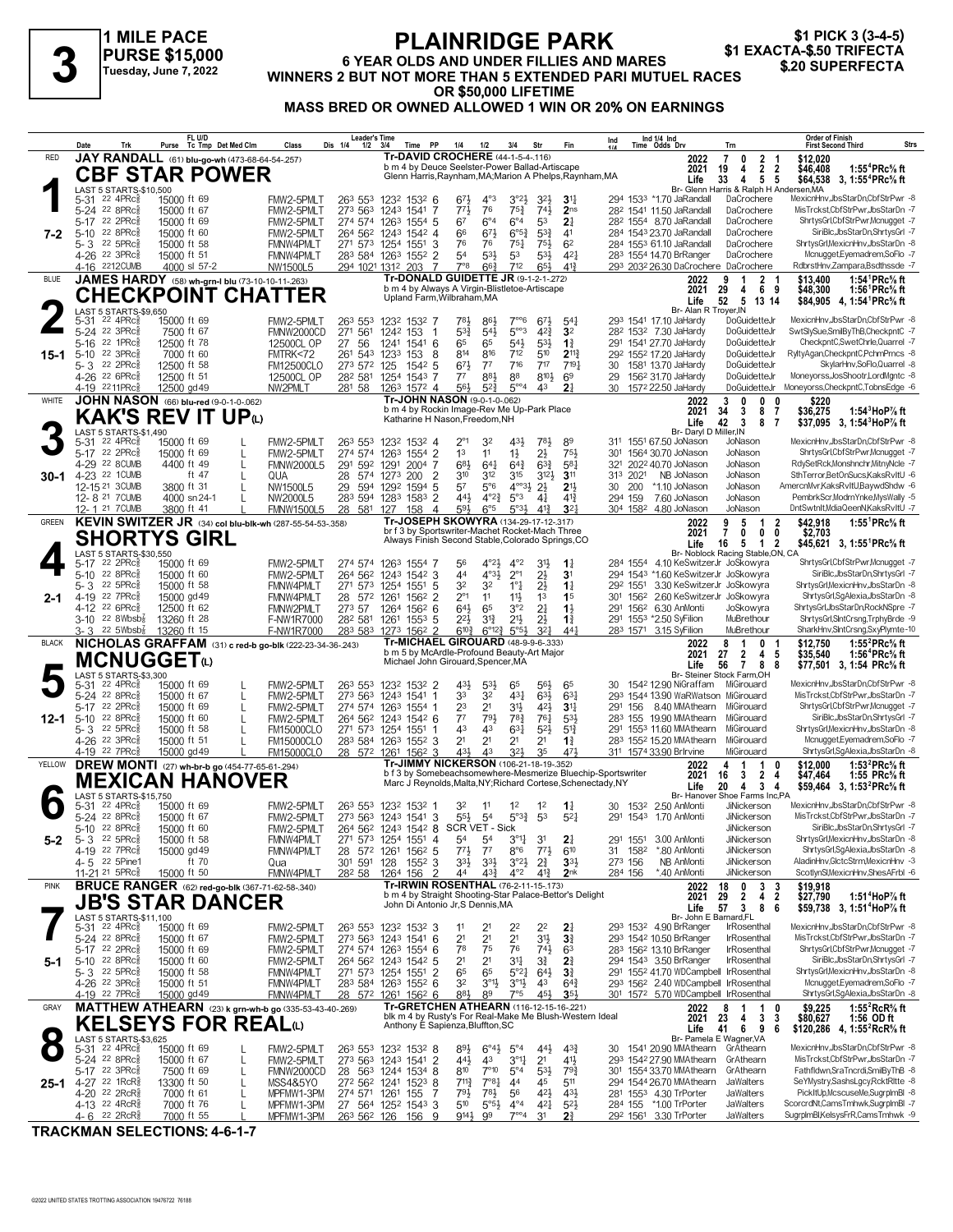**1 MILE PACE PURSE \$15,000 Tuesday, June 7, 2022**

### **PLAINRIDGE PARK 6 YEAR OLDS AND UNDER FILLIES AND MARES PURSE \$15,000**<br>
Tuesday, June 7, 2022 WINNERS 2 BUT NOT MORE THAN 5 EXTENDED PARI MUTUEL RACES \$20 SUPERFECTA **OR \$50,000 LIFETIME MASS BRED OR OWNED ALLOWED 1 WIN OR 20% ON EARNINGS** \$1 PICK 3 (3-4-5)<br>\$1 EXACTA-\$.50 TRIFECTA

|                  | Date                                 | Trk                                                             |                            | FL U/D<br>Purse Tc Tmp Det Med Clm |        | Class                                                    | <b>Leader's Time</b><br>Dis 1/4<br>1/2     | 3/4                        | <b>PP</b><br>Time     | 1/4                                                                                                  | 1/2                                        | 3/4                                                | Str                                    | Fin                               | Ind                                                          | Ind 1/4 Ind<br>Time Odds Drv                                                  | Trn                                                                   | Order of Finish<br><b>First Second Third</b>                                                                 | Strs |
|------------------|--------------------------------------|-----------------------------------------------------------------|----------------------------|------------------------------------|--------|----------------------------------------------------------|--------------------------------------------|----------------------------|-----------------------|------------------------------------------------------------------------------------------------------|--------------------------------------------|----------------------------------------------------|----------------------------------------|-----------------------------------|--------------------------------------------------------------|-------------------------------------------------------------------------------|-----------------------------------------------------------------------|--------------------------------------------------------------------------------------------------------------|------|
| <b>RED</b>       |                                      | JAY RANDALL (61) blu-go-wh (473-68-64-54-257)                   |                            |                                    |        |                                                          |                                            |                            |                       | Tr-DAVID CROCHERE (44-1-5-4-116)<br>b m 4 by Deuce Seelster-Power Ballad-Artiscape                   |                                            |                                                    |                                        |                                   |                                                              | 2022<br>2021                                                                  | 7<br>0<br>$\mathbf{2}$<br>- 1<br>$\mathbf{2}$<br>$\overline{2}$<br>19 | \$12,020<br>\$46,408<br>1:55 <sup>4</sup> $PRc$ <sup>5</sup> % ft                                            |      |
|                  |                                      | <b>CBF STAR POWER</b>                                           |                            |                                    |        |                                                          |                                            |                            |                       | Glenn Harris, Raynham, MA; Marion A Phelps, Raynham, MA                                              |                                            |                                                    |                                        |                                   |                                                              | Life                                                                          | 4<br>33<br>4<br>5 <sub>5</sub>                                        | \$64.538 3. 1:55 <sup>4</sup> PRc <sup>5</sup> / <sub>8</sub> ft                                             |      |
|                  |                                      | LAST 5 STARTS-\$10,500<br>5-31 22 4PRc $\frac{5}{8}$            | 15000 ft 69                |                                    |        | FMW2-5PMLT                                               | 263 553                                    | 1232 1532 6                |                       | 673                                                                                                  | $4^{\circ}3$                               | $3^{°2}\frac{1}{2}$                                | 3 <sup>2</sup>                         | $3^{11}$                          |                                                              | 294 1533 *1.70 JaRandall                                                      | Br- Glenn Harris & Ralph H Andersen, MA<br>DaCrochere                 | MexicnHnv,JbsStarDn,CbfStrPwr -8                                                                             |      |
|                  | 5-17 22 2PRc                         | 5-24 22 8PRc                                                    | 15000 ft 67<br>15000 ft 69 |                                    |        | FMW2-5PMLT                                               | 273 563                                    | 1243 1541 7                |                       | $77\frac{1}{2}$<br>67                                                                                | 76<br>$6^{\circ}4$                         | $75\frac{3}{4}$<br>$6^{\circ}4$                    | $74\frac{1}{2}$<br>53                  | 2 <sub>ns</sub><br>2 <sup>1</sup> |                                                              | 28 <sup>2</sup> 1541 11.50 JaRandall                                          | DaCrochere<br>DaCrochere                                              | MisTrckst,CbfStrPwr,JbsStarDn -7<br>ShrtysGrl,CbfStrPwr,Mcnugget -7                                          |      |
| 7-2              | 5-10 22 8PRc                         |                                                                 | 15000 ft 60                |                                    |        | FMW2-5PMLT<br>FMW2-5PMLT                                 | 274 574 1263<br>264 562 1243 1542 4        |                            | 1554 5                | 66                                                                                                   | $67\frac{1}{2}$                            | $6^{o_{52}}$                                       | $5^{3}{}_{4}^{3}$                      | 41                                |                                                              | 28 <sup>2</sup> 1554 8.70 JaRandall<br>284 1543 23.70 JaRandall               | DaCrochere                                                            | SiriBlc, JbsStarDn, ShrtysGrl -7                                                                             |      |
|                  |                                      | $5 - 3$ 22 5PRc $\frac{5}{8}$                                   | 15000 ft 58                |                                    |        | FMNW4PMLT                                                | 271 573 1254 1551                          |                            | 3                     | 76<br>54                                                                                             | 76<br>53}                                  | $75\frac{1}{4}$<br>53                              | 754                                    | 6 <sup>2</sup><br>421             |                                                              | 284 1553 61.10 JaRandall                                                      | DaCrochere<br>DaCrochere                                              | ShrtysGrl, MexicnHnv, JbsStarDn -8<br>Mcnugget, Eyemadrem, SoFlo -7                                          |      |
|                  | 4-16                                 | 4-26 <sup>22</sup> 3PRc3<br><b>2212CUMB</b>                     | 15000 ft 51                | 4000 sl 57-2                       |        | <b>FMNW4PMLT</b><br>NW1500L5                             | 283 584 1263 1552 2<br>294 1021 1312 203   |                            | -7                    | $7^{\circ}8$                                                                                         | $66\frac{3}{4}$                            | 712                                                | 53}<br>65}                             | $41\frac{3}{4}$                   |                                                              | 283 1554 14.70 BrRanger<br>293 2032 26.30 DaCrochere DaCrochere               |                                                                       | RdbrstHnv, Zampara, Bsdthssde -7                                                                             |      |
| <b>BLUE</b>      |                                      | JAMES HARDY (58) wh-grn-I blu (73-10-10-11-.263)                |                            |                                    |        |                                                          |                                            |                            |                       | <b>Tr-DONALD GUIDETTE JR (9-1-2-1-.272)</b><br>b m 4 by Always A Virgin-Blistletoe-Artiscape         |                                            |                                                    |                                        |                                   |                                                              | 2022                                                                          | $\overline{2}$<br>9                                                   | 1:54 ${}^1$ PRc% ft<br>\$13,400                                                                              |      |
|                  |                                      |                                                                 |                            |                                    |        | <b>CHECKPOINT CHATTER</b>                                |                                            |                            |                       | Upland Farm, Wilbraham, MA                                                                           |                                            |                                                    |                                        |                                   |                                                              | 2021<br>Life                                                                  | 29<br>69<br>4<br>5 13 14<br>52                                        | \$48,300<br>1:56 <sup>1</sup> PRc <sup>5</sup> / <sub>8</sub> ft<br>\$84.905 4.1:54 PRc % ft                 |      |
|                  |                                      | LAST 5 STARTS-\$9,650<br>5-31 22 4PRc <sup>5</sup>              | 15000 ft 69                |                                    |        | FMW2-5PMLT                                               | 263 553                                    | 1232 1532 7                |                       | 781,                                                                                                 | 863                                        | $7^{\circ\circ}6$                                  | 673                                    | $5^{4}$                           |                                                              | Br- Alan R Troyer, IN<br>293 1541 17.10 JaHardy                               | DoGuidetteJr                                                          | MexicnHnv,JbsStarDn,CbfStrPwr -8                                                                             |      |
|                  | 5-24 22 3PRc3                        |                                                                 | 7500 ft 67                 |                                    |        | <b>FMNW2000CD</b>                                        | 271 561                                    | 1242 153                   | $\overline{1}$        | $5^{3}_{4}$                                                                                          | 543                                        | $5^{\circ\circ}3$                                  | $4^{2}\frac{3}{4}$                     | 3 <sup>2</sup>                    |                                                              | 28 <sup>2</sup> 153 <sup>2</sup> 7.30 JaHardy                                 | DoGuidetteJr                                                          | SwtSlySue,SmilByThB,CheckpntC -7                                                                             |      |
| <b>15-1</b> 5-10 | 5-16                                 | 22 1PRc<br>22 3PRc                                              | 12500 ft 78<br>7000 ft 60  |                                    |        | 12500CL OP<br>FMTRK<72                                   | 27 56<br>261 543 1233                      | 1241 1541                  | -6<br>153<br>8        | 65<br>814                                                                                            | 65<br>816                                  | $5^{4}$<br>712                                     | $5^{3}\frac{1}{2}$<br>510              | $1\frac{3}{4}$<br>$2^{11}$        |                                                              | 291 1541 27.70 JaHardy<br>29 <sup>2</sup> 155 <sup>2</sup> 17.20 JaHardy      | DoGuidetteJr<br>DoGuidetteJr                                          | CheckpntC,SwetChrle,Quarrel -7<br>RyltyAgan.CheckpntC.PchmPrncs -8                                           |      |
|                  |                                      | $5 - 3$ 22 2PRc $\frac{5}{8}$                                   | 12500 ft 58                |                                    |        | <b>FM12500CLO</b>                                        | 273 572 125                                |                            | $154^2$ 5             | $67\frac{1}{2}$                                                                                      | $7^7$                                      | 716                                                | 717                                    | 719 <sub>7</sub>                  |                                                              | 30 1581 13.70 JaHardy                                                         | DoGuidetteJr                                                          | SkylarHnv,SoFlo,Quarrel -8                                                                                   |      |
|                  |                                      | 4-26 <sup>22</sup> 6PRc3<br>4-19 2211PRc                        | 12500 ft 51<br>12500 gd 49 |                                    |        | 12500CL OP<br>NW2PMLT                                    | 282 581<br>281 58                          | 1254 1543 7<br>1263 1572 4 |                       | 77<br>$56\frac{1}{2}$                                                                                | 883<br>$5^{2}\frac{3}{4}$                  | 88<br>$5^{\circ 4}$                                | $8^{10}$<br>43                         | 69<br>2 <sup>1</sup>              | 29                                                           | 156 <sup>2</sup> 31.70 JaHardy<br>30 1572 22.50 JaHardy                       | DoGuidetteJr<br>DoGuidetteJr                                          | Moneyorss, JosShootr, LordMgntc -8<br>Moneyorss, CheckpntC, TobnsEdge -6                                     |      |
| WHITE            |                                      | <b>JOHN NASON</b> (66) blu-red (9-0-1-0-.062)                   |                            |                                    |        |                                                          |                                            |                            |                       | Tr-JOHN NASON (9-0-1-0-.062)                                                                         |                                            |                                                    |                                        |                                   |                                                              | 2022                                                                          | 0<br>3<br>0<br>0                                                      | \$220                                                                                                        |      |
|                  |                                      | <b>KAK'S REV IT UP</b> W                                        |                            |                                    |        |                                                          |                                            |                            |                       | b m 4 by Rockin Image-Rev Me Up-Park Place<br>Katharine H Nason, Freedom, NH                         |                                            |                                                    |                                        |                                   |                                                              | 2021<br>Life                                                                  | 34<br>3<br>8<br>$\overline{7}$<br>42<br>3<br>8<br>-7                  | \$36,275<br>1:54 $3$ HoP $\%$ ft<br>\$37,095 3, 1:54 HoP % ft                                                |      |
|                  | 5-31                                 | LAST 5 STARTS-\$1,490<br>22 4PRc <sup>3</sup>                   | 15000 ft 69                |                                    |        | FMW2-5PMLT                                               | 263 553                                    | 1232 1532 4                |                       | $2^{\circ}1$                                                                                         | 32                                         | 431                                                | $78\frac{1}{2}$                        | 89                                |                                                              | Br- Daryl D Miller, IN<br>311 1551 67.50 JoNason                              | JoNason                                                               | MexicnHnv,JbsStarDn,CbfStrPwr -8                                                                             |      |
|                  | 5-17 22 2PRc3                        |                                                                 | 15000 ft 69                |                                    | L      | FMW2-5PMLT                                               | 274 574                                    | 1263                       | 1554 2                | 1 <sup>3</sup>                                                                                       | 11                                         | $1\frac{1}{2}$                                     | $2\frac{1}{2}$                         | 751                               | 301                                                          | 1564 30.70 JoNason                                                            | JoNason                                                               | ShrtysGrl,CbfStrPwr,Mcnugget -7                                                                              |      |
|                  | <b>30-1</b> 4-23 <sup>22</sup> 1CUMB | 4-29 22 8CUMB                                                   | 4400 ft 49                 | ft 47                              | L      | <b>FMNW2000L5</b><br>QUA                                 | 291 592<br>28<br>574 1273                  | 1291                       | 2004<br>7<br>200<br>2 | 683<br>310                                                                                           | $64\frac{1}{4}$<br>312                     | $64\frac{3}{4}$<br>315                             | $63\frac{3}{4}$<br>$3^{12}\frac{1}{2}$ | $5^{8}$ <sub>1</sub><br>311       | 313 2021                                                     | 321 2022 40.70 JoNason<br>NB JoNason                                          | JoNason<br>JoNason                                                    | RdvSetRck.Monshnchr.MitnvNcle -7<br>SthTerror.BetOnSucs.KaksRvItU -6                                         |      |
|                  |                                      | 12-15 21 3 CUMB                                                 | 3800 ft 31                 |                                    | L      | NW1500L5                                                 | 29<br>594                                  | 1292                       | 1594 5                | 57                                                                                                   | $5^{\circ}6$                               | $4^{\circ\circ}3\frac{1}{2}$                       | $2\frac{1}{2}$                         | 21,                               | 30                                                           | 200<br>*1.10 JoNason                                                          | JoNason                                                               | AmercnMvr,KaksRvItU,BaywdShdw -6                                                                             |      |
|                  |                                      | 12-8 21 7 CUMB<br>12-1 21 7 CUMB                                | 3800 ft 41                 | 4000 sn 24-1                       |        | NW2000L5<br><b>FMNW1500L5</b>                            | 283 594 1283 1583 2<br>28 581              | 127                        | 158<br>$\overline{4}$ | 441<br>$59\frac{1}{2}$                                                                               | $4^{\circ}2^{\frac{3}{2}}$<br>$6^{\circ}5$ | $5^{\circ}3$<br>$5°3\frac{1}{2}$                   | $4\frac{1}{4}$<br>$4^{13}$             | $4^{13}$<br>3 <sup>2</sup>        | 294 159                                                      | 7.60 JoNason<br>304 1582 4.80 JoNason                                         | JoNason<br>JoNason                                                    | PembrkScr,ModrnYnke,MysWally -5<br>DntSwtnlt,MdiaQeenN,KaksRvItU -7                                          |      |
| <b>GREEN</b>     |                                      |                                                                 |                            |                                    |        | KEVIN SWITZER JR (34) col blu-blk-wh (287-55-54-53-.358) |                                            |                            |                       | Tr-JOSEPH SKOWYRA (134-29-17-12-.317)                                                                |                                            |                                                    |                                        |                                   |                                                              | 2022                                                                          | 5<br>9<br>1<br>$\overline{\mathbf{2}}$                                | \$42,918<br>1:55 <sup>1</sup> PRc <sup>5</sup> / <sub>8</sub> ft                                             |      |
|                  |                                      | <b>SHORTYS GIRL</b>                                             |                            |                                    |        |                                                          |                                            |                            |                       | br f 3 by Sportswriter-Machet Rocket-Mach Three<br>Always Finish Second Stable, Colorado Springs, CO |                                            |                                                    |                                        |                                   |                                                              | 2021<br>Life                                                                  | $\overline{7}$<br>0<br>$\mathbf{0}$<br>0<br>16<br>5<br>-1<br>2        | \$2,703<br>\$45,621 3, 1:55 <sup>1</sup> PRc <sup>5</sup> / <sub>8</sub> ft                                  |      |
|                  |                                      | LAST 5 STARTS-\$30,550<br>5-17 22 2PRc $\frac{5}{8}$            | 15000 ft 69                |                                    |        | FMW2-5PMLT                                               | 274 574 1263                               |                            | 1554 7                | 56                                                                                                   | $4^{\circ}2\frac{1}{2}$                    | $4^{\circ}2$                                       | 3 <sup>1</sup>                         | $1\frac{1}{4}$                    |                                                              | 284 1554 4.10 KeSwitzerJr JoSkowyra                                           | Br- Noblock Racing Stable, ON, CA                                     | ShrtysGrl,CbfStrPwr,Mcnugget -7                                                                              |      |
|                  | 5-10                                 | 22 8PRc3                                                        | 15000 ft 60                |                                    |        | FMW2-5PMLT                                               | 264 562                                    | 1243 1542 3                |                       | 44                                                                                                   | $4°3\frac{1}{2}$                           | $2^{\circ}1$                                       | $2\frac{1}{2}$                         | 3 <sup>1</sup>                    |                                                              | 294 1543 *1.60 KeSwitzerJr JoSkowyra                                          |                                                                       | SiriBlc.JbsStarDn.ShrtysGrl -7                                                                               |      |
| 2-1              | 5-3<br>4-19 22 7PRc                  | 22 5PRc                                                         | 15000 ft 58<br>15000 gd 49 |                                    |        | FMNW4PMLT<br><b>FMNW4PMLT</b>                            | 271 573 1254 1551 5<br>28 572 1261         |                            | 1562 2                | 32<br>$2^{\circ}1$                                                                                   | 32<br>11                                   | $1^{\circ}1$<br>$11\frac{1}{2}$                    | $2\frac{1}{2}$<br>1 <sup>3</sup>       | $1\frac{1}{4}$<br>1 <sup>5</sup>  | 292 1551                                                     | 301 1562 2.60 KeSwitzerJr JoSkowyra                                           | 3.30 KeSwitzerJr JoSkowyra                                            | ShrtysGrlMexicnHnv,JbsStarDn -8<br>ShrtysGrl,SgAlexia,JbsStarDn -8                                           |      |
|                  |                                      | 4-12 22 6PRc <sub>8</sub>                                       | 12500 ft 62                |                                    |        | FMNW2PMLT                                                | 273 57                                     | 1264 1562 6                |                       | 643                                                                                                  | 65                                         | 3°2                                                | 2 <sup>1</sup>                         | $1\frac{1}{2}$                    |                                                              | 291 1562 6.30 AnMonti                                                         | JoSkowyra                                                             | ShrtysGrl,JbsStarDn,RockNSpre -7                                                                             |      |
|                  |                                      | $3-10$ 22 8Wbsb <sup>2</sup><br>$3 - 3$ 22 5 Wbsb $\frac{7}{8}$ | 13260 ft 28<br>13260 ft 15 |                                    |        | <b>F-NW1R7000</b><br>F-NW1R7000                          | 282 581<br>283 583                         | 1261<br>1273 1562 2        | $155^3$ 5             | $2^{2}$<br>$6^{10\frac{3}{4}}$                                                                       | $3^{12}$<br>$6^{\circ}12\frac{3}{4}$       | $21\frac{1}{2}$<br>$5°5\frac{1}{2}$                | $2\frac{1}{2}$<br>3 <sup>2</sup>       | $1\frac{3}{4}$<br>441             |                                                              | 291 1553 *2.50 SyFilion<br>283 1571 3.15 SyFilion                             | MuBrethour<br>MuBrethour                                              | ShrtysGrl,SIntCrsng,TrphyBrde -9<br>SharkHnv, SIntCrsng, SxyPlymte-10                                        |      |
| <b>BLACK</b>     |                                      |                                                                 |                            |                                    |        | NICHOLAS GRAFFAM (31) c red-b go-blk (222-23-34-36-.243) |                                            |                            |                       | Tr-MICHAEL GIROUARD (48-9-9-6-.333)<br>b m 5 by McArdle-Profound Beauty-Art Major                    |                                            |                                                    |                                        |                                   |                                                              | 2022                                                                          | 8<br>0<br>-1<br>-1                                                    | 1:55 $^{2}$ PRc $\%$ ft<br>\$12,750                                                                          |      |
|                  |                                      | MCNUGGETω                                                       |                            |                                    |        |                                                          |                                            |                            |                       | Michael John Girouard, Spencer, MA                                                                   |                                            |                                                    |                                        |                                   |                                                              | 2021<br>Life                                                                  | 27<br>$\overline{2}$<br>4<br>-5<br>56<br>$\overline{7}$<br>8 8        | \$35,540<br>1:56 <sup>4</sup> $PRc$ <sup>5</sup> % ft<br>\$77,501 3, 1:54 PRc <sup>5</sup> / <sub>8</sub> ft |      |
|                  | 5-31                                 | LAST 5 STARTS-\$3,300<br>22 4PRc <sup>3</sup>                   | 15000 ft 69                |                                    |        | FMW2-5PMLT                                               | 263 553                                    | 1232 1532 2                |                       | 431                                                                                                  | 53}                                        | 65                                                 | 56}                                    | 65                                |                                                              | 30 1542 12.90 NiGraffam MiGirouard                                            | Br- Steiner Stock Farm, OH                                            | MexicnHnv,JbsStarDn,CbfStrPwr -8                                                                             |      |
|                  | 5-24 22 8PRc3                        |                                                                 | 15000 ft 67                |                                    | L      | FMW2-5PMLT                                               | 273 563                                    | 1243 1541 1                |                       | 33                                                                                                   | 32                                         | $4^{3}\frac{1}{4}$                                 | 63}                                    | $63\frac{1}{4}$                   |                                                              | 293 1544 13.90 WaRWatson MiGirouard                                           |                                                                       | MisTrckst,CbfStrPwr,JbsStarDn -7                                                                             |      |
| <b>12-1</b> 5-10 | $5 - 17$                             | 22 2PRc<br>22 8PRc                                              | 15000 ft 69<br>15000 ft 60 |                                    |        | FMW2-5PMLT<br>FMW2-5PMLT                                 | 274 574 1263<br>264 562 1243 1542 6        |                            | 1554 1                | 23<br>7 <sup>7</sup>                                                                                 | 2 <sup>1</sup><br>793                      | 34<br>$78\frac{3}{4}$                              | 42}<br>$76\frac{1}{4}$                 | 3 <sup>11</sup><br>$5^{3}$        | 291                                                          | 8.40 MMAthearn MiGirouard<br>156<br>283 155 19.90 MMAthearn MiGirouard        |                                                                       | ShrtysGrl,CbfStrPwr,Mcnugget -7<br>SiriBlc, JbsStarDn, ShrtysGrl -7                                          |      |
|                  | 5-3 22 5PRc<br>4-26 22 3PRc          |                                                                 | 15000 ft 58                |                                    | L      | <b>FM15000CLO</b>                                        | 271 573 1254 1551                          |                            |                       | 43<br>21                                                                                             | 43<br>2 <sup>1</sup>                       | $63\frac{1}{4}$                                    | $5^{2}$<br>2 <sup>1</sup>              | $5^{13}$                          |                                                              | 291 1553 11.60 MMAthearn                                                      | MiGirouard<br>MiGirouard                                              | ShrtysGrl, MexicnHnv, JbsStarDn -8<br>Mcnugget,Eyemadrem,SoFlo -7                                            |      |
|                  |                                      | 4-19 22 7PRc3                                                   | 15000 ft 51<br>15000 gd 49 |                                    |        | <b>FM15000CLO</b><br><b>FM15000CLO</b>                   | 283 584 1263 1552 3<br>28 572 1261         |                            | $156^2$ 3             | 43}                                                                                                  | 43                                         | 2 <sup>1</sup><br>32}                              | 35                                     | $1\frac{3}{4}$<br>474             |                                                              | 283 1552 15.20 MMAthearn<br>311 1574 33.90 Brlrvine                           | MiGirouard                                                            | ShrtysGrl,SgAlexia,JbsStarDn -8                                                                              |      |
| YELLOW           |                                      | <b>DREW MONTI</b> (27) wh-br-b go (454-77-65-61-294)            |                            |                                    |        |                                                          |                                            |                            |                       | Tr-JIMMY NICKERSON (106-21-18-19-.352)                                                               |                                            |                                                    |                                        |                                   | b f 3 by Somebeachsomewhere-Mesmerize Bluechip-Sportswriter  | 2022<br>2021                                                                  | 4<br>-1<br>-1<br>0<br>$\overline{2}$<br>16<br>3<br>4                  | 1:53 $^{2}$ PRc $\%$ ft<br>\$12,000<br>\$47,464<br>1:55 $PRc\%$ ft                                           |      |
|                  |                                      | <b>MEXICAN HANOVER</b>                                          |                            |                                    |        |                                                          |                                            |                            |                       |                                                                                                      |                                            |                                                    |                                        |                                   | Marc J Reynolds, Malta, NY; Richard Cortese, Schenectady, NY | Life                                                                          | 20<br>4<br>3<br>4                                                     | \$59,464 3, 1:53 <sup>2</sup> PRc <sup>5</sup> / <sub>8</sub> ft                                             |      |
|                  |                                      | LAST 5 STARTS-\$15,750<br>5-31 22 4PRc <sup>5</sup>             | 15000 ft 69                |                                    |        | FMW2-5PMLT                                               | 263 553 1232 1532 1                        |                            |                       | 32                                                                                                   | 11                                         | 1 <sup>2</sup>                                     | 1 <sup>2</sup>                         | $1\frac{1}{4}$                    |                                                              | 30 1532 2.50 AnMonti                                                          | Br- Hanover Shoe Farms Inc.PA<br><b>JiNickerson</b>                   | MexicnHnv,JbsStarDn,CbfStrPwr -8                                                                             |      |
|                  | 5-10 <sup>22</sup> 8PRc              | 5-24 22 8PRc <sup>5</sup>                                       | 15000 ft 67                |                                    |        | FMW2-5PMLT                                               | 273 563 1243 1541 3                        |                            |                       | $5^{5\frac{1}{2}}$ 5 <sup>4</sup>                                                                    |                                            | $5^{\circ}3^3$ 53                                  |                                        | $5^{2}$                           |                                                              | 291 1543 1.70 AnMonti                                                         | JiNickerson<br>JiNickerson                                            | MisTrckst,CbfStrPwr,JbsStarDn -7<br>SiriBlc,JbsStarDn,ShrtysGrl -7                                           |      |
| $5 - 2$          | 5-3 22 5PRc                          |                                                                 | 15000 ft 60<br>15000 ft 58 |                                    |        | FMW2-5PMLT<br>FMNW4PMLT                                  | 264 562 1243 1542 8<br>271 573 1254 1551 4 |                            |                       | SUR<br>54                                                                                            | 54                                         | $3^{91}\!\!\!\!\!/$                                | 3 <sup>1</sup>                         | 21                                | 291 1551                                                     | 3.00 AnMonti                                                                  | JiNickerson                                                           | ShrtysGrl, MexicnHnv, JbsStarDn -8                                                                           |      |
|                  |                                      | 4-19 22 7PRc <sup>5</sup><br>4-5 22 5Pine1                      | 15000 gd 49                | ft 70                              |        | FMNW4PMLT<br>Qua                                         | 28 572 1261 1562 5<br>301 591              | 128                        | $155^2$ 3             | $77\frac{1}{2}$<br>$3^{3}\frac{1}{2}$                                                                | $7^7$<br>$3^{3}\frac{1}{2}$                | $8^{\circ}6$<br>$3°2\frac{1}{2}$                   | $77\frac{1}{2}$<br>$2\frac{3}{4}$      | $6^{10}$<br>3 <sup>3</sup>        | 31 1582<br>273 156                                           | *.80 AnMonti<br>NB AnMonti                                                    | JiNickerson<br>JiNickerson                                            | ShrtysGrl,SgAlexia,JbsStarDn -8<br>AladinHnv,GlctcStrm,MexicnHnv -3                                          |      |
|                  |                                      | 11-21 <sup>21</sup> 5PRc <sup>3</sup>                           | 15000 ft 50                |                                    |        | FMNW4PMLT                                                | 282 58                                     | 1264 156                   | -2                    | 44                                                                                                   | $43\frac{3}{4}$                            | $4^{\circ}2$                                       | $4^{13}$                               | 2 <sub>nk</sub>                   | 284 156                                                      | *.40 AnMonti                                                                  | JiNickerson                                                           | ScotlynSI, MexicnHnv, ShesAFrbl -6                                                                           |      |
| <b>PINK</b>      |                                      |                                                                 |                            |                                    |        | <b>BRUCE RANGER</b> (62) red-go-blk (367-71-62-58-.340)  |                                            |                            |                       | Tr-IRWIN ROSENTHAL (76-2-11-15-.173)<br>b m 4 by Straight Shooting-Star Palace-Bettor's Delight      |                                            |                                                    |                                        |                                   |                                                              | 2022<br>2021                                                                  | 18<br>0<br>3 <sub>3</sub><br>29<br>4 <sub>2</sub><br>$\overline{2}$   | \$19,918<br>\$27,790<br>1:51 <sup>4</sup> HoP $\%$ ft                                                        |      |
|                  |                                      | <b>JB'S STAR DANCER</b>                                         |                            |                                    |        |                                                          |                                            |                            |                       | John Di Antonio Jr, S Dennis, MA                                                                     |                                            |                                                    |                                        |                                   |                                                              | Life                                                                          | 57<br>$\mathbf{3}$<br>8<br>-6                                         | \$59,738 3, 1:51 <sup>4</sup> HoP% ft                                                                        |      |
|                  |                                      | LAST 5 STARTS-\$11,100<br>5-31 22 4PRc <sup>5</sup>             | 15000 ft 69                |                                    |        | FMW2-5PMLT                                               | 263 553 1232 1532 3                        |                            |                       | 11                                                                                                   | 2 <sup>1</sup>                             | 22                                                 | 2 <sup>2</sup>                         | 2 <sub>4</sub>                    |                                                              | 293 1532 4.90 BrRanger                                                        | Br- John E Barnard, FL<br>IrRosenthal                                 | MexicnHnv,JbsStarDn,CbfStrPwr -8                                                                             |      |
|                  | 5-17 22 2PRc                         | 5-24 <sup>22</sup> 8PRc <sup>3</sup>                            | 15000 ft 67<br>15000 ft 69 |                                    |        | FMW2-5PMLT<br>FMW2-5PMLT                                 | 273 563 1243 1541 6<br>274 574 1263 1554 6 |                            |                       | 2 <sup>1</sup><br>78                                                                                 | 2 <sup>1</sup><br>75                       | 2 <sup>1</sup><br>76                               | 3 <sup>1</sup><br>$74\frac{1}{2}$      | $3\frac{3}{4}$<br>63              |                                                              | 293 1542 10.50 BrRanger<br>283 1562 13.10 BrRanger                            | IrRosenthal<br>IrRosenthal                                            | MisTrckst.CbfStrPwr.JbsStarDn -7<br>ShrtysGrl,CbfStrPwr,Mcnugget -7                                          |      |
| 5-1              | 5-10 22 8PRc                         |                                                                 | 15000 ft 60                |                                    |        | FMW2-5PMLT                                               | 264 562 1243 1542 5                        |                            |                       | 2 <sup>1</sup>                                                                                       | 2 <sup>1</sup>                             | 34                                                 | $3\frac{3}{4}$                         | $2\frac{3}{4}$                    |                                                              | 294 1543 3.50 BrRanger                                                        | IrRosenthal                                                           | SiriBlc, JbsStarDn, ShrtysGrl -7                                                                             |      |
|                  |                                      | 5-3 $225PRc\frac{5}{8}$<br>4-26 <sup>22</sup> 3PRc3             | 15000 ft 58<br>15000 ft 51 |                                    |        | FMNW4PMLT<br>FMNW4PMLT                                   | 271 573 1254 1551 2<br>283 584 1263 1552 6 |                            |                       | 65<br>32                                                                                             | 65<br>$3^{\circ}13$                        | $5^{\circ}2\frac{1}{4}$<br>$3^{\circ}1\frac{1}{2}$ | $64\frac{1}{2}$<br>43                  | $3\frac{3}{4}$<br>$64\frac{3}{4}$ |                                                              | 291 1552 41.70 WDCampbell IrRosenthal<br>293 1562 2.40 WDCampbell IrRosenthal |                                                                       | ShrtysGrl, MexicnHnv, JbsStarDn -8<br>Mcnugget,Eyemadrem,SoFlo -7                                            |      |
|                  |                                      | 4-19 22 7PRc                                                    | 15000 gd 49                |                                    |        | FMNW4PMLT                                                | 28 572 1261 1562 6                         |                            |                       | 883                                                                                                  | 89                                         | 7°5                                                | 45}                                    | $35\frac{1}{2}$                   |                                                              | 301 1572 5.70 WDCampbell IrRosenthal                                          |                                                                       | ShrtysGrl,SgAlexia,JbsStarDn -8                                                                              |      |
| GRAY             |                                      |                                                                 |                            |                                    |        | MATTHEW ATHEARN (23) k grn-wh-b go (335-53-43-40-.269)   |                                            |                            |                       | Tr-GRETCHEN ATHEARN (116-12-15-16-221)<br>blk m 4 by Rusty's For Real-Make Me Blush-Western Ideal    |                                            |                                                    |                                        |                                   |                                                              | 2022<br>2021                                                                  | $\mathbf{1}$<br>0<br>8<br>23<br>3<br>3<br>4                           | 1:55 $^{2}$ RcR $%$ ft<br>\$9,225<br>\$80,627<br>1:56 OD ft                                                  |      |
|                  |                                      | <b>KELSEYS FOR REAL</b> @                                       |                            |                                    |        |                                                          |                                            |                            |                       | Anthony E Sapienza, Bluffton, SC                                                                     |                                            |                                                    |                                        |                                   |                                                              | Life                                                                          | 41<br>6<br>9<br>6<br>Br- Pamela E Wagner, VA                          | \$120,286 4, 1:55 <sup>2</sup> RcR <sup>5</sup> / <sub>8</sub> ft                                            |      |
|                  | 5-31 22 4PRc <sup>5</sup>            | LAST 5 STARTS-\$3,625                                           | 15000 ft 69                |                                    | L      | FMW2-5PMLT                                               | 263 553 1232 1532 8                        |                            |                       | 89}                                                                                                  | $6^{\circ}4\frac{1}{2}$                    | $5^{\circ}4$                                       | $44\frac{1}{2}$                        | $43\frac{3}{4}$                   |                                                              | 30 1541 20.90 MMAthearn GrAthearn                                             |                                                                       | MexicnHnv,JbsStarDn,CbfStrPwr -8                                                                             |      |
|                  | 5-24 22 8PRc<br>5-17 22 3PRc         |                                                                 | 15000 ft 67<br>7500 ft 69  |                                    | L<br>L | FMW2-5PMLT<br>FMNW2000CD                                 | 273 563<br>28 563 1244 1534 8              | 1243 1541 2                |                       | 443<br>810                                                                                           | 43<br>$7^{\circ}10$                        | $3^{01}$<br>$5^{\circ}4$                           | 2 <sup>1</sup><br>$5^{31}$             | 41}<br>$79\frac{3}{4}$            |                                                              | 293 1542 27.90 MMAthearn<br>301 1554 33.70 MMAthearn                          | GrAthearn<br>GrAthearn                                                | MisTrckst,CbfStrPwr,JbsStarDn -7<br>Fathfldwn,SraTncrdi,SmilByThB -8                                         |      |
|                  | 25-1 4-27 22 1RcR <sup>5</sup>       |                                                                 | 13300 ft 50                |                                    |        | MSS4&5YO                                                 | 272 562 1241 1523 8                        |                            |                       | 711콜                                                                                                 | $7^{\circ}81$                              | 44                                                 | 45                                     | 511                               |                                                              | 294 1544 26.70 MMAthearn                                                      | JaWalters                                                             | SeYMystry,SashsLgcy,RcktRltte -8                                                                             |      |
|                  |                                      | 4-20 22 2RcR <sup>5</sup><br>4-13 22 4RcR <sup>5</sup>          | 7000 ft 61<br>7000 ft 76   |                                    | L      | MPFMW1-3PM<br>MPFMW1-3PM                                 | 274 571 1261 155<br>27 564 1252 1543 3     |                            | - 7                   | 791<br>510                                                                                           | $78\frac{1}{2}$<br>$5°5\frac{1}{2}$        | 56<br>$4^{\circ}4$                                 | $4^{21}$<br>421                        | 431<br>$5^{2}$                    |                                                              | 281 1553 4.30 TrPorter<br>284 155 *1.00 TrPorter                              | JaWalters<br>JaWalters                                                | PickItUp,McscuseMe,SugrpImBI -8<br>ScorcrdNt,CamsTmhwk,SugrplmBl -7                                          |      |
|                  | 4- 6                                 | $22 \, 2RcR_8^5$                                                | 7000 ft 55                 |                                    |        | MPFMW1-3PM                                               | 263 562 126                                |                            | 156 9                 | 9141                                                                                                 | .99                                        | $7^{\circ\circ}4$                                  | 3 <sup>1</sup>                         | 2 <sup>3</sup>                    |                                                              | 292 1561 3.30 TrPorter                                                        | JaWalters                                                             | SugrplmBl,KelsysFrR,CamsTmhwk -9                                                                             |      |

**TRACKMAN SELECTIONS: 4-6-1-7**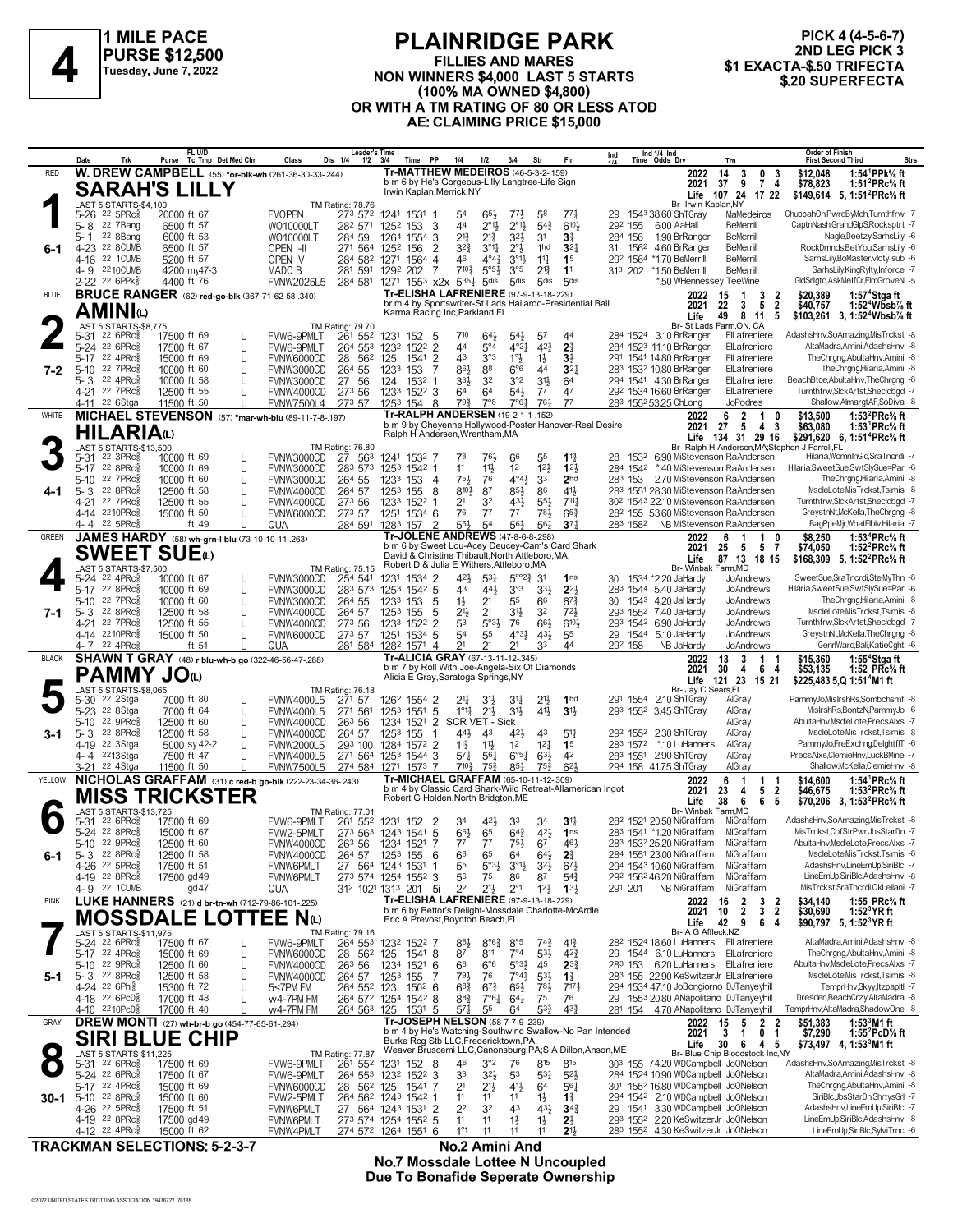

#### **PLAINRIDGE PARK FILLIES AND MARES NON WINNERS \$4,000 LAST 5 STARTS (100% MA OWNED \$4,800) OR WITH A TM RATING OF 80 OR LESS ATOD AE: CLAIMING PRICE \$15,000 \$1 EXACTA-\$.50 TRIFECTA 4 \$.20 SUPERFECTA**

**PICK 4 (4-5-6-7) 2ND LEG PICK 3**

|              | Date<br>Trk                                                   | FL U/D<br>Purse Tc Tmp Det Med Clm                                | Class                                                    | <b>Leader's Time</b><br>Dis 1/4<br>$1/2$ $3/4$ | Time PP                                                                                             | 1/4<br>1/2                                                                  | 3/4<br>Str                                                                | Fin                                  | Ind           |          | Ind 1/4 Ind<br>Time Odds Drv                                               | Trn                                                                                        | <b>Order of Finish</b><br><b>First Second Third</b>                                                                                   | <b>Strs</b> |
|--------------|---------------------------------------------------------------|-------------------------------------------------------------------|----------------------------------------------------------|------------------------------------------------|-----------------------------------------------------------------------------------------------------|-----------------------------------------------------------------------------|---------------------------------------------------------------------------|--------------------------------------|---------------|----------|----------------------------------------------------------------------------|--------------------------------------------------------------------------------------------|---------------------------------------------------------------------------------------------------------------------------------------|-------------|
| <b>RED</b>   |                                                               |                                                                   | W. DREW CAMPBELL (55) *or-blk-wh (261-36-30-33-.244)     |                                                | <b>Tr-MATTHEW MEDEIROS (46-5-3-2-159)</b>                                                           |                                                                             |                                                                           |                                      |               |          | 2022                                                                       | 14<br>3<br>0<br>-3                                                                         | 1:54 $1$ PPk $%$ ft<br>\$12,048                                                                                                       |             |
|              |                                                               | <b>SARAH'S LILLY</b>                                              |                                                          |                                                | b m 6 by He's Gorgeous-Lilly Langtree-Life Sign<br>Irwin Kaplan, Merrick, NY                        |                                                                             |                                                                           |                                      |               |          | 2021                                                                       | 9<br>37<br>$\overline{7}$<br>-4<br>Life 107 24 17 22                                       | \$78,823<br>1:51 <sup>2</sup> PRc <sup>5</sup> / <sub>8</sub> ft<br>\$149,614 5, 1:51 <sup>2</sup> PRc <sup>5</sup> / <sub>8</sub> ft |             |
|              | LAST 5 STARTS-\$4,100                                         |                                                                   |                                                          | <b>TM Rating: 78.76</b>                        |                                                                                                     |                                                                             |                                                                           |                                      |               |          | Br- Irwin Kaplan, NY                                                       |                                                                                            | ChuppahOn,PwrdByMch,Turnthfrw -7                                                                                                      |             |
|              | $22$ 5PR $c_{8}^5$<br>5-26<br>22 7Bang<br>5-8                 | 20000 ft 67<br>6500 ft 57                                         | <b>FMOPEN</b><br>WO10000LT                               | 273 572<br>282 571                             | 1241 1531 1<br>1252 153<br>-3                                                                       | 65}<br>54<br>$2^{\circ}1\frac{1}{2}$<br>44                                  | $77\frac{1}{2}$<br>58<br>$2^{\circ}1\frac{1}{2}$<br>$5^{4}$               | $77\frac{1}{4}$<br>610}              | 29<br>292 155 |          | 1543 38.60 ShTGray<br>6.00 AaHall                                          | MaMedeiros<br><b>BeMerrill</b>                                                             | CaptnNash,GrandGlpS,Rocksptrt -7                                                                                                      |             |
|              | 22 8Bang<br>5-1                                               | 6000 ft 53                                                        | WO10000LT                                                | 284 59                                         | 1264 1554 3                                                                                         | $2^{13}$<br>$2^{13}$                                                        | $3^{21}$<br>31                                                            | $3\frac{3}{4}$                       | 284 156       |          | 1.90 BrRanger                                                              | <b>BeMerrill</b>                                                                           | Nagle,Deetzy,SarhsLily -6                                                                                                             |             |
| 6-1          | 4-23 22 8 CUMB<br>4-16 22 1 CUMB                              | 6500 ft 57                                                        | OPEN I-II                                                |                                                | 271 564 1252 156<br>2                                                                               | $3^{2}\frac{3}{4}$<br>$3^{\circ}1\frac{1}{4}$<br>$4^{\circ}4^{\frac{3}{2}}$ | $2^{\circ}3$<br>1hd<br>$3^{\circ}1\frac{1}{2}$                            | $3^{2}$                              |               | 31 1562  | 4.60 BrRanger<br>292 1564 *1.70 BeMerrill                                  | <b>BeMerrill</b><br>BeMerrill                                                              | RockDmnds,BetYou,SarhsLily -6<br>SarhsLily,BoMaster,vlcty sub -6                                                                      |             |
|              | 4-9 2210 CUMB                                                 | 5200 ft 57<br>4200 my47-3                                         | <b>OPEN IV</b><br>MADC B                                 |                                                | 284 582 1271 1564 4<br>281 591 1292 202<br>7                                                        | 46<br>$7^{10}\frac{3}{4}$<br>$5^{\circ 5}$                                  | $11\frac{1}{4}$<br>$2^{13}$<br>$3^{\circ 5}$                              | 1 <sup>5</sup><br>1 <sup>1</sup>     |               |          | 313 202 *1.50 BeMerrill                                                    | <b>BeMerrill</b>                                                                           | SarhsLily,KingRylty,Inforce -7                                                                                                        |             |
|              | 2-22 22 6PPk                                                  | 4400 ft 76                                                        | <b>FMNW2025L5</b>                                        |                                                | 284 581 1271 1553 x2x 5351                                                                          | 5 <sub>dis</sub>                                                            | 5 <sub>dis</sub><br>5 <sub>dis</sub>                                      | 5 <sub>dis</sub>                     |               |          | *.50 WHennessey TeeWine                                                    |                                                                                            | GldSrIgtd,AskMeIfCr,ElmGroveN -5                                                                                                      |             |
| <b>BLUE</b>  |                                                               |                                                                   | <b>BRUCE RANGER</b> (62) red-go-blk (367-71-62-58-.340)  |                                                | Tr-ELISHA LAFRENIERE (97-9-13-18-.229)<br>br m 4 by Sportswriter-St Lads Hailaroo-Presidential Ball |                                                                             |                                                                           |                                      |               |          | 2022                                                                       | 15<br>3<br>2<br>1<br>$\overline{2}$<br>22<br>3<br>5                                        | \$20,389<br>1:57 $4$ Stgaft<br>$1:524Wb5b%$ ft                                                                                        |             |
|              | AMINIധ                                                        |                                                                   |                                                          |                                                | Karma Racing Inc, Parkland, FL                                                                      |                                                                             |                                                                           |                                      |               |          | 2021<br>Life                                                               | 49<br>8 11<br>5                                                                            | \$40,757<br>\$103,261 3, 1:52 <sup>4</sup> Wbsb <sup>7</sup> / <sub>8</sub> ft                                                        |             |
|              | <b>LAST 5 STARTS-\$8,775</b>                                  |                                                                   |                                                          | <b>TM Rating: 79.70</b>                        |                                                                                                     | 710                                                                         |                                                                           |                                      |               |          |                                                                            | Br- St Lads Farm, ON, CA                                                                   | AdashsHnv,SoAmazing,MisTrckst -8                                                                                                      |             |
|              | 5-31 22 6PRc $\frac{5}{8}$<br>5-24 22 6PRc3                   | 17500 ft 69<br>17500 ft 67                                        | FMW6-9PMLT<br>FMW6-9PMLT<br>L                            | 261 552<br>264 553                             | 1231 152<br>5<br>1232<br>1522 2                                                                     | 643<br>44<br>$5^{\circ}4$                                                   | $54\frac{1}{2}$<br>57<br>$4^{\circ}2^{\frac{1}{4}}$<br>$4^{2}\frac{3}{4}$ | 44<br>2 <sup>3</sup>                 |               |          | 284 1524 3.10 BrRanger<br>284 1523 11.10 BrRanger                          | ElLafreniere<br>ElLafreniere                                                               | AltaMadra,Amini,AdashsHnv -8                                                                                                          |             |
|              | 5-17 22 4PRc                                                  | 15000 ft 69                                                       | FMNW6000CD<br>L                                          | 28 562                                         | $\overline{2}$<br>125<br>1541                                                                       | 3°3<br>43                                                                   | $1^{\circ}$<br>$1\frac{1}{2}$                                             | $3\frac{1}{2}$                       |               |          | 291 1541 14.80 BrRanger                                                    | ElLafreniere                                                                               | TheChrgng,AbultaHnv,Amini -8                                                                                                          |             |
| 7-2          | $5 - 10$<br>22 7PRc3<br>22 4PRc3                              | 10000 ft 60<br>10000 ft 58                                        | FMNW3000CD                                               | 264 55<br>27 56                                | 1233 153<br>-7<br>1532 1                                                                            | 86}<br>88<br>32<br>333                                                      | $6^{\circ}6$<br>44<br>3°2<br>$3^{11}$                                     | 3 <sup>2</sup><br>64                 |               |          | 283 1532 10.80 BrRanger<br>294 1541 4.30 BrRanger                          | ElLafreniere<br>ElLafreniere                                                               | TheChrgng,Hilaria,Amini -8<br>BeachBtge, AbultaHnv, The Chrgng -8                                                                     |             |
|              | 5-3<br>4-21 22 7PRc <sup>5</sup>                              | 12500 ft 55                                                       | FMNW3000CD<br>FMNW4000CD                                 | 273 56                                         | 124<br>1233 1522 3                                                                                  | 64<br>64                                                                    | 54}<br>$7^7$                                                              | 47                                   |               |          | 292 1534 16.60 BrRanger                                                    | ElLafreniere                                                                               | Turnthfrw,SlckArtst,Shecldbgd -7                                                                                                      |             |
|              | 4-11 22 6Stga                                                 | 11500 ft 50                                                       | <b>FMNW7500L4</b>                                        | 273 57                                         | 1253 154 8                                                                                          | $79\frac{3}{4}$<br>$7^{\circ}8$                                             | $76\frac{1}{4}$<br>7°6 <sup>1</sup>                                       | 77                                   |               |          | 283 1552 53.25 ChLong                                                      | <b>JoPodres</b>                                                                            | Shallow, Almargt AF, SoDiva -8                                                                                                        |             |
| WHITE        |                                                               |                                                                   | MICHAEL STEVENSON (57) *mar-wh-blu (89-11-7-8-.197)      |                                                | Tr-RALPH ANDERSEN (19-2-1-1-152)<br>b m 9 by Cheyenne Hollywood-Poster Hanover-Real Desire          |                                                                             |                                                                           |                                      |               |          | 2022<br>2021                                                               | 6<br>2<br>1<br>0<br>-3<br>27<br>5<br>4                                                     | \$13,500<br>1:53 $^{2}$ PRc $\%$ ft<br>1:53 <sup>1</sup> PRc <sup>5</sup> / <sub>8</sub> ft<br>\$63,080                               |             |
|              | <b>HILARIA</b> W                                              |                                                                   |                                                          |                                                | Ralph H Andersen, Wrentham, MA                                                                      |                                                                             |                                                                           |                                      |               |          |                                                                            | Life 134 31 29 16                                                                          | \$291,620 6, 1:51 <sup>4</sup> PRc <sup>5</sup> / <sub>8</sub> ft                                                                     |             |
|              | LAST 5 STARTS-\$13,500<br>$22 \text{ } 3 \text{PRc}^5$        | 10000 ft 69                                                       |                                                          | <b>TM Rating: 76.80</b><br>27 563              | 1241 1532 7                                                                                         | 78<br>761                                                                   | 55<br>66                                                                  | $1^{13}$                             | 28            | 1532     |                                                                            | Br- Ralph H Andersen, MA; Stephen J Farrell, FL<br>6.90 MiStevenson RaAndersen             | Hilaria, WomnInGld, SraTncrdi -7                                                                                                      |             |
|              | 5-31<br>5-17 22 8PRc                                          | 10000 ft 69                                                       | FMNW3000CD<br>FMNW3000CD<br>L                            | 283 573                                        | 1253 1542 1                                                                                         | 11<br>$11\frac{1}{2}$                                                       | 12 <sup>1</sup><br>1 <sup>2</sup>                                         | 123                                  |               | 284 1542 |                                                                            | *.40 MiStevenson RaAndersen                                                                | Hilaria, Sweet Sue, Swt Sly Sue=Par -6                                                                                                |             |
|              | 22 7PRc3<br>5-10                                              | 10000 ft 60                                                       | FMNW3000CD<br>L                                          | 264 55                                         | 1233 153<br>- 4                                                                                     | 75}<br>76                                                                   | $4^{\circ}4^{\frac{1}{2}}$<br>33                                          | 2 <sub>hd</sub>                      | 283 153       |          |                                                                            | 2.70 MiStevenson RaAndersen                                                                | TheChrgng,Hilaria,Amini -8                                                                                                            |             |
| 4-1          | 22 8PRc3<br>5-3<br>22 7PRc3<br>4-21                           | 12500 ft 58<br>12500 ft 55                                        | FMNW4000CD<br>L<br>FMNW4000CD<br>L                       | 264 57<br>273 56                               | 1253 155<br>- 8<br>1233 1522 1                                                                      | 87<br>$8^{10}\frac{1}{2}$<br>2 <sup>1</sup><br>32                           | 85}<br>86<br>431<br>$55\frac{1}{2}$                                       | 41}<br>$711\frac{1}{4}$              |               |          |                                                                            | 283 1551 28.30 MiStevenson RaAndersen<br>30 <sup>2</sup> 1543 22.10 MiStevenson RaAndersen | MsdleLote, MisTrckst, Tsimis -8<br>Turnthfrw,SlckArtst,Shecldbgd -7                                                                   |             |
|              | 4-14 2210PRc                                                  | 15000 ft 50                                                       | FMNW6000CD<br>L                                          | 273 57                                         | 1251 1534 6                                                                                         | 77<br>76                                                                    | 77<br>781                                                                 | $65\frac{3}{4}$                      |               |          |                                                                            | 28 <sup>2</sup> 155 53.60 MiStevenson RaAndersen                                           | GreystnNt, McKella, The Chrgng -8                                                                                                     |             |
|              | 4-4 22 5PRc                                                   | ft 49                                                             | QUA                                                      |                                                | 284 591 1283 157 2                                                                                  | $5^{5}\frac{1}{2}$<br>54                                                    | 56}<br>561                                                                | $3^{7}$                              |               | 283 1582 |                                                                            | NB MiStevenson RaAndersen                                                                  | BagPpeMjr, WhatFlblv, Hilaria -7                                                                                                      |             |
| GREEN        |                                                               | JAMES HARDY (58) wh-grn-I blu (73-10-10-11-.263)                  |                                                          |                                                | Tr-JOLENE ANDREWS (47-8-6-8-298)<br>b m 6 by Sweet Lou-Acey Deucey-Cam's Card Shark                 |                                                                             |                                                                           |                                      |               |          | 2022<br>2021                                                               | 6<br>1<br>5<br>25<br>5<br>-7                                                               | \$8,250<br>1:53 ${}^4$ PRc ${}^5\!$ ft<br>1:52 $^{2}$ PRc $\%$ ft<br>\$74,050                                                         |             |
|              | SWEET SUEധ                                                    |                                                                   |                                                          |                                                | David & Christine Thibault, North Attleboro, MA;<br>Robert D & Julia E Withers, Attleboro, MA       |                                                                             |                                                                           |                                      |               |          | Life                                                                       | 87 13 18 15                                                                                | \$168,309 5, 1:52 <sup>2</sup> PRc <sup>5</sup> / <sub>8</sub> ft                                                                     |             |
|              | LAST 5 STARTS-\$7,500<br>5-24 <sup>22</sup> 4PRc <sup>3</sup> | 10000 ft 67                                                       | FMNW3000CD                                               | TM Rating: 75.15<br>254 541                    | 1231 1534 2                                                                                         | 423<br>$5^{3}$                                                              | $5^{\circ}2\frac{3}{4}$<br>3 <sup>1</sup>                                 | 1 <sub>ns</sub>                      | 30            |          | Br- Winbak Farm, MD<br>1534 *2.20 JaHardy                                  | JoAndrews                                                                                  | SweetSue,SraTncrdi,StelMyThn -8                                                                                                       |             |
|              | 5-17 22 8PRc                                                  | 10000 ft 69                                                       | FMNW3000CD<br>L                                          | 283 573                                        | 1253 1542 5                                                                                         | 43<br>443                                                                   | 3°3<br>331                                                                | $2^{2}$                              |               |          | 283 1544 5.40 JaHardy                                                      | JoAndrews                                                                                  | Hilaria,SweetSue,SwtSlySue=Par -6                                                                                                     |             |
|              | 22 7PRc3<br>5-10                                              | 10000 ft 60                                                       | FMNW3000CD<br>L                                          | 264 55                                         | 1233 153<br>5                                                                                       | $1\frac{1}{2}$<br>2 <sup>1</sup>                                            | 55<br>66                                                                  | $67\frac{3}{4}$                      | 30            |          | 1543 4.20 JaHardy                                                          | JoAndrews<br>JoAndrews                                                                     | TheChrgng,Hilaria,Amini -8<br>MsdleLote, MisTrckst, Tsimis -8                                                                         |             |
| 7-1          | $5 - 3$ 22 8PRc $\frac{5}{8}$<br>22 7PRc3<br>4-21             | 12500 ft 58<br>12500 ft 55                                        | FMNW4000CD<br>FMNW4000CD<br>L                            | 264 57<br>273 56                               | 1253 155<br>5<br>1233 1522 2                                                                        | 21}<br>2 <sup>1</sup><br>5°3 <sup>1</sup><br>53                             | 31}<br>32<br>661<br>76                                                    | $72\frac{1}{2}$<br>6101              |               | 293 1542 | 293 1552 7.40 JaHardy<br>6.90 JaHardy                                      | JoAndrews                                                                                  | Turnthfrw,SlckArtst,Shecldbgd -7                                                                                                      |             |
|              | 4-14 2210PRc                                                  | 15000 ft 50                                                       | FMNW6000CD<br>L                                          | 273 57                                         | 1251 1534 5                                                                                         | 54<br>55                                                                    | $4^{\circ}3\frac{1}{2}$<br>431                                            | 55                                   | 29            | 1544     | 5.10 JaHardy                                                               | JoAndrews                                                                                  | GreystnNt, McKella, The Chrgng -8                                                                                                     |             |
| <b>BLACK</b> | 4-7 22 4PRc3                                                  | ft 51                                                             | QUA                                                      |                                                | 281 584 1282 1571 4<br>Tr-ALICIA GRAY (67-13-11-12-.345)                                            | 2 <sup>1</sup><br>21                                                        | 33<br>2 <sup>1</sup>                                                      | 44                                   | 292 158       |          | NB JaHardy                                                                 | JoAndrews                                                                                  | GenrlWard,Bali,KatieCght -6                                                                                                           |             |
|              |                                                               |                                                                   | SHAWN T GRAY (48) r blu-wh-b go (322-46-56-47-.288)      |                                                | b m 7 by Roll With Joe-Angela-Six Of Diamonds                                                       |                                                                             |                                                                           |                                      |               |          | 2022<br>2021                                                               | 13<br>3<br>1 1<br>30<br>4<br>6<br>-4                                                       | 1:55 <sup>4</sup> Stgaft<br>\$15,360                                                                                                  |             |
|              |                                                               |                                                                   |                                                          |                                                |                                                                                                     |                                                                             |                                                                           |                                      |               |          |                                                                            |                                                                                            | 1:52 $PRc$ <sup>5</sup> / <sub>8</sub> ft<br>\$53,135                                                                                 |             |
|              |                                                               | PAMMY JOധ                                                         |                                                          |                                                | Alicia E Gray, Saratoga Springs, NY                                                                 |                                                                             |                                                                           |                                      |               |          |                                                                            | Life 121 23 15 21                                                                          | \$225,483 5,Q 1:51 <sup>4</sup> M1 ft                                                                                                 |             |
|              | LAST 5 STARTS-\$8,065<br>5-30 <sup>22</sup> 2Stga             | 7000 ft 80                                                        | FMNW4000L5                                               | <b>TM Rating: 76.18</b><br>271 57              | 126 <sup>2</sup> 1554 2                                                                             | $21\frac{1}{4}$<br>31,                                                      | 2 <sup>11</sup><br>3 <sup>1</sup>                                         | 1 <sub>hd</sub>                      |               |          | Br- Jay C Sears, FL<br>291 1554 2.10 ShTGray                               | AlGray                                                                                     | PammyJo, MisIrshRs, Sombchsmf -8                                                                                                      |             |
|              | 5-23 <sup>22</sup> 8Stga                                      | 7000 ft 64                                                        | <b>FMNW4000L5</b><br>L                                   | 271 561                                        | 125 <sup>3</sup><br>$155^1$ 5                                                                       | $1^{\circ}1_{4}^{1}$<br>$21\frac{1}{2}$                                     | 3 <sup>1</sup><br>41}                                                     | 3 <sup>1</sup>                       |               |          | 293 1552 3.45 ShTGray                                                      | AlGray                                                                                     | MislrshRs,BontzN,PammyJo -6                                                                                                           |             |
|              | 22 9PRc3<br>5-10                                              | 12500 ft 60                                                       | FMNW4000CD<br>L                                          | 263 56                                         | 1234 1521 2                                                                                         | SCR VET - Sick                                                              |                                                                           |                                      |               |          |                                                                            | AlGray                                                                                     | AbultaHnv,MsdleLote,PrecsAlxs -7                                                                                                      |             |
| 3-1          | 5- 3 $22$ 8PRc $\frac{5}{8}$<br>4-19 22 3Stga                 | 12500 ft 58<br>5000 sy 42-2                                       | FMNW4000CD<br><b>FMNW2000L5</b><br>L                     | 264 57<br>293 100                              | 1253 155<br>$\mathbf{1}$<br>1284 1572 2                                                             | 44}<br>43<br>$11\frac{3}{4}$<br>$11\frac{1}{2}$                             | 43<br>423<br>12 <sub>1</sub><br>1 <sup>2</sup>                            | $5^{13}$<br>1 <sup>5</sup>           |               | 283 1572 | 29 <sup>2</sup> 155 <sup>2</sup> 2.30 ShTGray<br>*.10 LuHanners            | AlGray<br>AlGray                                                                           | MsdleLote, MisTrckst, Tsimis -8<br>PammyJo,FreExchng,DelghtflT -6                                                                     |             |
|              | 4-4 2213Stga                                                  | 7500 ft 47                                                        | <b>FMNW4000L5</b>                                        |                                                | 271 564 1253 1544 3                                                                                 | $5^{71}$<br>$56\frac{1}{4}$                                                 | $6^{\circ 51}$<br>63}                                                     | 42                                   |               |          | 283 1551 2.90 ShTGray                                                      | AlGray                                                                                     | PrecsAlxs,ClemieHnv,LuckBMine -7                                                                                                      |             |
|              | 3-21 <sup>22</sup> 4Stga                                      | 11500 ft 50                                                       | <b>FMNW7500L5</b>                                        |                                                | 274 584 1271 1573 7                                                                                 | $7^{10\frac{3}{4}}$<br>$75\frac{3}{4}$                                      | $85\frac{1}{4}$<br>$75\frac{3}{4}$                                        | $6^{2}$                              |               |          | 294 158 41.75 ShTGray                                                      | AlGray                                                                                     | Shallow.McKella.ClemieHnv -8                                                                                                          |             |
| YELLOW       |                                                               |                                                                   | NICHOLAS GRAFFAM (31) c red-b go-blk (222-23-34-36-.243) |                                                | Tr-MICHAEL GRAFFAM (65-10-11-12-.309)<br>b m 4 by Classic Card Shark-Wild Retreat-Allamerican Ingot |                                                                             |                                                                           |                                      |               |          | 2022<br>2021                                                               | 6<br>-1<br>1<br>-1<br>23<br>$\overline{2}$<br>4<br>5                                       | 1:54 <sup>1</sup> PRc <sup>5</sup> / <sub>8</sub> ft<br>\$14,600<br>\$46,675<br>1:53 $^{2}$ PRc $\%$ ft                               |             |
|              |                                                               | <b>MISS TRICKSTER</b>                                             |                                                          |                                                | Robert G Holden, North Bridgton, ME                                                                 |                                                                             |                                                                           |                                      |               |          | Life                                                                       | 38<br>6<br>6<br>5                                                                          | \$70,206 3, 1:53 <sup>2</sup> PRc <sup>5</sup> / <sub>8</sub> ft                                                                      |             |
|              | LAST 5 STARTS-\$13,725<br>5-31 22 6PRc $\frac{5}{8}$          | 17500 ft 69                                                       | FMW6-9PMLT                                               | <b>TM Rating: 77.01</b><br>261 552             | 1231 152<br>- 2                                                                                     | 42}<br>34                                                                   | 33<br>34                                                                  | $3^{11}$                             |               |          | Br- Winbak Farm, MD<br>28 <sup>2</sup> 1521 20.50 NiGraffam                | MiGraffam                                                                                  | AdashsHnv,SoAmazing,MisTrckst -8                                                                                                      |             |
|              | 5-24 22 8PRc                                                  | 15000 ft 67                                                       | FMW2-5PMLT                                               |                                                | 273 563 1243 1541 5                                                                                 | 66}<br>65                                                                   | $6^{4}3$<br>423                                                           | 1 <sub>ns</sub>                      |               |          | 283 1541 *1.20 NiGraffam                                                   | MiGraffam                                                                                  | MisTrckst.CbfStrPwr.JbsStarDn -7                                                                                                      |             |
| 6-1          | 5-10 22 9PRc \$<br>$5 - 3$<br>$22$ $8$ PR $c_{8}$             | 12500 ft 60<br>12500 ft 58                                        | FMNW4000CD 263 56 1234 1521 7<br>FMNW4000CD              | 264 57                                         | 1253 155<br>6                                                                                       | 77 77<br>68<br>65                                                           | $75\frac{1}{2}$<br>67<br>$64\frac{1}{2}$<br>64                            | 461<br>$2\frac{3}{4}$                |               |          | 283 1532 25.20 NiGraffam<br>284 1551 23.00 NiGraffam                       | MiGraffam<br>MiGraffam                                                                     | AbultaHnv,MsdleLote,PrecsAlxs -7<br>MsdleLote.MisTrckst.Tsimis -8                                                                     |             |
|              | 4-26 22 5PRcs                                                 | 17500 ft 51                                                       | <b>FMNW6PMLT</b>                                         |                                                | 27 564 1243 1531<br>1                                                                               | $5°3\frac{1}{2}$<br>55                                                      | 3°1<br>$3^{2}\frac{1}{2}$                                                 | $6^{7}\frac{1}{2}$                   |               |          | 294 1543 10.60 NiGraffam                                                   | MiGraffam                                                                                  | AdashsHnv,LineEmUp,SiriBlc -7                                                                                                         |             |
|              | 4-19 22 8PRc                                                  | 17500 gd 49                                                       | FMNW6PMLT                                                |                                                | 273 574 1254 1552 3                                                                                 | 56<br>75                                                                    | 86<br>87                                                                  | $5^{4}$                              |               |          | 292 1562 46.20 NiGraffam                                                   | MiGraffam                                                                                  | LineEmUp,SiriBlc,AdashsHnv -8<br>MisTrckst.SraTncrdi.OkLeilani -7                                                                     |             |
| <b>PINK</b>  | 4-9 22 1 CUMB                                                 | $\text{gd }47$                                                    | QUA                                                      |                                                | 31 <sup>2</sup> 102 <sup>1</sup> 131 <sup>3</sup> 201 5i<br>Tr-ELISHA LAFRENIERE (97-9-13-18-229)   | 2 <sup>2</sup><br>$21\frac{1}{2}$                                           | $2^{\circ}1$<br>$12\frac{1}{2}$                                           | 133                                  | 291 201       |          | NB NiGraffam<br>2022                                                       | MiGraffam<br>2<br>3<br>16<br>2                                                             | \$34,140                                                                                                                              |             |
|              |                                                               | O                                                                 | LUKE HANNERS (21) d br-tn-wh (712-79-86-101-.225)        |                                                | b m 6 by Bettor's Delight-Mossdale Charlotte-McArdle                                                |                                                                             |                                                                           |                                      |               |          | 2021                                                                       | $\overline{2}$<br>$\overline{2}$<br>$3^{\circ}$<br>10                                      | 1:55 PRc% ft<br>$1:523$ YR ft<br>\$30,690                                                                                             |             |
|              | <b>MOSSDALE</b><br>LAST 5 STARTS-\$11,975                     |                                                                   | 'EE.<br>$N_{(L)}$                                        | TM Rating: 79.16                               | Eric A Prevost, Boynton Beach, FL                                                                   |                                                                             |                                                                           |                                      |               |          | Life<br>Br- A G Affleck, NZ                                                | 42 9<br>64                                                                                 | \$90,797 5, 1:52 <sup>3</sup> YR ft                                                                                                   |             |
|              | 5-24 22 6PRc <sup>5</sup>                                     | 17500 ft 67                                                       | FMW6-9PMLT                                               | 264 553                                        | 1232 1522 7                                                                                         | 883<br>$8^{\circ}6^{\frac{3}{2}}$                                           | $8^{\circ 5}$<br>$74\frac{3}{4}$                                          | $4^{13}$                             |               |          |                                                                            | 28 <sup>2</sup> 1524 18.60 LuHanners ElLafreniere                                          | AltaMadra,Amini,AdashsHnv -8                                                                                                          |             |
|              | 5-17 22 4PRc3                                                 | 15000 ft 69                                                       | FMNW6000CD<br>L                                          | 28 562                                         | 125<br>1541 8                                                                                       | 87<br>811                                                                   | $7^{\circ}4$<br>$5^{31}$                                                  | $4^{2}\frac{3}{4}$                   | 29            |          | 1544 6.10 LuHanners                                                        | ElLafreniere                                                                               | TheChrgng,AbultaHnv,Amini -8<br>AbultaHnv,MsdleLote,PrecsAlxs -7                                                                      |             |
| 5-1          | 5-10 22 9PRcs<br>$5 - 3$ 22 8PRc                              | 12500 ft 60<br>12500 ft 58                                        | FMNW4000CD<br>FMNW4000CD                                 | 26 <sup>3</sup> 56<br>264 57                   | 1234 1521<br>-6<br>1253 155<br>7                                                                    | $6^{\circ}6$<br>66<br>793<br>76                                             | $5°3\frac{1}{2}$<br>45<br>$7^{\circ}4\frac{1}{2}$<br>$5^{3}\frac{1}{2}$   | $2^{3}\frac{3}{4}$<br>$1\frac{3}{4}$ | 283 153       |          |                                                                            | 6.20 LuHanners ElLafreniere<br>283 155 22.90 KeSwitzerJr ElLafreniere                      | MsdleLote.MisTrckst.Tsimis -8                                                                                                         |             |
|              | 4-24 22 6Phls                                                 | 15300 ft 72                                                       | 5<7PM FM                                                 | 264 552 123                                    | $150^2$ 6                                                                                           | $6^{8}\frac{3}{4}$<br>$6^{7}\frac{3}{4}$                                    | $65\frac{1}{2}$<br>781                                                    | 717 <sub>7</sub>                     |               |          |                                                                            | 294 1534 47.10 JoBongiorno DJTanyeyhill                                                    | TemprHnv,Skyy,ItzpapItl -7                                                                                                            |             |
|              | 4-18 22 6PcD<br>4-10 2210PcD                                  | 17000 ft 48<br>17000 ft 40                                        | w4-7PM FM<br>w4-7PM FM                                   | 264 563 125                                    | 264 572 1254 1542 8<br>1531 5                                                                       | $8^{8}$ <sub>4</sub><br>7°61<br>$5^{71}$<br>55                              | $64\frac{1}{4}$<br>75<br>$5^{3}\frac{3}{4}$<br>64                         | 76<br>$4^{3}\frac{3}{4}$             |               |          |                                                                            | 29 1553 20.80 ANapolitano DJTanyeyhill<br>281 154 4.70 ANapolitano DJTanyeyhill            | Dresden, Beach Crzy, Alta Madra -8<br>TemprHnv, AltaMadra, ShadowOne -8                                                               |             |
| GRAY         |                                                               | DREW MONTI (27) wh-br-b go (454-77-65-61-294)                     |                                                          |                                                | Tr-JOSEPH NELSON (58-7-7-9-.239)                                                                    |                                                                             |                                                                           |                                      |               |          | 2022                                                                       | 15<br>2<br>2<br>5                                                                          | $1:533M1$ ft<br>\$51,383                                                                                                              |             |
|              |                                                               | <b>CHIP</b>                                                       |                                                          |                                                | b m 4 by He's Watching-Southwind Swallow-No Pan Intended                                            |                                                                             |                                                                           |                                      |               |          | 2021                                                                       | 3<br>0<br>1<br>1                                                                           | \$7,290<br>1:55 $^{2}$ PcD $\%$ ft                                                                                                    |             |
|              | <b>SIRI BLUE</b><br>LAST 5 STARTS-\$11,225                    |                                                                   |                                                          | <b>TM Rating: 77.87</b>                        | Burke Rcg Stb LLC, Fredericktown, PA;<br>Weaver Bruscemi LLC, Canonsburg, PA; S A Dillon, Anson, ME |                                                                             |                                                                           |                                      |               |          | Life                                                                       | 30<br>- 6<br>45<br>Br- Blue Chip Bloodstock Inc,NY                                         | \$73,497 4, 1:53 <sup>3</sup> M1 ft                                                                                                   |             |
|              | 5-31 22 6PRc <sup>5</sup>                                     | 17500 ft 69                                                       | FMW6-9PMLT                                               | 261 552                                        | 1231 152<br>-8                                                                                      | 3°2<br>46                                                                   | 76<br>815                                                                 | 815                                  |               |          | 303 155 74.20 WDCampbell JoONelson                                         |                                                                                            | AdashsHnv,SoAmazing,MisTrckst -8                                                                                                      |             |
|              | 5-24 22 6PRc3<br>5-17 22 4PRc                                 | 17500 ft 67<br>15000 ft 69                                        | FMW6-9PMLT<br>FMNW6000CD                                 | 264 553<br>28 562                              | 1232 1522 3<br>1541<br>125                                                                          | 33<br>$3^{21}$<br>2 <sup>1</sup><br>$21\frac{1}{2}$                         | 53<br>5 <sup>31</sup><br>$4^{11}$<br>64                                   | $5^{2}$<br>$56\frac{1}{4}$           |               |          | 284 1524 10.90 WDCampbell JoONelson<br>301 1552 16.80 WDCampbell JoONelson |                                                                                            | AltaMadra,Amini,AdashsHnv -8<br>TheChrgng,AbultaHnv,Amini -8                                                                          |             |
|              | 30-1 5-10 22 8PRc                                             | 15000 ft 60                                                       | FMW2-5PMLT                                               |                                                | 264 562 1243 1542 1                                                                                 | 11<br>11                                                                    | 11<br>$1\frac{1}{2}$                                                      | $1\frac{3}{4}$                       |               |          | 294 1542 2.10 WDCampbell JoONelson                                         |                                                                                            | SiriBlc,JbsStarDn,ShrtysGrl -7                                                                                                        |             |
|              | 4-26 22 5PRcs<br>4-19 22 8PRc                                 | 17500 ft 51                                                       | FMNW6PMLT                                                |                                                | 27 564 1243 1531 2                                                                                  | 32<br>22<br>11<br>11                                                        | 43<br>$4^{3}\frac{1}{2}$                                                  | $3^{42}$                             | 29            | 1541     | 3.30 WDCampbell JoONelson<br>293 1552 2.20 KeSwitzerJr JoONelson           |                                                                                            | AdashsHnv,LineEmUp,SiriBlc -7<br>LineEmUp,SiriBlc,AdashsHnv -8                                                                        |             |
|              | 4-12 <sup>22</sup> 4PRc                                       | 17500 gd 49<br>15000 ft 62<br><b>TRACKMAN SELECTIONS: 5-2-3-7</b> | FMNW6PMLT<br>FMNW4PMLT                                   |                                                | 273 574 1254 1552 5<br>274 572 1264 1551 6                                                          | 1 <sup>°1</sup><br>11                                                       | $1\frac{1}{2}$<br>$1\frac{1}{2}$<br>11<br>11                              | $2\frac{1}{2}$<br>2 <sup>11</sup>    |               |          | 283 1552 4.30 KeSwitzerJr JoONelson                                        |                                                                                            | LineEmUp,SiriBlc,SylviTrnc -6                                                                                                         |             |

**No.7 Mossdale Lottee N Uncoupled Due To Bonafide Seperate Ownership**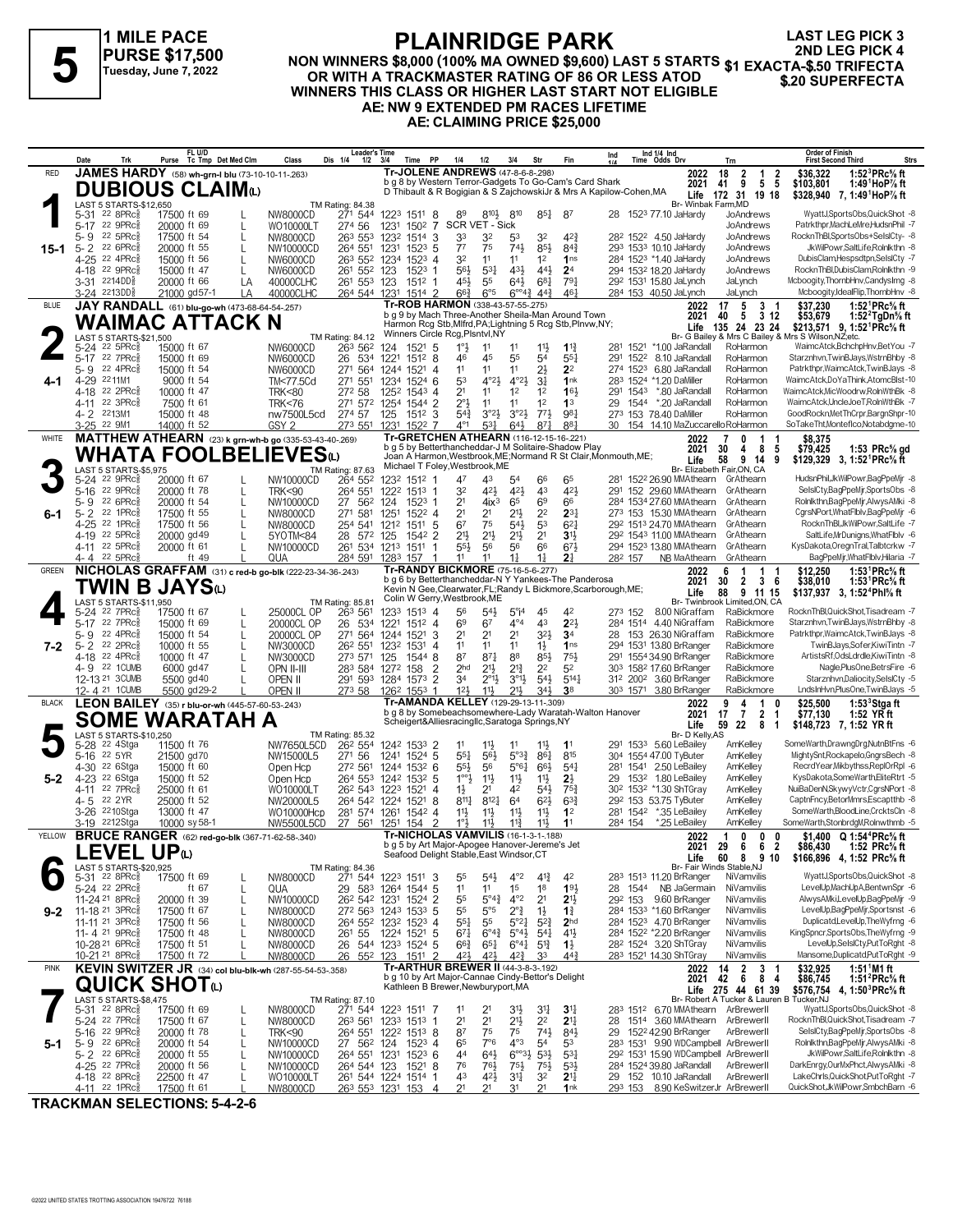

# **PLAINRIDGE PARK NON WINNERS \$8,000 (100% MA OWNED \$9,600) LAST 5 STARTS PURSE \$17,500**<br>Tuesday, June 7, 2022 MON WINNERS \$8,000 (100% MA OWNED \$9,600) LAST 5 STARTS \$1 EXACTA-\$.50 TRIFECTA<br>OR WITH A TRACKMASTER RATING OF 86 OR LESS ATOD \$20 SUPERFECTA **WINNERS THIS CLASS OR HIGHER LAST START NOT ELIGIBLE AE: NW 9 EXTENDED PM RACES LIFETIME**

**LAST LEG PICK 3 2ND LEG PICK 4**

**AE: CLAIMING PRICE \$25,000**

|              | Date<br>Trk                                                                                       |                            | FL U/D                   | Purse Tc Tmp Det Med Clm | Class                          | Leader's Time<br>Dis 1/4<br>$1/2$ $3/4$                                                    |                   | Time PP                         |                | 1/4                                | 1/2                                                                                        | 3/4                                                  | Str                               | Fin                                                                                                                          | Ind     |          | Ind 1/4 Ind<br>Time Odds Drv                                     |                     | Trn                                |                                                | <b>Order of Finish</b><br><b>First Second Third</b> |                                                                                                              | Strs |
|--------------|---------------------------------------------------------------------------------------------------|----------------------------|--------------------------|--------------------------|--------------------------------|--------------------------------------------------------------------------------------------|-------------------|---------------------------------|----------------|------------------------------------|--------------------------------------------------------------------------------------------|------------------------------------------------------|-----------------------------------|------------------------------------------------------------------------------------------------------------------------------|---------|----------|------------------------------------------------------------------|---------------------|------------------------------------|------------------------------------------------|-----------------------------------------------------|--------------------------------------------------------------------------------------------------------------|------|
| <b>RED</b>   | JAMES HARDY (58) wh-grn-I blu (73-10-10-11-.263)                                                  |                            |                          |                          |                                |                                                                                            |                   |                                 |                |                                    | <b>Tr-JOLENE ANDREWS (47-8-6-8-298)</b>                                                    |                                                      |                                   |                                                                                                                              |         |          |                                                                  | 2022                | 18<br>$\mathbf{2}$                 | $\begin{array}{cc} 1 & 2 \\ 5 & 5 \end{array}$ | \$36,322                                            | 1:52 ${}^{3}$ PRc ${}^{5}$ sft                                                                               |      |
|              | <b>DUBIOUS CLAIM</b> <sup>1</sup>                                                                 |                            |                          |                          |                                |                                                                                            |                   |                                 |                |                                    |                                                                                            |                                                      |                                   | b g 8 by Western Terror-Gadgets To Go-Cam's Card Shark<br>D Thibault & R Bogigian & S ZajchowskiJr & Mrs A Kapilow-Cohen, MA |         |          |                                                                  | 2021                | 9<br>41<br>Life 172 31 19 18       |                                                | \$103,801                                           | 1:49 HoP % ft<br>\$328,940 7, 1:49 HoP% ft                                                                   |      |
|              | LAST 5 STARTS-\$12,650                                                                            |                            |                          |                          |                                | TM Rating: 84.38                                                                           |                   |                                 |                |                                    |                                                                                            |                                                      |                                   |                                                                                                                              |         |          |                                                                  | Br- Winbak Farm, MD |                                    |                                                |                                                     |                                                                                                              |      |
|              | $22$ $8$ PR $c_{8}$<br>5-31<br>5-17 22 9PRc                                                       | 17500 ft 69<br>20000 ft 69 |                          |                          | NW8000CD<br>WO10000LT          | 271 544<br>274 56                                                                          |                   | 1223 1511 8<br>1231 1502 7      |                | 89                                 | $8^{10}\frac{1}{2}$<br>SCR VET - Sick                                                      | 810                                                  | $85\frac{1}{4}$                   | 87                                                                                                                           |         |          | 28 1523 77.10 JaHardy                                            |                     | JoAndrews<br>JoAndrews             |                                                |                                                     | WyattJ,SportsObs,QuickShot -8<br>Patrkthpr.MachLeMre.HudsnPhil -7                                            |      |
|              | 22 5PRc<br>5-9                                                                                    | 17500 ft 54                |                          |                          | NW8000CD                       | 263 553 1232 1514 3                                                                        |                   |                                 |                | 33                                 | 32                                                                                         | 53                                                   | 32                                | $4^{2}$                                                                                                                      |         |          | 28 <sup>2</sup> 152 <sup>2</sup> 4.50 JaHardy                    |                     | JoAndrews                          |                                                |                                                     | RocknThBl,SportsObs+SelsICty- -8                                                                             |      |
| 15-1         | 22 6PRc<br>$5 - 2$<br>4-25 22 4PRc                                                                | 20000 ft 55                |                          |                          | NW10000CD                      | 264 551                                                                                    | 1231              | $152^3$ 5                       |                | $7^7$                              | 75                                                                                         | 741                                                  | 85}                               | 84 <sub>1</sub>                                                                                                              |         |          | 293 1533 10.10 JaHardy                                           |                     | JoAndrews                          |                                                |                                                     | JkWilPowr,SaltLife,Rolnlkthn -8<br>DubisClam, Hespsdtpn, SelsICty -7                                         |      |
|              | 4-18 <sup>22</sup> 9PRc <sup>3</sup>                                                              | 15000 ft 56<br>15000 ft 47 |                          |                          | NW6000CD<br>NW6000CD           | 263 552 1234 1523 4<br>261 552 123                                                         |                   | $1523$ 1                        |                | 32<br>56}                          | 11<br>$53\frac{1}{4}$                                                                      | 11<br>431                                            | 1 <sup>2</sup><br>443             | 1 <sub>ns</sub><br>2 <sup>4</sup>                                                                                            |         |          | 284 1523 *1.40 JaHardy<br>294 1532 18.20 JaHardy                 |                     | JoAndrews<br>JoAndrews             |                                                |                                                     | RocknThBl,DubisClam,Rolnlkthn -9                                                                             |      |
|              | 3-31 2214DD <sub>8</sub>                                                                          | 20000 ft 66                |                          | LA                       | 40000CLHC                      | 261 553 123                                                                                |                   | 1512 1                          |                | 451                                | 55                                                                                         | $64\frac{1}{2}$                                      | $6^{8}$ <sub>1</sub>              | 791                                                                                                                          |         |          | 29 <sup>2</sup> 1531 15.80 JaLynch                               |                     | JaLynch                            |                                                |                                                     | Mcboogity, ThornbHnv, CandysImg -8                                                                           |      |
|              | 3-24 <sup>2213DD</sup>                                                                            |                            | 21000 gd57-1             | LA                       | 40000CLHC                      | 264 544 1231                                                                               |                   | 1514 2                          |                | 66}                                | $6^{\circ}5$<br>Tr-ROB HARMON (338-43-57-55-.275)                                          | $6^{\circ 4\frac{3}{4}}$                             | $44\frac{3}{4}$                   | 461                                                                                                                          |         |          | 284 153 40.50 JaLynch                                            |                     | JaLynch                            |                                                |                                                     | Mcboogity,IdealFlip,ThornbHnv -8                                                                             |      |
| <b>BLUE</b>  | JAY RANDALL (61) blu-go-wh (473-68-64-54-257)                                                     |                            |                          |                          |                                |                                                                                            |                   |                                 |                |                                    |                                                                                            |                                                      |                                   | b g 9 by Mach Three-Another Sheila-Man Around Town                                                                           |         |          |                                                                  | 2022<br>2021        | 17<br>5<br>40<br>5                 | 3 <sub>1</sub><br>- 312                        | \$37.230<br>\$53,679                                | 1:52 $\text{PRc}$ % ft<br>1:52 $2$ TgDn $\%$ ft                                                              |      |
|              | WAIMAC ATTACK N                                                                                   |                            |                          |                          |                                |                                                                                            |                   | Winners Circle Rcg, Plsntvl, NY |                |                                    |                                                                                            |                                                      |                                   | Harmon Rcg Stb, Mlfrd, PA; Lightning 5 Rcg Stb, Plnvw, NY;                                                                   |         |          |                                                                  | Life                | 135 24 23 24                       |                                                | Br- G Bailey & Mrs C Bailey & Mrs S Wilson.NZ:etc.  | \$213.571 9. 1:52 <sup>1</sup> PRc <sup>5</sup> / <sub>8</sub> ft                                            |      |
|              | LAST 5 STARTS-\$21,500<br>5-24 <sup>22</sup> 5PRc <sup>5</sup>                                    | 15000 ft 67                |                          |                          | NW6000CD                       | TM Rating: 84.12<br>263 562                                                                |                   | 124 1521 5                      |                | $1^{\circ}$                        | 11                                                                                         | 11                                                   | $11\frac{1}{2}$                   | $1^{13}$                                                                                                                     |         |          | 281 1521 *1.00 JaRandall                                         |                     | RoHarmon                           |                                                |                                                     | WaimcAtck, BchchpHnv, BetYou -7                                                                              |      |
|              | 5-17 22 7PRc                                                                                      | 15000 ft 69                |                          |                          | NW6000CD                       | 26 534 1221                                                                                |                   | 1512 8                          |                | 46                                 | 45                                                                                         | 55                                                   | 54                                | $55\frac{1}{4}$                                                                                                              | 291     | 1522     | 8.10 JaRandall                                                   |                     | RoHarmon                           |                                                |                                                     | Starznhvn, TwinBJays, WstrnBhby -8                                                                           |      |
| 4-1          | 22 4PRc3<br>5-9<br>4-29 2211M1                                                                    | 15000 ft 54                | 9000 ft 54               |                          | NW6000CD<br>TM<77.5Cd          | 271 564<br>271 551                                                                         | 1244 1521<br>1234 | $1524$ 6                        | -4             | 11<br>53                           | 11<br>4°2 <sub>3</sub>                                                                     | 11<br>$4^{\circ}2\frac{1}{2}$                        | 21<br>3 <sup>1</sup>              | 2 <sup>2</sup><br>1nk                                                                                                        |         | 274 1523 | 6.80 JaRandall<br>283 1524 *1.20 DaMiller                        |                     | RoHarmon<br>RoHarmon               |                                                |                                                     | Patrkthpr, WaimcAtck, TwinBJays -8<br>WaimcAtck,DoYaThink,AtomcBlst-10                                       |      |
|              | 22 2PRc3<br>4-18                                                                                  | 10000 ft 47                |                          |                          | <b>TRK&lt;80</b>               | 272 58                                                                                     | 1252              | $154^3$ 4                       |                | 2 <sup>1</sup>                     | 11                                                                                         | 1 <sup>2</sup>                                       | 1 <sup>2</sup>                    | 163                                                                                                                          |         | 291 1543 | *.80 JaRandall                                                   |                     | RoHarmon                           |                                                |                                                     | WaimcAtck,MicWoodrw,RolnWthBk -8                                                                             |      |
|              | 4-11 22 3PRc<br>4-2 2213M1                                                                        | 7500 ft 61                 |                          |                          | <b>TRK&lt;76</b>               | 271 572 1254 1544 2                                                                        |                   |                                 |                | $2^{\circ}$                        | 11<br>$3^{°2}\frac{1}{2}$                                                                  | 11<br>$3^{\circ}2\frac{1}{2}$                        | 1 <sup>2</sup><br>$77\frac{1}{2}$ | 1 <sup>3</sup><br>981                                                                                                        | 29      | 1544     | *.20 JaRandall<br>273 153 78.40 DaMiller                         |                     | RoHarmon<br>RoHarmon               |                                                |                                                     | WaimcAtck,UncleJoeT,RolnWthBk -7<br>GoodRockn, Met ThCrpr, Bargn Shpr-10                                     |      |
|              | 3-25 22 9M1                                                                                       | 15000 ft 48<br>14000 ft 52 |                          |                          | nw7500L5cd<br>GSY <sub>2</sub> | 274 57<br>273 551                                                                          | 1231              | 125 1512 3<br>1522 7            |                | $5^{4}$<br>$4^{\circ}1$            | $53\frac{1}{4}$                                                                            | $64\frac{1}{2}$                                      | $8^{71}$                          | 881                                                                                                                          | 30      |          | 154 14.10 MaZuccarello RoHarmon                                  |                     |                                    |                                                |                                                     | SoTakeTht,Monteflco,Notabdgme-10                                                                             |      |
| WHITE        | MATTHEW ATHEARN (23) k grn-wh-b go (335-53-43-40-.269)                                            |                            |                          |                          |                                |                                                                                            |                   |                                 |                |                                    |                                                                                            |                                                      |                                   | Tr-GRETCHEN ATHEARN (116-12-15-16-.221)                                                                                      |         |          |                                                                  | 2022                |                                    | -1                                             | \$8,375                                             |                                                                                                              |      |
|              | <b>WHATA FOOLBELIEVES</b> ω                                                                       |                            |                          |                          |                                |                                                                                            |                   |                                 |                |                                    |                                                                                            |                                                      |                                   | b g 5 by Betterthancheddar-J M Solitaire-Shadow Play<br>Joan A Harmon, Westbrook, ME; Normand R St Clair, Monmouth, ME;      |         |          |                                                                  | 2021<br>Life        | 30<br>4<br>9<br>58                 | 8<br>5<br>-14<br>9                             | \$79,425                                            | 1:53 $PRc$ % gd<br>\$129,329 3, 1:52 <sup>1</sup> PRc <sup>5</sup> / <sub>8</sub> ft                         |      |
|              | LAST 5 STARTS-\$5,975                                                                             |                            |                          |                          |                                | TM Rating: 87.63                                                                           |                   |                                 |                |                                    | Michael T Foley, Westbrook, ME                                                             |                                                      |                                   |                                                                                                                              |         |          |                                                                  |                     | Br- Elizabeth Fair, ON, CA         |                                                |                                                     |                                                                                                              |      |
|              | 5-24 22 9PRcs<br>5-16 22 9PRc $_{8}^{5}$                                                          | 20000 ft 67<br>20000 ft 78 |                          |                          | NW10000CD<br><b>TRK&lt;90</b>  | 264 552<br>264 551                                                                         |                   | 1232 1512 1<br>1222 1513 1      |                | 47<br>32                           | 43<br>423                                                                                  | 54<br>421                                            | 66<br>43                          | 65<br>421                                                                                                                    | 291     |          | 281 1522 26.90 MMAthearn<br>152 29.60 MMAthearn                  |                     | GrAthearn<br>GrAthearn             |                                                |                                                     | HudsnPhil, JkWilPowr, BagPpeMjr -8<br>SelslCty,BagPpeMjr,SportsObs -8                                        |      |
|              | 5-9 22 6PRc                                                                                       | 20000 ft 54                |                          |                          | NW10000CD                      | 27<br>562                                                                                  | 124               | 1523                            |                | 2 <sup>1</sup>                     | 4ix <sup>3</sup>                                                                           | 65                                                   | 6 <sup>9</sup>                    | 66                                                                                                                           |         |          | 284 1534 27.60 MMAthearn                                         |                     | GrAthearn                          |                                                |                                                     | Rolnlkthn,BagPpeMjr,AlwysAMki -8                                                                             |      |
| 6-1          | 22 1PRc3<br>5-2                                                                                   | 17500 ft 55                |                          |                          | NW8000CD                       | 271<br>581                                                                                 | 1251              | $152^2$ 4                       |                | 2 <sup>1</sup>                     | 2 <sup>1</sup>                                                                             | 2 <sup>11</sup>                                      | 2 <sup>2</sup>                    | $2^{3}$                                                                                                                      |         |          | 273 153 15.30 MMAthearn                                          |                     | GrAthearn                          |                                                |                                                     | CgrsNPort, WhatFlblv, BagPpeMjr -6                                                                           |      |
|              | 4-25 22 1PRc<br>4-19 22 5PRc                                                                      | 17500 ft 56<br>20000 gd 49 |                          |                          | NW8000CD<br>5YOTM<84           | 254 541 1212 1511<br>28 572 125                                                            |                   | 1542 2                          | 5              | 6 <sup>7</sup><br>$21\frac{1}{2}$  | 75<br>$21\frac{1}{2}$                                                                      | 543<br>2 <sup>11</sup>                               | 53<br>2 <sup>1</sup>              | $6^{2}$<br>3 <sup>1</sup>                                                                                                    |         |          | 292 1513 24.70 MMAthearn<br>292 1543 11.00 MMAthearn             |                     | GrAthearn<br>GrAthearn             |                                                |                                                     | RocknThBl,JkWilPowr,SaltLife -7<br>SaltLife.MrDunigns.WhatFlblv -6                                           |      |
|              | 4-11 22 5PRc <sup>5</sup>                                                                         | 20000 ft 61                |                          |                          | NW10000CD                      | 261 534 1213 1511                                                                          |                   |                                 | -1             | 55}                                | 56                                                                                         | 56                                                   | 66                                | $6^{7}\frac{1}{2}$                                                                                                           |         |          | 294 1523 13.80 MMAthearn                                         |                     | GrAthearn                          |                                                |                                                     | KysDakota, OregnTral, Talbtcrkw -7                                                                           |      |
| <b>GREEN</b> | 4-4 22 5PRc<br>NICHOLAS GRAFFAM (31) c red-b go-blk (222-23-34-36-243)                            |                            | ft 49                    |                          | QUA                            | 284 591 1283 157                                                                           |                   |                                 |                | 11                                 | 11<br>Tr-RANDY BICKMORE (75-16-5-6-277)                                                    | 1 <sup>1</sup>                                       | 1 <sup>1</sup>                    | 2 <sup>1</sup>                                                                                                               | 282 157 |          | NB MaAthearn                                                     |                     | GrAthearn                          |                                                | \$12,250                                            | BagPpeMjr, WhatFlblv, Hilaria -7                                                                             |      |
|              | TWIN B JAYSധ                                                                                      |                            |                          |                          |                                |                                                                                            |                   |                                 |                |                                    |                                                                                            |                                                      |                                   | b q 6 by Betterthancheddar-N Y Yankees-The Panderosa                                                                         |         |          |                                                                  | 2022<br>2021        | 6<br>1<br>30<br>2                  | -1<br>3<br>- 6                                 | \$38,010                                            | 1:53 <sup>1</sup> PRc <sup>5</sup> / <sub>8</sub> ft<br>1:53 <sup>1</sup> PRc <sup>5</sup> / <sub>8</sub> ft |      |
|              | LAST 5 STARTS-\$11,950                                                                            |                            |                          |                          |                                | TM Rating: 85.81                                                                           |                   | Colin W Gerry, Westbrook, ME    |                |                                    |                                                                                            |                                                      |                                   | Kevin N Gee, Clearwater, FL; Randy L Bickmore, Scarborough, ME;                                                              |         |          |                                                                  | Life                | 88<br>Br- Twinbrook Limited,ON, CA | 9 11 15                                        |                                                     | \$137,937 3, 1:52 <sup>4</sup> Phl <sup>5</sup> / <sub>8</sub> ft                                            |      |
|              | 5-24 22 7PRcs                                                                                     | 17500 ft 67                |                          |                          | 25000CL OP                     | 263 561                                                                                    |                   | 1233 1513 4                     |                | 56                                 | $54\frac{1}{2}$                                                                            | $5^\circ$ i <sup>4</sup>                             | 45                                | 42                                                                                                                           | 273 152 |          | 8.00 NiGraffam                                                   |                     | RaBickmore                         |                                                |                                                     | RocknThBl,QuickShot,Tisadream -7                                                                             |      |
|              | 5-17 22 7PRc<br>22 4PRc3<br>5- 9                                                                  | 15000 ft 69<br>15000 ft 54 |                          |                          | 20000CL OP<br>20000CL OP       | 26 534<br>271                                                                              | 564 1244 1521     | 1221 1512 4                     | 3              | 69<br>2 <sup>1</sup>               | 6 <sup>7</sup><br>21                                                                       | $4^{\circ}4$<br>2 <sup>1</sup>                       | 43<br>323                         | $2^{2}$<br>3 <sup>4</sup>                                                                                                    | 28      |          | 284 1514 4.40 NiGraffam<br>153 26.30 NiGraffam                   |                     | RaBickmore<br>RaBickmore           |                                                |                                                     | Starznhvn, TwinBJays, WstrnBhby -8<br>Patrkthpr, WaimcAtck, TwinBJays -8                                     |      |
| $7 - 2$      | $5 - 2$<br>22 2PRc                                                                                | 10000 ft 55                |                          |                          | NW3000CD                       | 26 <sup>2</sup> 551                                                                        | 1232 1531         |                                 | $\overline{4}$ | 11                                 | 11                                                                                         | 11                                                   | $1\frac{1}{2}$                    | 1 <sub>ns</sub>                                                                                                              |         |          | 294 1531 13.80 BrRanger                                          |                     | RaBickmore                         |                                                |                                                     | TwinBJays,Sofer,KiwiTintn -7                                                                                 |      |
|              | 4-18 22 4PRc                                                                                      | 10000 ft 47                |                          |                          | NW3000CD                       | 273 571 125                                                                                |                   | 15448                           |                | 87                                 | $87\frac{1}{4}$                                                                            | 88                                                   | 85}                               | 751                                                                                                                          | 291     |          | 1554 34.90 BrRanger                                              |                     | RaBickmore                         |                                                |                                                     | ArtistsRf, OdsLdrdle, KiwiTintn -8<br>Nagle, PlusOne, BetrsFire -6                                           |      |
|              | 4-9 22 1 CUMB<br>12-13 21 3 CUMB                                                                  |                            | 6000 gd 47<br>5500 gd 40 |                          | OPN II-III<br>OPEN II          | 283 584 1272 158<br>291 593 1284 1573 2                                                    |                   |                                 | $\overline{2}$ | 2 <sub>hd</sub><br>34              | $21\frac{1}{2}$<br>$2^{\circ}1\frac{1}{2}$                                                 | $2^{13}$<br>$3^{\circ}1\frac{1}{2}$                  | 2 <sup>2</sup><br>54}             | 5 <sup>2</sup><br>$5^{14}$                                                                                                   |         |          | 303 1582 17.60 BrRanger<br>312 2002 3.60 BrRanger                |                     | RaBickmore<br>RaBickmore           |                                                |                                                     | Starznhvn,Daliocity,SelslCty -5                                                                              |      |
|              | 12-4 21 1 CUMB                                                                                    |                            | 5500 gd29-2              |                          | OPEN II                        | 273 58 126 <sup>2</sup> 1553 1                                                             |                   |                                 |                | 12 <sup>1</sup>                    | $11\frac{1}{2}$                                                                            | $21\frac{1}{2}$                                      | 34}                               | 38                                                                                                                           |         | 303 1571 | 3.80 BrRanger                                                    |                     | RaBickmore                         |                                                |                                                     | LndsInHvn,PlusOne,TwinBJays -5                                                                               |      |
| <b>BLACK</b> | LEON BAILEY (35) r blu-or-wh (445-57-60-53-243)                                                   |                            |                          |                          |                                |                                                                                            |                   |                                 |                |                                    | Tr-AMANDA KELLEY (129-29-13-11-309)                                                        |                                                      |                                   | b g 8 by Somebeachsomewhere-Lady Waratah-Walton Hanover                                                                      |         |          |                                                                  | 2022<br>2021        | 9<br>4<br>17<br>-7                 | -1<br>$\overline{2}$<br>-1                     | \$25,500<br>\$77,130                                | 1:53 $3$ Stgaft<br>1:52 YR ft                                                                                |      |
|              | SOME WARATAH A                                                                                    |                            |                          |                          |                                |                                                                                            |                   |                                 |                |                                    | Scheigert&Alliesracingllc,Saratoga Springs,NY                                              |                                                      |                                   |                                                                                                                              |         |          |                                                                  | Life                | 59 22                              | 8<br>-1                                        |                                                     | \$148,723 7, 1:52 YR ft                                                                                      |      |
|              | LAST 5 STARTS-\$10,250<br>5-28 22 4Stga                                                           | 11500 ft 76                |                          |                          | NW7650L5CD                     | TM Rating: 85.32<br>26 <sup>2</sup> 554                                                    |                   | 1242 1533 2                     |                | 11                                 | $11\frac{1}{2}$                                                                            | 11                                                   | 11                                | 1 <sup>1</sup>                                                                                                               |         |          | 291 1533 5.60 LeBailey                                           | Br- D Kelly, AS     | AmKelley                           |                                                |                                                     | SomeWarth,DrawngDrg,NutnBtFns -6                                                                             |      |
|              | 5-16 22 5YR                                                                                       | 21500 gd70                 |                          |                          | NW15000L5                      | 271 56                                                                                     |                   | 1241 1524 5                     |                | $55\frac{1}{4}$                    | 56}                                                                                        | $5^{03}\frac{3}{4}$                                  | 86 <sub>1</sub>                   | 815                                                                                                                          |         |          | 304 1554 47.00 TyButer                                           |                     | AmKelley                           |                                                |                                                     | MightySnt,Rockapelo,GngrsBech -8                                                                             |      |
| $5-2$        | 4-30 <sup>22</sup> 6Stga<br>4-23 <sup>22</sup> 6Stga                                              | 15000 ft 60<br>15000 ft 52 |                          |                          | Open Hcp<br>Open Hcp           | 272 561<br>264 553 1242 1532 5                                                             |                   | 1244 1532 6                     |                | $5^{5}\frac{1}{2}$<br>$1^{\circ}2$ | 56<br>11                                                                                   | $5^{\circ}61$<br>$11\frac{1}{2}$                     | $66\frac{1}{2}$<br>11号            | 541<br>$2\frac{1}{2}$                                                                                                        | 29      |          | 281 1541 2.50 LeBailey<br>153 <sup>2</sup> 1.80 LeBailey         |                     | AmKelley<br>AmKelley               |                                                |                                                     | RecrdYear, Mikbythss, ReplOrRpl -6<br>KysDakota,SomeWarth,EliteRtrt -5                                       |      |
|              | 22 7PRc <sup>5</sup><br>$4 - 11$                                                                  | 25000 ft 61                |                          |                          | WO10000LT                      | 26 <sup>2</sup> 543 1223 1521                                                              |                   |                                 | 4              | $1\frac{1}{2}$                     | 21                                                                                         | 42                                                   | 541                               | 75 <sub>4</sub>                                                                                                              |         |          | 30 <sup>2</sup> 153 <sup>2</sup> *1.30 ShTGray                   |                     | AmKelley                           |                                                |                                                     | NuiBaDenN,SkywyVctr,CgrsNPort -8                                                                             |      |
|              | 4-5 22 2YR<br>3-26 <sup>22</sup> 10Stga                                                           | 25000 ft 52                |                          |                          | NW20000L5                      | 264 542 1224<br>281 574 1261                                                               |                   | 1521<br>$154^2$ 4               | 8              | $8^{11}$<br>$11\frac{1}{2}$        | 8121                                                                                       | 64<br>$11\frac{1}{2}$                                | $6^{2}$<br>11号                    | 63 <sub>1</sub><br>1 <sup>2</sup>                                                                                            |         |          | 292 153 53.75 TyButer<br>281 1542 *.35 LeBailey                  |                     | AmKelley<br>AmKelley               |                                                |                                                     | CaptnFncy,BetorMmrs,Escaptthb -8<br>SomeWarth,BloodLine,CrcktsCln -8                                         |      |
|              | 3-19 2212Stga                                                                                     | 13000 ft 47                | 10000 sy 58-1            |                          | WO10000Hcp<br>NW5500L5CD       | 27 561 1251 154                                                                            |                   |                                 | 2              | 1°3                                | $11\frac{1}{2}$<br>$11\frac{1}{2}$                                                         | $11\frac{3}{4}$                                      | 11}                               | 1 <sup>1</sup>                                                                                                               | 284 154 |          | *.25 LeBailey                                                    |                     | AmKelley                           |                                                |                                                     | SomeWarth,StonbrdgM,Rolnwthmb -5                                                                             |      |
| YELLOW       | <b>BRUCE RANGER</b> (62) red-go-blk (367-71-62-58-.340)                                           |                            |                          |                          |                                |                                                                                            |                   |                                 |                |                                    | <b>Tr-NICHOLAS VAMVILIS (16-1-3-1-188)</b>                                                 |                                                      |                                   |                                                                                                                              |         |          |                                                                  | 2022                | 1<br>$\mathbf{0}$                  | $0\quad 0$                                     |                                                     | \$1,400 $Q 1:54^{4} P Rc$ <sup>5</sup> / <sub>8</sub> ft                                                     |      |
|              | <b>LEVEL UP</b> ധ                                                                                 |                            |                          |                          |                                |                                                                                            |                   |                                 |                |                                    | b g 5 by Art Major-Apogee Hanover-Jereme's Jet<br>Seafood Delight Stable, East Windsor, CT |                                                      |                                   |                                                                                                                              |         |          |                                                                  | 2021 29<br>Life     | b<br>60 8 9 10                     | <b>b</b> 2                                     | \$86,430                                            | 1:52 PRC% π<br>\$166,896 4, 1:52 PRc <sup>5</sup> / <sub>8</sub> ft                                          |      |
|              | LAST 5 STARTS-\$20,925<br>5-31 22 8PRc <sup>5</sup>                                               |                            |                          |                          |                                | TM Rating: 84.36<br>271 544 1223 1511 3                                                    |                   |                                 |                |                                    |                                                                                            |                                                      |                                   |                                                                                                                              |         |          |                                                                  |                     | Br- Fair Winds Stable, NJ          |                                                |                                                     | WyattJ,SportsObs,QuickShot -8                                                                                |      |
|              | 5-24 <sup>22</sup> 2PRc                                                                           | 17500 ft 69                | ft 67                    |                          | NW8000CD<br>QUA                | 29 583 1264 1544 5                                                                         |                   |                                 |                | 55<br>11                           | $54\frac{1}{2}$<br>11                                                                      | $4^{\circ}2$<br>1 <sup>5</sup>                       | $4^{13}$<br>18                    | 42<br>193                                                                                                                    |         |          | 283 1513 11.20 BrRanger<br>28 1544 NB JaGermain                  |                     | NiVamvilis<br>NiVamvilis           |                                                |                                                     | LevelUp,MachUpA,BentwnSpr -6                                                                                 |      |
|              | 11-24 21 8PRc                                                                                     | 20000 ft 39                |                          | L                        | NW10000CD                      | 26 <sup>2</sup> 54 <sup>2</sup> 123 <sup>1</sup> 1524 2                                    |                   |                                 |                | 55                                 | $5^\circ 4\frac{3}{4}$                                                                     | $4^{\circ}2$                                         | 2 <sup>1</sup>                    | 2 <sup>1</sup>                                                                                                               |         |          | 29 <sup>2</sup> 153 9.60 BrRanger                                |                     | NiVamvilis                         |                                                |                                                     | AlwysAMki,LevelUp,BagPpeMjr -9                                                                               |      |
| $9 - 2$      | 11-18 21 3PRc3<br>11-11 21 3PRc3                                                                  | 17500 ft 67<br>17500 ft 56 |                          |                          | NW8000CD<br>NW8000CD           | 272 563 1243 1533 5<br>264 552 1232 1523 4                                                 |                   |                                 |                | 55<br>$55\frac{1}{4}$              | $5^{\circ}5$<br>55                                                                         | $2^{\circ}$ $\frac{3}{4}$<br>$5^{\circ}2\frac{1}{4}$ | $1\frac{1}{2}$<br>$5^{2}$         | $1\frac{3}{4}$<br>2 <sub>hd</sub>                                                                                            |         |          | 284 1533 *1.60 BrRanger<br>284 1523 4.70 BrRanger                |                     | NiVamvilis<br>NiVamvilis           |                                                |                                                     | LevelUp,BagPpeMjr,Sportsnst -6<br>Duplicatd,LevelUp,TheWyfrng -6                                             |      |
|              | 11-4 <sup>21</sup> 9PRc <sup>3</sup>                                                              | 17500 ft 48                |                          |                          | NW8000CD                       | 261 55                                                                                     |                   | 1224 1521 5                     |                | $67\frac{1}{4}$                    | $6^{\circ}4^{\frac{3}{4}}$                                                                 | $5^{\circ}4\frac{1}{2}$                              | $5^{41}$                          | 41}                                                                                                                          |         |          | 284 1522 *2.20 BrRanger                                          |                     | NiVamvilis                         |                                                |                                                     | KingSpncr,SportsObs,TheWyfrng -9                                                                             |      |
|              | 10-28 <sup>21</sup> 6PRc <sup>5</sup>                                                             | 17500 ft 51                |                          |                          | NW8000CD                       | 26 544 1233 1524 5                                                                         |                   |                                 |                | $66\frac{3}{4}$                    | $65\frac{1}{4}$                                                                            | $6^{\circ}4^{\circ}$                                 | $5^{13}$                          | $1\frac{1}{2}$                                                                                                               |         |          | 28 <sup>2</sup> 1524 3.20 ShTGray<br>283 1521 14.30 ShTGrav      |                     | NiVamvilis                         |                                                |                                                     | LevelUp,SelsICty,PutToRght -8                                                                                |      |
| <b>PINK</b>  | 10-21 <sup>21</sup> 8PRc <sup>3</sup><br>KEVIN SWITZER JR (34) col blu-blk-wh (287-55-54-53-.358) | 17500 ft 72                |                          |                          | NW8000CD                       | 26                                                                                         |                   | 552 123 1511 2                  |                | 421,                               | 421<br>Tr-ARTHUR BREWER II (44-3-8-3-.192)                                                 | 42}                                                  | 33                                | $44\frac{3}{7}$                                                                                                              |         |          |                                                                  | 2022                | NiVamvilis<br>$\overline{2}$<br>14 | 3                                              | \$32,925                                            | Mansome, Duplicatd, Put To Rght -9<br>$1:511M1$ ft                                                           |      |
|              | QUICK SHOT <sup>t</sup>                                                                           |                            |                          |                          |                                |                                                                                            |                   |                                 |                |                                    | Kathleen B Brewer, Newburyport, MA                                                         |                                                      |                                   | b g 10 by Art Major-Cannae Cindy-Bettor's Delight                                                                            |         |          |                                                                  | 2021                | 42<br>6                            | 84                                             | \$86,745                                            | 1:51 <sup>2</sup> PRc <sup>5</sup> / <sub>8</sub> ft                                                         |      |
|              | LAST 5 STARTS-\$8,475                                                                             |                            |                          |                          |                                | TM Rating: 87.10                                                                           |                   |                                 |                |                                    |                                                                                            |                                                      |                                   |                                                                                                                              |         |          |                                                                  |                     | Life 275 44 61 39                  |                                                | Br- Robert A Tucker & Lauren B Tucker, NJ           | \$576,754 4, 1:50 PRc % ft                                                                                   |      |
|              | 5-31 22 8PRc <sup>5</sup>                                                                         | 17500 ft 69                |                          |                          | NW8000CD                       | 271 544 1223 1511 7                                                                        |                   |                                 |                | 11                                 | 21                                                                                         | 3 <sup>1</sup>                                       | $3^{11}$                          | 3 <sup>1</sup>                                                                                                               |         |          | 283 1512 6.70 MMAthearn ArBrewerll                               |                     |                                    |                                                |                                                     | WyattJ,SportsObs,QuickShot -8                                                                                |      |
|              | 5-24 22 7PRc<br>5-16 22 9PRcs                                                                     | 17500 ft 67<br>20000 ft 78 |                          | L<br>L                   | NW8000CD<br><b>TRK&lt;90</b>   | 26 <sup>3</sup> 56 <sup>1</sup> 123 <sup>3</sup> 151 <sup>3</sup> 1<br>264 551 1222 1513 8 |                   |                                 |                | 2 <sup>1</sup><br>87               | 2 <sup>1</sup><br>75                                                                       | 2 <sup>1</sup><br>75                                 | 2 <sup>2</sup><br>741             | 2 <sup>11</sup><br>$84\frac{1}{2}$                                                                                           |         |          | 28 1514 3.60 MMAthearn<br>29 152 <sup>2</sup> 42.90 BrRanger     |                     | ArBrewerll<br>ArBrewerll           |                                                |                                                     | RocknThBl,QuickShot,Tisadream -7<br>SelslCty,BagPpeMjr,SportsObs -8                                          |      |
| 5-1          | 5-9 22 6PRc                                                                                       | 20000 ft 54                |                          |                          | NW10000CD                      | 27 562 124 1523 4                                                                          |                   |                                 |                | 65                                 | 7°6                                                                                        | $4^{\circ}3$                                         | 5 <sup>4</sup>                    | 53                                                                                                                           |         |          | 283 1531 9.90 WDCampbell ArBrewerll                              |                     |                                    |                                                |                                                     | Rolnlkthn,BagPpeMjr,AlwysAMki -8                                                                             |      |
|              | $5 - 2$ 22 6PRc <sup>5</sup><br>4-25 <sup>22</sup> 7PRc <sup>5</sup>                              | 20000 ft 55<br>20000 ft 56 |                          | $\mathbf{L}$             | NW10000CD<br>NW10000CD         | 264 551 1231 1523 6<br>264 544 123 1521 8                                                  |                   |                                 |                | 44<br>76                           | $64\frac{1}{2}$<br>76}                                                                     | $6^{o_0}3^1$<br>$75\frac{1}{2}$                      | $5^{3}$<br>$75\frac{1}{2}$        | $5^{3}$<br>$5^{31}$                                                                                                          |         |          | 292 1531 15.90 WDCampbell ArBrewerll<br>284 1524 39.80 JaRandall |                     | ArBrewerll                         |                                                |                                                     | JkWilPowr,SaltLife,Rolnlkthn -8<br>DarkEnrgy,OurMxPhct,AlwysAMki -8                                          |      |
|              | 4-18 <sup>22</sup> 8PRc <sup>3</sup>                                                              | 22500 ft 47                |                          | L                        | WO10000LT                      | 261 544 1224 1514 1                                                                        |                   |                                 |                | 43                                 | 42}                                                                                        | 3 <sup>11</sup>                                      | 32                                | 2 <sup>11</sup>                                                                                                              |         |          | 29 152 10.10 JaRandall                                           |                     | ArBrewerll                         |                                                |                                                     | LakeChrls, QuickShot, PutToRght -7                                                                           |      |
|              | 4-11 22 1PRc <sup>3</sup>                                                                         | 17500 ft 61                |                          |                          | NW8000CD                       | 26 <sup>3</sup> 55 <sup>3</sup> 123 <sup>1</sup> 153 4                                     |                   |                                 |                | 2 <sup>1</sup>                     | 21                                                                                         | 31                                                   | 2 <sup>1</sup>                    | 1nk                                                                                                                          | 293 153 |          | 8.90 KeSwitzerJr ArBrewerII                                      |                     |                                    |                                                |                                                     | QuickShot,JkWilPowr,SmbchBarn -6                                                                             |      |

**TRACKMAN SELECTIONS: 5-4-2-6**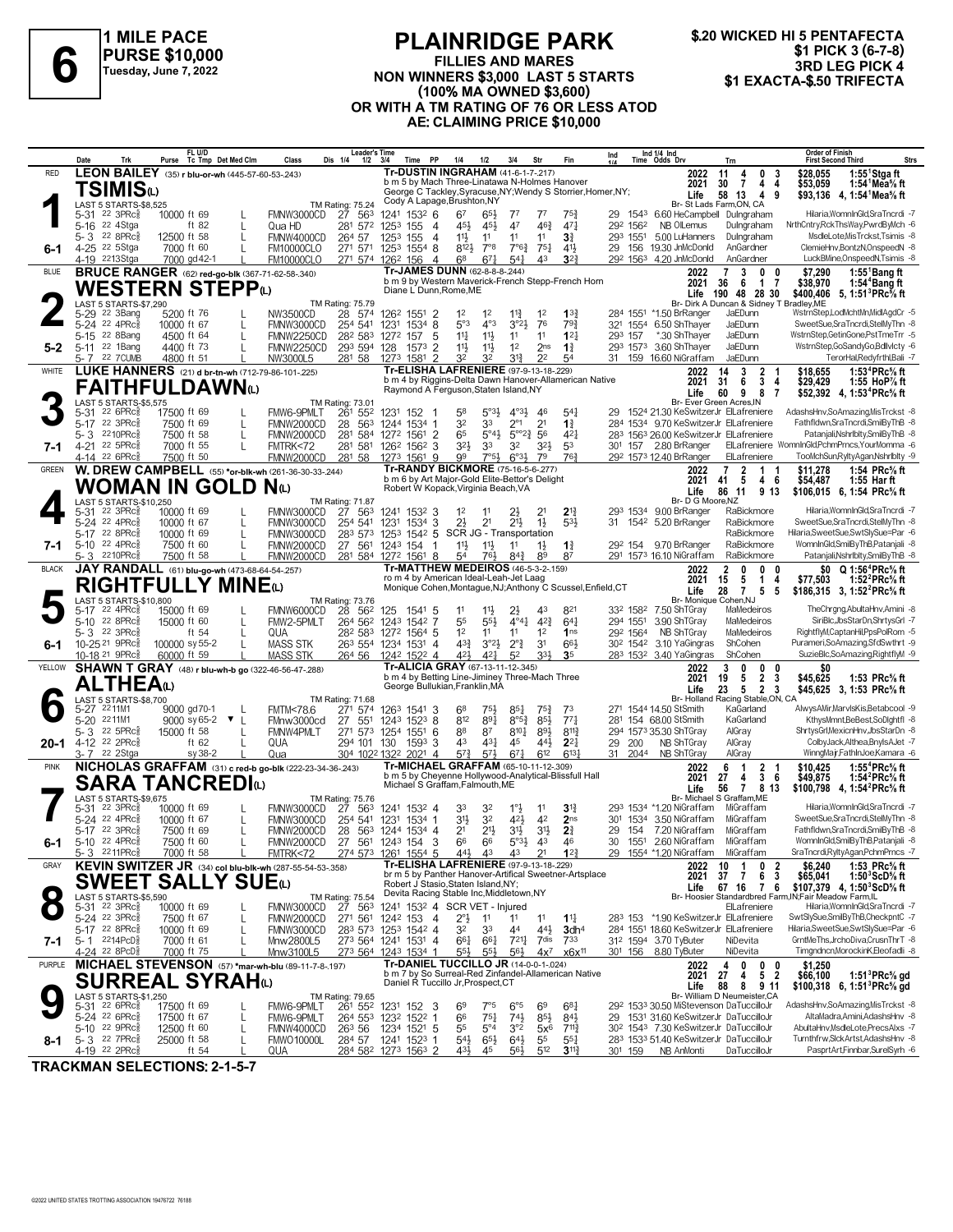

# **PLAINRIDGE PARK FILLIES AND MARES NON WINNERS \$10,000**<br>
FILLIES AND MARES **81 EXACTA-\$.50 TURSE \$10,000**<br>
NON WINNERS \$3,000 LAST 5 STARTS **\$1 EXACTA-\$.50 TRIFECTA (100% MA OWNED \$3,600) OR WITH A TM RATING OF 76 OR LESS ATOD AE: CLAIMING PRICE \$10,000**

|              | Date                                                   | Trk                                          | Purse                      | FL U/D<br>Tc Tmp Det Med Clm                     |              | Class                                                                                 | <b>Leader's Time</b><br>Dis 1/4<br>$1/2$ $3/4$                                                                    | Time                                   | PP                     | 1/4                                                                                  | $1/2$                           | 3/4                                          | Str                               | Fin                                                          | Ind                                                  |                                  | Ind 1/4 Ind<br>Time Odds Drv                                                      | Trn                                                            | <b>Order of Finish</b><br><b>Strs</b><br><b>First Second Third</b>                                          |
|--------------|--------------------------------------------------------|----------------------------------------------|----------------------------|--------------------------------------------------|--------------|---------------------------------------------------------------------------------------|-------------------------------------------------------------------------------------------------------------------|----------------------------------------|------------------------|--------------------------------------------------------------------------------------|---------------------------------|----------------------------------------------|-----------------------------------|--------------------------------------------------------------|------------------------------------------------------|----------------------------------|-----------------------------------------------------------------------------------|----------------------------------------------------------------|-------------------------------------------------------------------------------------------------------------|
| <b>RED</b>   |                                                        |                                              |                            | LEON BAILEY (35) r blu-or-wh (445-57-60-53-.243) |              |                                                                                       |                                                                                                                   |                                        |                        | <b>Tr-DUSTIN INGRAHAM (41-6-1-7-217)</b>                                             |                                 |                                              |                                   |                                                              |                                                      |                                  | 2022                                                                              | 11<br>$\mathbf 0$<br>4<br>-3                                   | $1:55$ <sup>1</sup> Stgaft<br>\$28,055                                                                      |
|              |                                                        | TSIMISധ                                      |                            |                                                  |              |                                                                                       |                                                                                                                   |                                        |                        | b m 5 by Mach Three-Linatawa N-Holmes Hanover                                        |                                 |                                              |                                   | George C Tackley, Syracuse, NY; Wendy S Storrier, Homer, NY; |                                                      |                                  | 2021<br>Life                                                                      | 30<br>7<br>4<br>4<br>58 13<br>4<br>9                           | 1:54 $1$ Mea $\%$ ft<br>\$53,059<br>\$93,136 4, 1:54 Mea % ft                                               |
|              |                                                        | LAST 5 STARTS-\$8,525                        |                            |                                                  |              |                                                                                       | <b>TM Rating: 75.24</b>                                                                                           |                                        |                        | Cody A Lapage, Brushton, NY                                                          |                                 |                                              |                                   |                                                              |                                                      |                                  |                                                                                   | Br- St Lads Farm, ON, CA                                       |                                                                                                             |
|              | 5-31 22 3PRc <sup>3</sup><br>$5 - 16$                  | 22 4Stga                                     | 10000 ft 69                | ft $82$                                          |              | FMNW3000CD<br>Qua HD                                                                  | 27 563<br>281 572 1253 155                                                                                        | 1241 1532 6                            | -4                     | 67<br>45}                                                                            | 65}<br>45}                      | $7^7$<br>47                                  | $7^7$<br>$46\frac{3}{4}$          | $75\frac{3}{4}$<br>$47\frac{1}{4}$                           |                                                      | 292 1562                         | 29 1543 6.60 HeCampbell Dulngraham<br>NB OlLemus                                  | Dulngraham                                                     | Hilaria, WomnInGld, SraTncrdi -7<br>NrthCntry,RckThsWay,PwrdByMch -6                                        |
|              | 5-3 22 8PRc <sup>5</sup>                               |                                              | 12500 ft 58                |                                                  |              | FMNW4000CD                                                                            | 264 57                                                                                                            | 1253 155                               | $\overline{4}$         | 11号                                                                                  | 11                              | 11                                           | 11                                | 3 <sup>3</sup>                                               |                                                      | 293 1551                         | 5.00 LuHanners                                                                    | Dulngraham                                                     | MsdleLote, MisTrckst, Tsimis -8                                                                             |
| 6-1          | 4-25 <sup>22</sup> 5Stga<br>4-19 2213Stga              |                                              | 7000 ft 60                 | 7000 gd 42-1                                     |              | <b>FM10000CLO</b><br><b>FM10000CLO</b>                                                | 271 571 1253 1554 8<br>271 574 1262 156                                                                           |                                        | $\overline{4}$         | $8^{12}\frac{1}{2}$<br>6 <sup>8</sup>                                                | $7^{\circ}8$<br>$67\frac{1}{4}$ | $7^{\circ}6^{\frac{3}{4}}$<br>$5^{4}$        | $75\frac{1}{4}$<br>43             | $4^{11}$<br>$3^{23}$                                         |                                                      |                                  | 29 156 19.30 JnMcDonld<br>292 1563 4.20 JnMcDonld                                 | AnGardner<br>AnGardner                                         | ClemieHnv,BontzN,OnspeedN -8<br>LuckBMine,OnspeedN,Tsimis -8                                                |
| <b>BLUE</b>  |                                                        |                                              |                            |                                                  |              | <b>BRUCE RANGER</b> (62) red-go-blk (367-71-62-58-.340)                               |                                                                                                                   |                                        |                        | Tr-JAMES DUNN (62-8-8-8-244)                                                         |                                 |                                              |                                   |                                                              |                                                      |                                  | 2022                                                                              | $\overline{7}$<br>3<br>0                                       | 1:55 ${}^1$ Bang ft<br>\$7,290                                                                              |
|              |                                                        |                                              |                            | WESTERN STEPP $\omega$                           |              |                                                                                       |                                                                                                                   |                                        |                        | Diane L Dunn, Rome, ME                                                               |                                 |                                              |                                   | b m 9 by Western Maverick-French Stepp-French Horn           |                                                      |                                  | 2021<br>Life                                                                      | 36<br>6<br>$\mathbf{1}$<br>7<br>190 48 28 30                   | \$38,970<br>1:54 <sup>4</sup> Bang ft<br>\$400,406 5, 1:51 <sup>3</sup> PRc <sup>5</sup> / <sub>8</sub> ft  |
|              |                                                        | LAST 5 STARTS-\$7,290                        |                            |                                                  |              |                                                                                       | TM Rating: 75.79                                                                                                  |                                        |                        |                                                                                      |                                 |                                              |                                   |                                                              |                                                      |                                  |                                                                                   | Br- Dirk A Duncan & Sidney T Bradley.ME                        |                                                                                                             |
|              | 5-29 22 3Bang<br>5-24 22 4PRc <sup>5</sup>             |                                              | 5200 ft 76<br>10000 ft 67  |                                                  |              | NW3500CD<br>FMNW3000CD                                                                | 28<br>574<br>254 541                                                                                              | 126 <sup>2</sup> 1551 2<br>1231 1534 8 |                        | 1 <sup>2</sup><br>5°3                                                                | 1 <sup>2</sup><br>$4^{\circ}3$  | $11\frac{3}{4}$<br>3°2 <sup>1</sup>          | 1 <sup>2</sup><br>76              | $13\frac{3}{4}$<br>793                                       |                                                      | 321 1554                         | 284 1551 *1.50 BrRanger<br>6.50 ShThayer                                          | JaEDunn<br>JaEDunn                                             | WstrnStep,LodMchtMn,MidlAgdCr -5<br>SweetSue,SraTncrdi,StelMyThn -8                                         |
|              | 5-15 22 8Bang                                          |                                              | 4500 ft 64                 |                                                  |              | <b>FMNW2250CD</b>                                                                     | 282 583 1272 157                                                                                                  |                                        | 5                      | $11\frac{1}{4}$                                                                      | $11\frac{1}{2}$                 | 11                                           | 11                                | 12 <sub>1</sub>                                              |                                                      | 293 157                          | *.30 ShThayer                                                                     | JaEDunn                                                        | WstrnStep,GetinGone,PstTmeTrr -5                                                                            |
| 5-2          | 5-11 22 1Bang<br>5-7 22 7 CUMB                         |                                              | 4400 ft 73<br>4800 ft 51   |                                                  |              | <b>FMNW2250CD</b><br>NW3000L5                                                         | 293 594 128<br>281 58                                                                                             | 1273 1581 2                            | $\overline{2}$<br>1573 | $11\frac{1}{2}$<br>32                                                                | 11}<br>32                       | 1 <sup>2</sup><br>31}                        | 2 <sub>ns</sub><br>2 <sup>2</sup> | $1\frac{3}{4}$<br>54                                         |                                                      |                                  | 293 1573 3.60 ShThayer<br>31 159 16.60 NiGraffam                                  | JaEDunn<br>JaEDunn                                             | WstrnStep,GoSandyGo,Bdllvlcty -6<br>TerorHal,Redyfrthl,Bali -7                                              |
| WHITE        |                                                        |                                              |                            |                                                  |              | LUKE HANNERS (21) d br-tn-wh (712-79-86-101-.225)                                     |                                                                                                                   |                                        |                        | Tr-ELISHA LAFRENIERE (97-9-13-18-229)                                                |                                 |                                              |                                   |                                                              |                                                      |                                  | 2022                                                                              | 3<br>2<br>14                                                   | 1:53 <sup>4</sup> PRc% ft<br>\$18,655                                                                       |
|              |                                                        |                                              |                            | FAITHFULDAWNധ                                    |              |                                                                                       |                                                                                                                   |                                        |                        | Raymond A Ferguson, Staten Island, NY                                                |                                 |                                              |                                   | b m 4 by Riggins-Delta Dawn Hanover-Allamerican Native       |                                                      |                                  | 2021<br>Life                                                                      | 31<br>6<br>3<br>4<br>60<br>9<br>8<br>7                         | \$29,429<br>1:55 HoP% ft<br>\$52,392 4, 1:53 <sup>4</sup> PRc <sup>5</sup> / <sub>8</sub> ft                |
|              |                                                        | LAST 5 STARTS-\$5,575                        |                            |                                                  |              |                                                                                       | <b>TM Rating: 73.01</b>                                                                                           |                                        |                        |                                                                                      |                                 |                                              |                                   |                                                              |                                                      |                                  |                                                                                   | Br- Ever Green Acres, IN                                       |                                                                                                             |
|              | 5-31<br>$5-17$                                         | $226$ PRc $\frac{5}{8}$<br>22 3PRc           | 17500 ft 69<br>7500 ft 69  |                                                  |              | FMW6-9PMLT<br>FMNW2000CD                                                              | 261 552<br>28 563 1244 1534 1                                                                                     | 1231 152                               |                        | 58<br>32                                                                             | $5^{\circ}3\frac{1}{2}$<br>33   | $4^{\circ}3\frac{1}{2}$<br>$2^{\circ}1$      | -46<br>2 <sup>1</sup>             | $5^{4}$<br>$1\frac{3}{4}$                                    |                                                      |                                  | 29 1524 21.30 KeSwitzerJr ElLafreniere<br>284 1534 9.70 KeSwitzerJr ElLafreniere  |                                                                | AdashsHnv,SoAmazing,MisTrckst -8<br>Fathfldwn,SraTncrdi,SmilByThB -8                                        |
|              | 5-3                                                    | 2210PRc                                      | 7500 ft 58                 |                                                  |              | FMNW2000CD                                                                            | 281                                                                                                               | 584 1272 1561 2                        |                        | 65                                                                                   | $5^{\circ}4\frac{1}{2}$         | $5^{\circ}2^{\frac{3}{4}}$                   | 56                                | $4^{2}$                                                      |                                                      |                                  | 283 1563 26.00 KeSwitzerJr ElLafreniere                                           |                                                                | Patanjali, Nshrlblty, SmilBy ThB -8<br>ElLafreniere WomnInGld,PchmPrncs,YourMomma -6                        |
| 7-1          | 4-21 22 5PRc <sup>5</sup><br>4-14 22 6PRc\$            |                                              | 7000 ft 55<br>7500 ft 50   |                                                  | L            | FMTRK<72<br>FMNW2000CD                                                                | 281 581 1262 1562 3<br>281 58                                                                                     | 1273 1561 9                            |                        | 3 <sup>2</sup><br>99                                                                 | 33<br>$7°5\frac{1}{2}$          | 32<br>$6^{03}\frac{1}{2}$                    | 323<br>79                         | 53<br>763                                                    |                                                      |                                  | 301 157 2.80 BrRanger<br>292 1573 12.40 BrRanger                                  | ElLafreniere                                                   | TooMchSun,RyltyAgan,Nshrlblty -9                                                                            |
| GREEN        |                                                        |                                              |                            |                                                  |              | W. DREW CAMPBELL (55) *or-blk-wh (261-36-30-33-.244)                                  |                                                                                                                   |                                        |                        | <b>Tr-RANDY BICKMORE (75-16-5-6-277)</b>                                             |                                 |                                              |                                   |                                                              |                                                      |                                  | 2022                                                                              | $\overline{7}$<br>2<br>1.                                      | \$11,278<br>1:54 PRc% ft                                                                                    |
|              |                                                        | <b>WOMAN IN GOLD N</b> W                     |                            |                                                  |              | b m 6 by Art Major-Gold Elite-Bettor's Delight<br>Robert W Kopack, Virginia Beach, VA |                                                                                                                   |                                        |                        |                                                                                      |                                 |                                              | 2021<br>Life                      | - 5<br>41<br>4 6<br>86<br>11<br>9 13                         | \$54,487<br>1:55 Har ft<br>\$106,015 6, 1:54 PRc% ft |                                  |                                                                                   |                                                                |                                                                                                             |
|              | 5-31 22 3PRc <sup>5</sup>                              | LAST 5 STARTS-\$10,250                       | 10000 ft 69                | <b>TM Rating: 71.87</b><br>27 563                | 1241 1532 3  |                                                                                       | 1 <sup>2</sup>                                                                                                    | 11                                     |                        |                                                                                      | $2^{13}$                        |                                              |                                   | Br- D G Moore, NZ<br>293 1534 9.00 BrRanger                  | RaBickmore                                           | Hilaria, WomnInGld, SraTncrdi -7 |                                                                                   |                                                                |                                                                                                             |
|              | 5-24 22 4PRc                                           |                                              | 10000 ft 67                |                                                  |              | FMNW3000CD<br>FMNW3000CD                                                              | 254 541                                                                                                           | 1231 1534 3                            |                        | 2 <sup>1</sup>                                                                       | 2 <sup>1</sup>                  | 2}<br>$21\frac{1}{2}$                        | $1\frac{1}{2}$                    | $5^{3}\frac{1}{2}$                                           | 31                                                   |                                  | 1542 5.20 BrRanger                                                                | RaBickmore                                                     | SweetSue,SraTncrdi,StelMyThn -8                                                                             |
|              | 5-17 22 8PRc<br>5-10 22 4PRc                           |                                              | 10000 ft 69<br>7500 ft 60  |                                                  | L            | FMNW3000CD                                                                            | 283 573 1253 1542 5 SCR JG - Transportation<br>27 561 1243 154                                                    |                                        | - 1                    | $11\frac{1}{2}$                                                                      | 11                              | 11                                           |                                   |                                                              |                                                      |                                  | 29 <sup>2</sup> 154 9.70 BrRanger                                                 | RaBickmore<br>RaBickmore                                       | Hilaria,SweetSue,SwtSlySue=Par -6<br>WomnInGld.SmilBvThB.Pataniali -8                                       |
| 7-1          | 5- 3                                                   | 2210PRc                                      | 7500 ft 58                 |                                                  |              | FMNW2000CD<br>FMNW2000CD                                                              | 281 584 1272 1561 8                                                                                               |                                        |                        | 54                                                                                   | 76}                             | $8^{4}3$                                     | $1\frac{1}{2}$<br>89              | $1\frac{3}{4}$<br>87                                         |                                                      |                                  | 291 1573 16.10 NiGraffam                                                          | RaBickmore                                                     | Patanjali, Nshrlblty, SmilBy ThB -8                                                                         |
| <b>BLACK</b> |                                                        |                                              |                            | JAY RANDALL (61) blu-go-wh (473-68-64-54-.257)   |              |                                                                                       |                                                                                                                   |                                        |                        | <b>Tr-MATTHEW MEDEIROS (46-5-3-2-.159)</b><br>ro m 4 by American Ideal-Leah-Jet Laag |                                 |                                              |                                   |                                                              |                                                      |                                  | 2022                                                                              | $\overline{2}$<br>0<br>0<br>$\mathbf{0}$                       | \$0 Q 1:56 <sup>4</sup> PRc <sup>5</sup> / <sub>8</sub> ft                                                  |
|              |                                                        |                                              |                            | <b>RIGHTFULLY MINE</b> (L)                       |              |                                                                                       |                                                                                                                   |                                        |                        |                                                                                      |                                 |                                              |                                   | Monique Cohen, Montague, NJ; Anthony C Scussel, Enfield, CT  |                                                      |                                  | 2021<br>Life                                                                      | 5<br>$\mathbf{1}$<br>15<br>4<br>$\overline{7}$<br>28<br>5<br>5 | \$77,503<br>1:52 $^{2}$ PRc $\%$ ft<br>\$186,315 3, 1:52 <sup>2</sup> PRc <sup>5</sup> / <sub>8</sub> ft    |
|              | 5-17                                                   | LAST 5 STARTS-\$10,800<br>$22$ 4PR $c_{8}^5$ | 15000 ft 69                |                                                  |              | FMNW6000CD                                                                            | TM Rating: 73.76<br>28 56 <sup>2</sup> 125 1541 5                                                                 |                                        |                        | 11                                                                                   | $11\frac{1}{2}$                 | 2}                                           | 43                                | 821                                                          |                                                      |                                  | Br- Monique Cohen, NJ<br>332 1582 7.50 ShTGray                                    | MaMedeiros                                                     | TheChrgng,AbultaHnv,Amini -8                                                                                |
|              | 5-10 22 8PRc                                           |                                              | 15000 ft 60                |                                                  |              | FMW2-5PMLT                                                                            | 264 562 1243 1542 7                                                                                               |                                        |                        | 55                                                                                   | $5^{5}\frac{1}{2}$              | $4^{\circ}4^{\circ}$                         | $4^{23}$                          | $64\frac{1}{4}$                                              |                                                      | 294 1551                         | 3.90 ShTGray                                                                      | MaMedeiros                                                     | SiriBlc, JbsStarDn, ShrtysGrl -7                                                                            |
|              | 5-3 22 3PRc<br>10-25 <sup>21</sup> 9PRc                |                                              | 100000 sy 55-2             | ft $54$                                          | $\mathbf{L}$ | QUA<br><b>MASS STK</b>                                                                | 28 <sup>2</sup> 583 1272 1564 5<br>263 554 1234 1531 4                                                            |                                        |                        | 1 <sup>2</sup><br>$4^{3}\frac{3}{4}$                                                 | 11<br>$3^{\circ}2\frac{1}{2}$   | 11<br>$2^{\circ}$ $\frac{3}{4}$              | 1 <sup>2</sup><br>3 <sup>1</sup>  | 1 <sub>ns</sub><br>66                                        |                                                      | 292 1564                         | NB ShTGray<br>30 <sup>2</sup> 154 <sup>2</sup> 3.10 YaGingras                     | MaMedeiros<br>ShCohen                                          | RightflyM,CaptanHil,PpsPolRom -5<br>Purameri,SoAmazing,SfdSwthrt -9                                         |
| 6-1          | 10-18 <sup>21</sup> 9PRc3                              |                                              | 60000 ft 59                |                                                  |              | <b>MASS STK</b>                                                                       | 264 56                                                                                                            | 1242 1522 4                            |                        | 42}                                                                                  | 421                             | 5 <sup>2</sup>                               | 33}                               | 35                                                           |                                                      |                                  | 283 1532 3.40 YaGingras                                                           | ShCohen                                                        | SuzieBlc,SoAmazing,RightflyM -9                                                                             |
| YELLOW       |                                                        |                                              |                            |                                                  |              | <b>SHAWN T GRAY</b> (48) r blu-wh-b go (322-46-56-47-288)                             |                                                                                                                   |                                        |                        | Tr-ALICIA GRAY (67-13-11-12-.345)<br>b m 4 by Betting Line-Jiminey Three-Mach Three  |                                 |                                              |                                   |                                                              |                                                      |                                  | 2022<br>2021                                                                      | $\mathbf{0}$<br>$\pmb{0}$<br>3<br>0<br>$\overline{2}$<br>3     |                                                                                                             |
|              |                                                        | ALTHEAധ                                      |                            |                                                  |              |                                                                                       |                                                                                                                   |                                        |                        | George Bullukian, Franklin, MA                                                       |                                 |                                              |                                   |                                                              |                                                      |                                  | Life                                                                              | 19<br>5<br>23<br>5<br>$\overline{2}$<br>3                      | \$45,625<br>1:53 PRc% ft<br>\$45,625 3, 1:53 PRc <sup>5</sup> / <sub>8</sub> ft                             |
|              | 5-27 2211M1                                            | LAST 5 STARTS-\$8,700                        |                            | 9000 gd70-1                                      |              | <b>FMTM&lt;78.6</b>                                                                   | TM Rating: 71.68<br>271 574                                                                                       | 1263 1541 3                            |                        | 68                                                                                   | 751                             | $85\frac{1}{4}$                              | $75\frac{3}{4}$                   | 73                                                           |                                                      |                                  | 271 1544 14.50 StSmith                                                            | Br- Holland Racing Stable, ON, CA<br>KaGarland                 | AlwysAMir, MarvlsKis, Betabcool -9                                                                          |
|              | 5-20 2211M1                                            |                                              |                            | 9000 sy 65-2 ▼ L                                 |              | FMnw3000cd                                                                            | 27 551                                                                                                            | 1243 1523 8                            |                        | 812                                                                                  | 891                             | $8^{\circ 5\frac{3}{4}}$                     | 85}                               | $77\frac{1}{4}$                                              |                                                      |                                  | 281 154 68.00 StSmith                                                             | KaGarland                                                      | KthysMmnt,BeBest,SoDlghtfl -8                                                                               |
| 20-1         | 5-3 22 5PRc<br>4-12 22 2PRc $\frac{5}{8}$              |                                              | 15000 ft 58                | ft 62                                            |              | FMNW4PMLT<br>QUA                                                                      | 271 573 1254 1551 6<br>294 101 130 159 <sup>3</sup> 3                                                             |                                        |                        | 88<br>43                                                                             | 87<br>$4^{3}\frac{1}{4}$        | $8^{10}\frac{1}{4}$<br>45                    | $89\frac{1}{2}$<br>443            | $8^{11}\frac{3}{4}$<br>$2^{2}$                               |                                                      | 29 200                           | 294 1573 35.30 ShTGray<br>NB ShTGray                                              | AlGray<br>AlGray                                               | ShrtysGrl, MexicnHnv, JbsStarDn -8<br>ColbyJack,Althea,BnyIsAJet -7                                         |
|              | 3-7 22 2Stga                                           |                                              |                            | sy 38-2                                          |              | Qua                                                                                   | 304 1022 1322 2021 4                                                                                              |                                        |                        | $5^{73}$                                                                             | 573                             | $67\frac{1}{4}$                              | 612                               | $6^{13}$                                                     |                                                      | 31 2044                          | NB ShTGray                                                                        | AlGray                                                         | WinngMajr,FathInJoe,Kamara -6                                                                               |
| <b>PINK</b>  |                                                        |                                              |                            |                                                  |              | NICHOLAS GRAFFAM (31) c red-b go-blk (222-23-34-36-243)                               |                                                                                                                   |                                        |                        | Tr-MICHAEL GRAFFAM (65-10-11-12-.309)                                                |                                 |                                              |                                   | b m 5 by Cheyenne Hollywood-Analytical-Blissfull Hall        |                                                      |                                  | 2022<br>2021                                                                      | 6<br>$\overline{2}$<br>$\mathbf{1}$<br>-1<br>3<br>27<br>6<br>4 | \$10,425<br>1:55 <sup>4</sup> PRc <sup>5</sup> / <sub>8</sub> ft<br>\$49,875<br>1:54 ${}^2$ PRc ${}^5\!$ ft |
|              |                                                        |                                              |                            | <b>SARA TANCREDI</b> W                           |              |                                                                                       |                                                                                                                   |                                        |                        | Michael S Graffam, Falmouth, ME                                                      |                                 |                                              |                                   |                                                              |                                                      |                                  | Life                                                                              | 56<br>7813                                                     | \$100,798 4, 1:54 <sup>2</sup> PRc <sup>5</sup> / <sub>8</sub> ft                                           |
|              | 5-31                                                   | LAST 5 STARTS-\$9,675<br>22 3PRc             | 10000 ft 69                |                                                  |              | FMNW3000CD                                                                            | TM Rating: 75.76<br>27 563                                                                                        | 1241 1532 4                            |                        | 33                                                                                   | 32                              |                                              | 11                                | 31}                                                          |                                                      |                                  | 293 1534 *1.20 NiGraffam                                                          | Br- Michael S Graffam.ME<br>MiGraffam                          | Hilaria.WomnInGld.SraTncrdi -7                                                                              |
|              | 5-24 22 4PRc <sup>5</sup>                              |                                              | 10000 ft 67                |                                                  |              | FMNW3000CD                                                                            | 254 541 1231 1534 1                                                                                               |                                        |                        | 3 <sup>1</sup>                                                                       | 3 <sup>2</sup>                  | 421                                          | 42                                | 2 <sub>ns</sub>                                              |                                                      |                                  | 301 1534 3.50 NiGraffam                                                           | MiGraffam                                                      | SweetSue,SraTncrdi,StelMyThn -8                                                                             |
|              | 5-17 22 3PRc <sup>5</sup><br>5-10 22 4PRc <sup>5</sup> |                                              | 7500 ft 69<br>7500 ft 60   |                                                  |              | FMNW2000CD<br>FMNW2000CD                                                              | 28 563 1244 1534 4                                                                                                |                                        |                        | 2 <sup>1</sup>                                                                       | $21\frac{1}{2}$                 | 3 <sup>1</sup><br>$5^{\circ}3\frac{1}{2}$ 43 | $3^{11}$                          | 2 <sup>3</sup><br>46                                         | 29                                                   |                                  | 154 7.20 NiGraffam<br>30 1551 2.60 NiGraffam                                      | MiGraffam<br>MiGraffam                                         | Fathfldwn,SraTncrdi,SmilByThB -8<br>WomnInGld,SmilByThB,Patanjali -8                                        |
|              | 5-3 <sup>22</sup> 11PRc៖                               |                                              | 7000 ft 58                 |                                                  |              | FMTRK<72                                                                              | 27 56 <sup>1</sup> 124 <sup>3</sup> 154 3 6 <sup>6</sup> 6 <sup>6</sup><br>274 573 1261 1554 5 44 <sub>2</sub> 43 |                                        |                        |                                                                                      |                                 |                                              | $4^3$ $2^1$ $1^{2^3}$             |                                                              |                                                      |                                  | 29 1554 *1.20 NiGraffam MiGraffam                                                 |                                                                | SraTncrdi,RyltyAgan,PchmPrncs -7                                                                            |
| GRAY         |                                                        |                                              |                            |                                                  |              | KEVIN SWITZER JR (34) col blu-blk-wh (287-55-54-53-.358)                              |                                                                                                                   |                                        |                        | <b>Tr-ELISHA LAFRENIERE (97-9-13-18-229)</b>                                         |                                 |                                              |                                   | br m 5 by Panther Hanover-Artifical Sweetner-Artsplace       |                                                      |                                  | 2022<br>2021                                                                      | 10<br>1<br>$\bf{0}$<br>2<br>$37 \quad 7$<br>6<br>3             | 1:53 PRc% ft<br>\$6,240<br>\$65,041<br>1:50 $3$ ScD $\%$ ft                                                 |
|              |                                                        |                                              |                            | <b>SWEET SALLY SUE</b> W                         |              |                                                                                       |                                                                                                                   |                                        |                        | Robert J Stasio, Staten Island, NY;<br>Devita Racing Stable Inc, Middletown, NY      |                                 |                                              |                                   |                                                              |                                                      |                                  | Life                                                                              | 67 16 7 6                                                      | \$107,379 4, 1:50 $^3$ ScD $\%$ ft                                                                          |
|              | 5-31 22 3PRc                                           | LAST 5 STARTS-\$5,590                        | 10000 ft 69                |                                                  |              | FMNW3000CD                                                                            | TM Rating: 75.54<br>27 563                                                                                        | 1241 1532 4 SCR VET - Injured          |                        |                                                                                      |                                 |                                              |                                   |                                                              |                                                      |                                  |                                                                                   | ElLafreniere                                                   | Br- Hoosier Standardbred Farm, IN; Fair Meadow Farm, IL<br>Hilaria, WomnInGld, SraTncrdi -7                 |
|              | 5-24 22 3PRc<br>5-17 22 8PRcs                          |                                              | 7500 ft 67                 |                                                  |              | FMNW2000CD                                                                            | 271 561 1242 153 4                                                                                                |                                        |                        | $2^{\circ}$ <sub>2</sub>                                                             | 11                              | 11                                           | 1 <sup>1</sup>                    | $1\frac{11}{4}$                                              |                                                      |                                  | 283 153 *1.90 KeSwitzerJr ElLafreniere<br>284 1551 18.60 KeSwitzerJr ElLafreniere |                                                                | SwtSlySue,SmilByThB,CheckpntC -7<br>Hilaria, Sweet Sue, Swt Sly Sue=Par -6                                  |
| 7-1          | $5 - 1$ 2214PcD <sup>5</sup>                           |                                              | 10000 ft 69<br>7000 ft 61  |                                                  |              | FMNW3000CD<br>Mnw2800L5                                                               | 283 573 1253 1542 4<br>273 564 1241 1531 4                                                                        |                                        |                        | 32<br>661                                                                            | 33<br>661                       | 44<br>7211                                   | 44}<br>7dis                       | 3dh <sup>4</sup><br>733                                      |                                                      |                                  | 312 1594 3.70 TyButer                                                             | NiDevita                                                       | GrntMeThs, JrchoDiva, CrusnThrT -8                                                                          |
|              | 4-24 22 8PcD3                                          |                                              | 7000 ft 75                 |                                                  |              | Mnw3100L5                                                                             | 273 564 1243 1534 1                                                                                               |                                        |                        | $55\frac{1}{2}$                                                                      | $55\frac{1}{2}$                 | $56\frac{1}{2}$                              | $4x^7$                            | x6x <sup>11</sup>                                            |                                                      |                                  | 301 156 8.80 TyButer                                                              | NiDevita                                                       | Timgndncn, MorockinK, Eleofadli -8                                                                          |
| PURPLE       |                                                        |                                              |                            |                                                  |              | MICHAEL STEVENSON (57) *mar-wh-blu (89-11-7-8-197)                                    |                                                                                                                   |                                        |                        | <b>Tr-DANIEL TUCCILLO JR (14-0-0-1-.024)</b>                                         |                                 |                                              |                                   | b m 7 by So Surreal-Red Zinfandel-Allamerican Native         |                                                      |                                  | 2022<br>2021                                                                      | 4<br>0<br>0<br>0<br>5 <sub>2</sub><br>27<br>4                  | \$1,250<br>\$66,100<br>1:51 ${}^{3}$ PRc ${}^{5}_{8}$ gd                                                    |
|              |                                                        |                                              |                            | SURREAL SYRAHധ                                   |              |                                                                                       |                                                                                                                   |                                        |                        | Daniel R Tuccillo Jr, Prospect, CT                                                   |                                 |                                              |                                   |                                                              |                                                      |                                  | Life                                                                              | 88<br>8<br>9 11<br>Br- William D Neumeister, CA                | \$100,318 6, 1:51 <sup>3</sup> PRc <sup>5</sup> / <sub>8</sub> gd                                           |
|              |                                                        | LAST 5 STARTS-\$1,250<br>5-31 22 6PRc 17     | 17500 ft 69                |                                                  |              | FMW6-9PMLT                                                                            | TM Rating: 79.65<br>261 552 1231 152 3                                                                            |                                        |                        | 6 <sup>9</sup>                                                                       | 7°5                             | $6^{\circ 5}$                                | 69                                | $6^{8}$ <sub>4</sub>                                         |                                                      |                                  | 292 1533 30.50 MiStevenson DaTuccilloJr                                           |                                                                | AdashsHnv,SoAmazing,MisTrckst -8                                                                            |
|              | 5-24 22 6PRc<br>$5-10$ 22 9PRc                         |                                              | 17500 ft 67<br>12500 ft 60 |                                                  | $\mathbf{L}$ | FMW6-9PMLT<br>FMNW4000CD                                                              | 264 553 1232 1522 1<br>26 <sup>3</sup> 56                                                                         | 1234 1521 5                            |                        | 66<br>55                                                                             | $75\frac{1}{4}$<br>$5^{\circ}4$ | $74\frac{1}{2}$<br>3°2                       | $85\frac{1}{2}$<br>$5x^6$         | $84\frac{1}{2}$<br>711}                                      |                                                      |                                  | 29 1531 31.60 KeSwitzerJr DaTuccilloJr<br>302 1543 7.30 KeSwitzerJr DaTuccilloJr  |                                                                | AltaMadra.Amini.AdashsHnv -8<br>AbultaHnv,MsdleLote,PrecsAlxs -7                                            |
| 8-1          | 5-3 22 7PRc <sup>5</sup>                               |                                              | 25000 ft 58                |                                                  |              | FMWO10000L                                                                            | 284 57 1241 1523 1                                                                                                |                                        |                        | $54\frac{1}{2}$                                                                      | $65\frac{1}{2}$                 | $64\frac{1}{2}$                              | 55                                | $55\frac{1}{4}$                                              |                                                      |                                  | 283 1533 51.40 KeSwitzerJr DaTuccilloJr                                           |                                                                | Turnthfrw,SlckArtst,AdashsHnv -8                                                                            |
|              | 4-19 22 2PRc                                           |                                              |                            | ft $54$                                          |              | QUA                                                                                   | 284 582 1273 1563 2                                                                                               |                                        |                        | 434                                                                                  | 45                              | 561                                          | 512                               | $3^{11}$                                                     |                                                      |                                  | 301 159 NB AnMonti                                                                | DaTuccilloJr                                                   | PasprtArt,Finnbar,SurelSyrh -6                                                                              |

**TRACKMAN SELECTIONS: 2-1-5-7**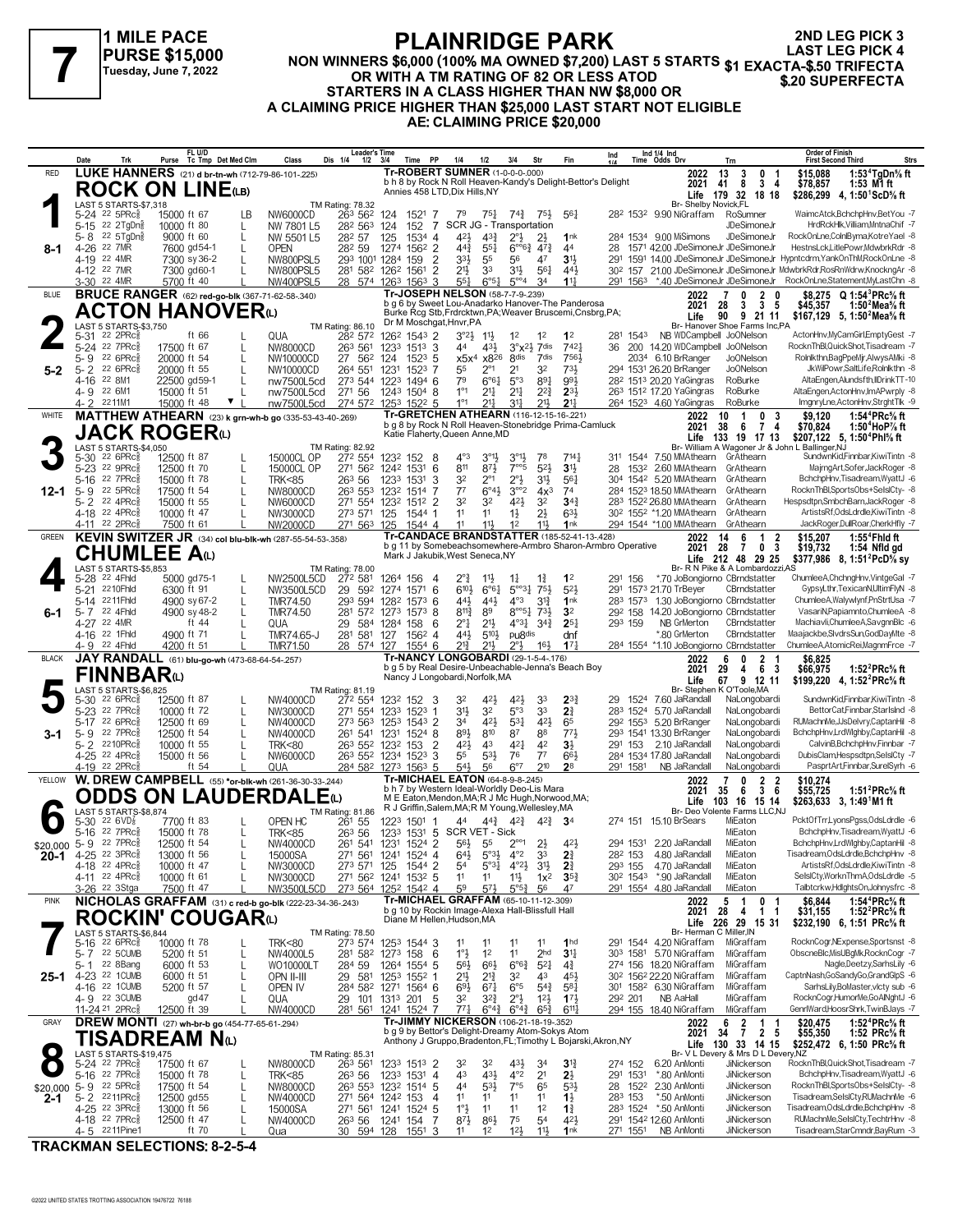

### **PLAINRIDGE PARK NON WINNERS \$6,000 (100% MA OWNED \$7,200) LAST 5 STARTS \$1 EXACTA-\$.50 TRIFECTA**<br>Tuesday, June 7, 2022 **100 STARTS ARTING OF 82 OR LESS ATOD**<br>EXACTA-\$.50 TRIFECTA **OR WITH A TM RATING OF 82 OR LESS ATOD STARTERS IN A CLASS HIGHER THAN NW \$8,000 OR A CLAIMING PRICE HIGHER THAN \$25,000 LAST START NOT ELIGIBLE AE: CLAIMING PRICE \$20,000 2ND LEG PICK 3**

|              | Date                | Trk                                                       | Purse                       | FL U/D<br>Tc Tmp Det Med Clm                            | Class                                                          | Leader's Time<br>Dis 1/4<br>$1/2$ $3/4$    |              | Time PP                              | 1/4                                                                                             | 1/2                                     | 3/4                                       | Str                                   | Fin                                                            | Ind                 |      | Ind 1/4 Ind<br>Time Odds Drv                                                 | Trn                                               |                                                 | Order of Finish<br><b>First Second Third</b><br>Strs                                                   |
|--------------|---------------------|-----------------------------------------------------------|-----------------------------|---------------------------------------------------------|----------------------------------------------------------------|--------------------------------------------|--------------|--------------------------------------|-------------------------------------------------------------------------------------------------|-----------------------------------------|-------------------------------------------|---------------------------------------|----------------------------------------------------------------|---------------------|------|------------------------------------------------------------------------------|---------------------------------------------------|-------------------------------------------------|--------------------------------------------------------------------------------------------------------|
| <b>RED</b>   |                     |                                                           |                             | LUKE HANNERS (21) d br-tn-wh (712-79-86-101-225)        |                                                                |                                            |              |                                      | <b>Tr-ROBERT SUMNER (1-0-0-0-000)</b>                                                           |                                         |                                           |                                       |                                                                |                     |      | 2022                                                                         | 13<br>3<br>0                                      | \$15,088                                        | 1:53 $4$ TgDn $\%$ ft                                                                                  |
|              |                     |                                                           |                             | <b>ROCK ON LINE(LB)</b>                                 |                                                                |                                            |              |                                      | Annies 458 LTD, Dix Hills, NY                                                                   |                                         |                                           |                                       | b h 8 by Rock N Roll Heaven-Kandy's Delight-Bettor's Delight   |                     |      | 2021<br>Life                                                                 | 8<br>41<br>179 32                                 | 3 <sub>4</sub><br>\$78,857<br>18 18             | 1:53 M1 ft<br>\$286,299 4, 1:50 ScD % ft                                                               |
|              |                     | LAST 5 STARTS-\$7,318                                     |                             |                                                         |                                                                | <b>TM Rating: 78.32</b>                    |              |                                      |                                                                                                 |                                         |                                           |                                       |                                                                |                     |      | Br- Shelby Novick,FL                                                         |                                                   |                                                 |                                                                                                        |
|              |                     | 5-24 22 5PRc <sup>5</sup>                                 | 15000 ft 67                 | LВ                                                      | NW6000CD                                                       | 263 562                                    | 124          | 1521 7                               | 79                                                                                              | $75\frac{1}{4}$                         | $74\frac{3}{4}$                           | 75}                                   | 561                                                            | 282 1532            |      | 9.90 NiGraffam                                                               | RoSumner                                          |                                                 | WaimcAtck,BchchpHnv,BetYou -7                                                                          |
|              | 5-8                 | 5-15 22 2TgDng<br>22 5TgDng                               | 10000 ft 80<br>9000 ft 60   | L<br>L                                                  | NW 7801 L5<br>NW 5501 L5                                       | 28 <sup>2</sup> 56 <sup>3</sup><br>282 57  | 124<br>125   | 152<br>7<br>1534 4                   | 421                                                                                             | $4^{3}\frac{3}{4}$                      | SCR JG - Transportation<br>$2^{\circ}$    | $2\frac{1}{2}$                        | 1nk                                                            |                     |      | 284 1534 9.00 MiSimons                                                       | JDeSimoneJr<br>JDeSimoneJr                        |                                                 | HrdRckHlk, Villiam, MntnaChif -7<br>RockOnLne,ColnIByma,KotreYael -8                                   |
| 8-1          |                     | 4-26 22 7MR                                               |                             | 7600 gd54-1<br>L                                        | <b>OPEN</b>                                                    | 282 59                                     | 1274         | 1562 2                               | $44\frac{3}{4}$                                                                                 | $5^{51}$                                | $6^{\circ 6}\frac{3}{4}$                  | 473                                   | 44                                                             |                     |      | 28 1571 42.00 JDeSimoneJr JDeSimoneJr                                        |                                                   |                                                 | HestnsLck,LitlePowr,MdwbrkRdr -8                                                                       |
|              |                     | 4-19 22 4MR                                               |                             | 7300 sy 36-2                                            | <b>NW800PSL5</b>                                               | 293 1001 1284                              |              | 159<br>2                             | $3^{3}\frac{1}{2}$                                                                              | 55                                      | 56                                        | 47                                    | 3 <sup>1</sup>                                                 | 291                 |      |                                                                              |                                                   |                                                 | 1591 14.00 JDeSimoneJr JDeSimoneJr Hypntcdrm, YankOnThM, RockOnLne -8                                  |
|              |                     | 4-12 22 7MR                                               |                             | 7300 gd60-1                                             | NW800PSL5                                                      | 281 582 1262 1561                          |              | $\overline{2}$                       | $21\frac{1}{2}$                                                                                 | 33                                      | 31}                                       | 56 <sub>1</sub>                       | 44}                                                            |                     |      |                                                                              |                                                   |                                                 | 302 157 21.00 JDeSimoneJr JDeSimoneJr MdwbrkRdr,RosRnWdrw,KnockngAr -8                                 |
|              |                     | 3-30 22 4MR                                               | 5700 ft 40                  |                                                         | <b>NW400PSL5</b>                                               | 28 574 1263 1563 3                         |              |                                      | 55 <sup>1</sup><br>Tr-JOSEPH NELSON (58-7-7-9-239)                                              | $6^{\circ 51}$                          | $5^{\circ\circ}4$                         | 34                                    | $11\frac{1}{4}$                                                | 291 1563            |      | *.40 JDeSimoneJr JDeSimoneJr                                                 |                                                   |                                                 | RockOnLne,Statement,MyLastChn -8                                                                       |
| <b>BLUE</b>  |                     |                                                           |                             | <b>BRUCE RANGER</b> (62) red-go-blk (367-71-62-58-.340) |                                                                |                                            |              |                                      | b g 6 by Sweet Lou-Anadarko Hanover-The Panderosa                                               |                                         |                                           |                                       |                                                                |                     |      | 2022<br>2021                                                                 | 2<br>-7<br>0<br>3<br>28                           | n<br>\$8,275<br>3 <sub>5</sub><br>\$45,357      | $Q 1:54^3$ PRc% ft<br>1:50 Mea% ft                                                                     |
|              |                     |                                                           |                             | <b>ACTON HANOVER</b> <sup>0</sup>                       |                                                                |                                            |              |                                      |                                                                                                 |                                         |                                           |                                       | Burke Rcg Stb, Frdrcktwn, PA; Weaver Bruscemi, Cnsbrg, PA;     |                     |      | Life                                                                         | 9<br>90                                           | 21 11                                           | \$167,129 5, 1:50 <sup>2</sup> Mea <sup>5</sup> / <sub>8</sub> ft                                      |
|              |                     | <b>LAST 5 STARTS-\$3,750</b><br>22 2PRc <sup>5</sup>      |                             | ft 66                                                   | QUA                                                            | TM Rating: 86.10                           |              | 126 <sup>2</sup> 1543 2              | Dr M Moschgat, Hnvr, PA<br>$3^{\circ}2\frac{1}{2}$ 1 <sup>1</sup> / <sub>2</sub>                |                                         | 1 <sup>2</sup>                            | 1 <sup>2</sup>                        | 1 <sup>2</sup>                                                 | 281 1543            |      | NB WDCampbell JoONelson                                                      | Br- Hanover Shoe Farms Inc,PA                     |                                                 | ActonHnv,MyCamGirl,EmptyGest -7                                                                        |
|              | $5 - 31$            | 5-24 22 7PRc3                                             | 17500 ft 67                 |                                                         | NW8000CD                                                       | 282 572<br>263 561                         |              | 1233 1513 3                          | 44                                                                                              | 431                                     | $3^{\circ}x^{2}\frac{1}{2}$ 7 dis         |                                       | 7421                                                           | 36                  |      | 200 14.20 WDCampbell JoONelson                                               |                                                   |                                                 | RocknThBl.QuickShot.Tisadream -7                                                                       |
|              | 5-9                 | $226$ PR $c_{8}^{5}$                                      | 20000 ft 54                 | L                                                       | NW10000CD                                                      | 27 562                                     | 124          | $152^3$ 5                            |                                                                                                 | x5x <sup>4</sup> x8 <sup>26</sup> 8dis  |                                           | 7dis                                  | 7561                                                           |                     |      | 2034 6.10 BrRanger                                                           | <b>JoONelson</b>                                  |                                                 | Rolnikthn,BagPpeMjr,AlwysAMki -8                                                                       |
| $5-2$        | $5 - 2$             | $226$ PR $c_{8}^{5}$                                      | 20000 ft 55                 | L                                                       | NW10000CD                                                      | 264 551                                    | 1231         | 1523 7                               | 55                                                                                              | $2^{\circ}1$                            | 2 <sup>1</sup>                            | 32                                    | 731                                                            |                     |      | 294 1531 26.20 BrRanger                                                      | <b>JoONelson</b>                                  |                                                 | JkWilPowr,SaltLife,Rolnlkthn -8                                                                        |
|              |                     | 4-16 22 8M1<br>4-9 22 6M1                                 | 22500 gd59-1<br>15000 ft 51 | L                                                       | nw7500L5cd<br>nw7500L5cd                                       | 273 544 1223 1494 6<br>271 56              |              | 1243 1504 8                          | 79<br>$1^{\circ}1$                                                                              | $6^{\circ}6^{\frac{1}{4}}$<br>$2^{11}$  | $5^{\circ}3$<br>2 <sup>11</sup>           | $89\frac{1}{4}$<br>$2^{2}\frac{3}{4}$ | 991<br>$2^{3}$                                                 |                     |      | 28 <sup>2</sup> 151 <sup>3</sup> 20.20 YaGingras<br>263 1512 17.20 YaGingras | RoBurke<br>RoBurke                                |                                                 | AltaEngen,Alundsfth,IIDrinkTT-10<br>AltaEngen,ActonHnv,ImAPwrply -8                                    |
|              | 4-2                 | 2211M1                                                    | 15000 ft 48                 | ▼                                                       | nw7500L5cd                                                     | 274 572 1253 1522 5                        |              |                                      | $1^{\circ}1$                                                                                    | $21\frac{1}{4}$                         | 31                                        | 21}                                   | 2 <sup>11</sup>                                                |                     |      | 264 1523 4.60 YaGingras                                                      | RoBurke                                           |                                                 | ImgnryLne,ActonHnv,StrghtTlk -9                                                                        |
| WHITE        |                     |                                                           |                             |                                                         | <b>MATTHEW ATHEARN</b> (23) k grn-wh-b go (335-53-43-40-.269)  |                                            |              |                                      | Tr-GRETCHEN ATHEARN (116-12-15-16-221)                                                          |                                         |                                           |                                       |                                                                |                     |      | 2022                                                                         | 0<br>10<br>-1                                     | \$9,120<br>-3                                   | 1:54 <sup>4</sup> PRc <sup>5</sup> / <sub>8</sub> ft                                                   |
|              |                     | <b>JACK ROGER</b> N                                       |                             |                                                         |                                                                |                                            |              |                                      | Katie Flaherty, Queen Anne, MD                                                                  |                                         |                                           |                                       | b g 8 by Rock N Roll Heaven-Stonebridge Prima-Camluck          |                     |      | 2021                                                                         | - 6<br>38                                         | 74<br>\$70,824                                  | 1:50 $4$ HoP $\%$ ft                                                                                   |
|              |                     | LAST 5 STARTS-\$4,050                                     |                             |                                                         |                                                                | TM Rating: 82.92                           |              |                                      |                                                                                                 |                                         |                                           |                                       |                                                                |                     |      |                                                                              | Life 133 19 17 13                                 | Br- William A Wagoner Jr & John L Ballinger, NJ | \$207,122 5, 1:50 <sup>4</sup> Phl <sup>5</sup> / <sub>8</sub> ft                                      |
|              | $5 - 30$            | 22 6PRc <sup>5</sup>                                      | 12500 ft 87                 |                                                         | 15000CL OP                                                     | 272 554                                    |              | 123 <sup>2</sup> 152 8               | $4^{\circ}3$                                                                                    | $3^{01}$                                | $3^{01}$                                  | 78                                    | 714 <sub>7</sub>                                               | 311 1544            |      | 7.50 MMAthearn GrAthearn                                                     |                                                   |                                                 | SundwnKid,Finnbar,KiwiTintn -8                                                                         |
|              |                     | 5-23 22 9PRc                                              | 12500 ft 70                 |                                                         | 15000CL OP                                                     | 271 562 1242 1531                          |              | 6                                    | 811                                                                                             | 873                                     | $7^{\circ}$                               | $5^{2}$                               | 3 <sup>1</sup>                                                 | 28                  | 1532 | 2.60 MMAthearn                                                               | GrAthearn                                         |                                                 | MajrngArt,Sofer,JackRoger -8                                                                           |
| $12 - 1$     | $5 - 16$<br>$5 - 9$ | 22 7PRc3<br>22 5PRc3                                      | 15000 ft 78<br>17500 ft 54  | L                                                       | <b>TRK&lt;85</b><br>NW8000CD                                   | 26 <sup>3</sup> 56<br>263 553              | 1233         | 1531<br>3<br>1232 1514 7             | 32<br>77                                                                                        | $2^{\circ}1$<br>$6^{\circ}4\frac{1}{2}$ | $2^{\circ}$ <sub>2</sub><br>$3^{\circ}2$  | 3 <sup>1</sup><br>4x <sup>3</sup>     | 561<br>74                                                      |                     |      | 304 1542 5.20 MMAthearn<br>284 1523 18.50 MMAthearn                          | GrAthearn<br>GrAthearn                            |                                                 | BchchpHnv, Tisadream, WyattJ -6<br>RocknThBl,SportsObs+SelsICtv- -8                                    |
|              |                     | 5-2 22 4PRc                                               | 15000 ft 55                 |                                                         | NW6000CD                                                       | 271 554 1232 1512 2                        |              |                                      | 32                                                                                              | 32                                      | $4^{21}$                                  | 32                                    | $34\frac{3}{4}$                                                |                     |      | 283 1522 26.80 MMAthearn                                                     | GrAthearn                                         |                                                 | Hespsdtpn,SmbchBarn,JackRoger -8                                                                       |
|              |                     | 4-18 22 4PRc                                              | 10000 ft 47                 |                                                         | NW3000CD                                                       | 273 571 125                                |              | 1544 1                               | 11                                                                                              | 11                                      | $1\frac{1}{2}$                            | $2\frac{1}{2}$                        | 633                                                            |                     |      | 30 <sup>2</sup> 155 <sup>2</sup> *1.20 MMAthearn                             | GrAthearn                                         |                                                 | ArtistsRf, OdsLdrdle, KiwiTintn -8                                                                     |
|              |                     | 4-11 22 2PRc                                              | 7500 ft 61                  |                                                         | NW2000CD                                                       | 271 563 125                                |              | 1544 4                               | 11                                                                                              | 111                                     | 1 <sup>2</sup>                            | 11}                                   | 1nk<br><b>Tr-CANDACE BRANDSTATTER (185-52-41-13-.428)</b>      |                     |      | 294 1544 *1.00 MMAthearn                                                     | GrAthearn                                         |                                                 | JackRoger,DullRoar,CherkHfly -7                                                                        |
| <b>GREEN</b> |                     |                                                           |                             |                                                         | <b>KEVIN SWITZER JR</b> (34) col blu-blk-wh (287-55-54-53-358) |                                            |              |                                      |                                                                                                 |                                         |                                           |                                       | b g 11 by Somebeachsomewhere-Armbro Sharon-Armbro Operative    |                     |      | 2022<br>2021                                                                 | 6<br>14<br>$\mathbf 1$<br>28<br>-7                | 2<br>\$15,207<br>0 <sub>3</sub><br>\$19,732     | $1:55^4$ Fhid ft<br>1:54 Nfld gd                                                                       |
|              |                     | CHUMLEE Aധ                                                |                             |                                                         |                                                                |                                            |              |                                      | Mark J Jakubik, West Seneca, NY                                                                 |                                         |                                           |                                       |                                                                |                     |      |                                                                              | Life 212 48 29 25                                 |                                                 | \$377,986 8, 1:51 <sup>2</sup> PcD <sup>5</sup> / <sub>8</sub> sy                                      |
|              |                     | LAST 5 STARTS-\$5,853<br>5-28 <sup>22</sup> 4Fhld         |                             | 5000 gd75-1<br>L                                        | NW2500L5CD                                                     | <b>TM Rating: 78.00</b><br>272 581         | 1264 156     | 4                                    | $2^{\circ}$                                                                                     | $1^{11}$                                | $1\frac{1}{4}$                            | $1\frac{3}{4}$                        | 1 <sup>2</sup>                                                 | 291                 | 156  | *.70 JoBongiorno CBrndstatter                                                | Br- R N Pike & A Lombardozzi, AS                  |                                                 | ChumleeA,ChchngHnv,VintgeGal -7                                                                        |
|              | $5 - 21$            | 2210Fhld                                                  | 6300 ft 91                  | L                                                       | NW3500L5CD                                                     | 29                                         |              | 592 1274 1571 6                      | $6^{10}$                                                                                        | $6^{64}$                                | $5^{\circ 3}$ <sup>1</sup>                | 75}                                   | $5^{2}$                                                        |                     |      | 291 1573 21.70 TrBeyer                                                       | CBrndstatter                                      |                                                 | GypsyLthr,TexicanN,UltimFlyN -8                                                                        |
|              |                     | 5-14 2211Fhld                                             |                             | 4900 sy 67-2<br>L                                       | <b>TMR74.50</b>                                                | 293 594 1282 1573 6                        |              |                                      | 44}                                                                                             | $44\frac{1}{2}$                         | $4^{\circ}3$                              | $3^{13}$                              | 1nk                                                            | 283 1573            |      | 1.30 JoBongiorno CBrndstatter                                                |                                                   |                                                 | ChumleeA, Walywlynf, PnStrtUsa -7                                                                      |
| 6-1          | $5 - 7$             | 22 4Fhld<br>4-27 22 4MR                                   |                             | 4900 sy 48-2<br>L<br>ft 44                              | <b>TMR74.50</b><br>QUA                                         | 281 572 1273 1573 8<br>29                  | 584 1284 158 | -6                                   | $8^{11}\frac{3}{4}$<br>$2^{\circ}1$                                                             | 89<br>$21\frac{1}{2}$                   | $8^{\circ 51}$<br>$4^{\circ}3\frac{1}{4}$ | $73\frac{1}{2}$<br>$3^{4}3$           | 3 <sup>2</sup><br>$2^{5}$                                      | 293 159             |      | 292 158 14.20 JoBongiorno CBrndstatter<br>NB GrMerton                        | CBrndstatter                                      |                                                 | VasariN, Papiamnto, Chumlee A -8<br>Machiavli, Chumlee A, Savgnn Blc -6                                |
|              |                     | 4-16 22 1Fhld                                             | 4900 ft 71                  |                                                         | TMR74.65-J                                                     | 281 581                                    | 127          | 1562 4                               | 441                                                                                             | 510}                                    | pu <sub>8dis</sub>                        |                                       | dnf                                                            |                     |      | *.80 GrMerton                                                                | CBrndstatter                                      |                                                 | Maajackbe,SlvdrsSun,GodDayMte -8                                                                       |
|              |                     |                                                           |                             |                                                         |                                                                |                                            |              |                                      |                                                                                                 |                                         |                                           |                                       |                                                                |                     |      |                                                                              |                                                   |                                                 |                                                                                                        |
|              |                     | 4-9 22 4Fhld                                              | 4200 ft 51                  |                                                         | TMR71.50                                                       | 28 574 127                                 |              | 1554 6                               | 213                                                                                             | 21}                                     | $2^{\circ}3$                              | 16 <sup>3</sup>                       | $17\frac{1}{4}$                                                |                     |      | 284 1554 *1.10 JoBongiorno CBrndstatter                                      |                                                   |                                                 | ChumleeA,AtomicRei,MagnmFrce -7                                                                        |
| <b>BLACK</b> |                     |                                                           |                             | JAY RANDALL (61) blu-go-wh (473-68-64-54-257)           |                                                                |                                            |              |                                      | Tr-NANCY LONGOBARDI (29-1-5-4-.176)                                                             |                                         |                                           |                                       |                                                                |                     |      | 2022                                                                         | $\mathbf{0}$<br>2<br>6                            | \$6,825                                         |                                                                                                        |
|              |                     | FINNBARധ                                                  |                             |                                                         |                                                                |                                            |              |                                      | b g 5 by Real Desire-Unbeachable-Jenna's Beach Boy<br>Nancy J Longobardi, Norfolk, MA           |                                         |                                           |                                       |                                                                |                     |      | 2021<br>Life                                                                 | 29<br>4<br>67 9 12 11                             | 6 3<br>\$66,975                                 | 1:52 ${}^{2}$ PRc ${}^{5}_{8}$ ft<br>\$199,220 4, 1:52 <sup>2</sup> PRc <sup>5</sup> / <sub>8</sub> ft |
|              |                     | <b>LAST 5 STARTS-\$6,825</b>                              |                             |                                                         |                                                                | TM Rating: 81.19                           |              |                                      |                                                                                                 |                                         |                                           |                                       |                                                                |                     |      |                                                                              | Br- Stephen K O'Toole, MA                         |                                                 |                                                                                                        |
|              | $5 - 30$            | $226$ PR $c_{8}$<br>5-23 <sup>22</sup> 7PRc <sup>3</sup>  | 12500 ft 87<br>10000 ft 72  |                                                         | NW4000CD                                                       | 272 554<br>271 554                         | 1233         | 123 <sup>2</sup> 152 3<br>1523<br>-1 | 32<br>31}                                                                                       | 42}<br>3 <sup>2</sup>                   | 421<br>5°3                                | 33<br>33                              | $2^{3}$<br>2 <sup>3</sup>                                      | 29                  |      | 1524 7.60 JaRandall<br>283 1524 5.70 JaRandall                               | NaLongobardi<br>NaLongobardi                      |                                                 | SundwnKid,Finnbar,KiwiTintn -8<br>BettorCat,Finnbar,StarIsInd -8                                       |
|              | $5-17$              | $226$ PRc $\frac{5}{8}$                                   | 12500 ft 69                 | L                                                       | NW3000CD<br>NW4000CD                                           | 273 563                                    |              | 1253 1543 2                          | 34                                                                                              | 423                                     | $53\frac{1}{4}$                           | 42 <sub>3</sub>                       | 65                                                             | 292 1553            |      | 5.20 BrRanger                                                                | NaLongobardi                                      |                                                 | RUMachnMe, JJsDelvry, CaptanHil -8                                                                     |
| 3-1          | $5 - 9$             | 22 7PRc3                                                  | 12500 ft 54                 |                                                         | NW4000CD                                                       | 261 541                                    | 1231         | 1524 8                               | 891                                                                                             | 810                                     | 87                                        | 88                                    | 773                                                            |                     |      | 293 1541 13.30 BrRanger                                                      | NaLongobardi                                      |                                                 | BchchpHnv,LrdWlghby,CaptanHil -8                                                                       |
|              |                     | 5-2 2210PRcs                                              | 10000 ft 55                 |                                                         | <b>TRK&lt;80</b>                                               | 263 552 1232 153                           |              | 2                                    | 42}                                                                                             | 4 <sup>3</sup>                          | 421                                       | 42                                    | $3\frac{1}{2}$                                                 | 291 153             |      | 2.10 JaRandall                                                               | NaLongobardi                                      |                                                 | CalvinB,BchchpHnv,Finnbar -7                                                                           |
|              |                     | 4-25 22 4PRc <sup>5</sup><br>4-19 22 2PRc                 | 15000 ft 56                 | ft 54                                                   | NW6000CD<br>QUA                                                | 263 552 1234 1523 3<br>284 582 1273 1563 5 |              |                                      | 55<br>541                                                                                       | $5^{31}$<br>56                          | 76<br>$6^{\circ}7$                        | 7 <sup>7</sup><br>210                 | 66}<br>28                                                      | 291 1581            |      | 284 1534 17.80 JaRandall<br>NB JaRandall                                     | NaLongobardi<br>NaLongobardi                      |                                                 | DubisClam, Hespsdtpn, SelsICty -7<br>PasprtArt,Finnbar,SurelSyrh -6                                    |
| YELLOW       |                     |                                                           |                             |                                                         | W. DREW CAMPBELL (55) *or-blk-wh (261-36-30-33-244)            |                                            |              |                                      | <b>Tr-MICHAEL EATON (64-8-9-8-.245)</b>                                                         |                                         |                                           |                                       |                                                                |                     |      | 2022                                                                         | 0                                                 | 2 <sub>2</sub><br>\$10,274                      |                                                                                                        |
|              |                     |                                                           |                             |                                                         |                                                                |                                            |              |                                      | b h 7 by Western Ideal-Worldly Deo-Lis Mara<br>M E Eaton, Mendon, MA; R J Mc Hugh, Norwood, MA; |                                         |                                           |                                       |                                                                |                     |      | 2021                                                                         | - 6<br>35                                         | 36<br>\$55,725                                  | 1:51 ${}^{2}$ PRc ${}^{5}_{8}$ ft                                                                      |
|              |                     | LAST 5 STARTS-\$8,874                                     |                             |                                                         | <b>ODDS ON LAUDERDALE</b> (L)                                  | TM Rating: 81.86                           |              |                                      | R J Griffin, Salem, MA; R M Young, Wellesley, MA                                                |                                         |                                           |                                       |                                                                |                     |      | Life                                                                         | 103 16 15 14<br>Br- Deo Volente Farms LLC,NJ      |                                                 | \$263,633 3, 1:49 <sup>1</sup> M1 ft                                                                   |
|              | $5 - 30$            | 22 6VD <sub>8</sub>                                       | 7700 ft 83                  |                                                         | OPEN HC                                                        | 261 55                                     | 1223 1501    | -1                                   | 44                                                                                              | $4^{4^{3}_{4}}$                         | $4^{2^{3}}$                               | $4^{2}\frac{3}{4}$ 3 <sup>4</sup>     |                                                                | 274 151             |      | 15.10 BrSears                                                                | MiEaton                                           |                                                 | PcktOfTrr,LyonsPgss,OdsLdrdle -6                                                                       |
|              |                     | 5-16 22 7PRc                                              | 15000 ft 78<br>12500 ft 54  |                                                         | <b>TRK&lt;85</b><br>NW4000CD                                   | 26 <sup>3</sup> 56                         |              |                                      | 1233 1531 5 SCR VET - Sick<br>56} 55                                                            |                                         | $2^{\circ\circ_1}$                        | $2\frac{1}{2}$                        | 42                                                             |                     |      | 294 1531 2.20 JaRandall                                                      | MiEaton<br>MiEaton                                |                                                 | BchchpHnv, Tisadream, WyattJ -6<br>BchchpHnv,LrdWlghby,CaptanHil -8                                    |
| $20 - 1$     |                     | \$20,000 5-9 22 7PRcs<br>4-25 22 3PRc3                    | 13000 ft 56                 |                                                         | 15000SA                                                        | 261 541 1231 1524 2<br>271 561             |              | 1241 1524 4                          | $64\frac{1}{2}$                                                                                 | $5^{\circ}3\frac{1}{2}$                 | $4^{\circ}2$                              | 33                                    | 2 <sup>3</sup>                                                 | 282 153             |      | 4.80 JaRandall                                                               | MiEaton                                           |                                                 | Tisadream, OdsLdrdle, BchchpHnv -8                                                                     |
|              |                     | 4-18 22 4PRc <sup>5</sup>                                 | 10000 ft 47                 |                                                         | NW3000CD                                                       | 273 571 125                                |              | 1544 2                               | 5 <sup>4</sup>                                                                                  | $5°3\frac{1}{4}$                        | $4^{\circ}2\frac{1}{2}$                   | 3 <sup>1</sup>                        | $2\frac{3}{4}$                                                 | 293 155             |      | 4.70 JaRandall                                                               | MiEaton                                           |                                                 | ArtistsRf.OdsLdrdle.KiwiTintn -8                                                                       |
|              |                     | 4-11 22 4PRc <sup>3</sup>                                 | 10000 ft 61                 |                                                         | NW3000CD                                                       | 271 562 1241                               |              | $153^2$ 5                            | 1 <sup>1</sup>                                                                                  | 11                                      | $11\frac{1}{2}$                           | $1x^2$                                | $35\frac{3}{4}$<br>47                                          |                     |      | 30 <sup>2</sup> 154 <sup>3</sup> *.90 JaRandall<br>291 1554 4.80 JaRandall   | MiEaton                                           |                                                 | SelslCty,WorknThmA,OdsLdrdle -5<br>Talbtcrkw,HdlghtsOn,Johnysfrc -8                                    |
| <b>PINK</b>  |                     | 3-26 <sup>22</sup> 3Stga                                  | 7500 ft 47                  |                                                         | NW3500L5CD                                                     | 273 564 1252 1542 4                        |              |                                      | 59<br>Tr-MICHAEL GRAFFAM (65-10-11-12-.309)                                                     | $5^{7}$                                 | $5^{\circ 5^3}$                           | 56                                    |                                                                |                     |      | 2022                                                                         | MiEaton<br>5<br>$\overline{1}$<br>0               | \$6,844                                         | 1:54 <sup>4</sup> PRc% ft                                                                              |
|              |                     |                                                           |                             |                                                         | NICHOLAS GRAFFAM (31) c red-b go-blk (222-23-34-36-243)        |                                            |              |                                      | b g 10 by Rockin Image-Alexa Hall-Blissfull Hall                                                |                                         |                                           |                                       |                                                                |                     |      | 2021                                                                         | 28<br>4                                           | $1\quad1$<br>\$31,155                           | 1:52 $^{2}$ PRc $\%$ ft                                                                                |
|              |                     |                                                           |                             | <b>ROCKIN' COUGAR</b>                                   |                                                                |                                            |              |                                      | Diane M Hellen, Hudson, MA                                                                      |                                         |                                           |                                       |                                                                |                     |      | Br- Herman C Miller.IN                                                       | Life 226 29 15 31                                 |                                                 | \$232,190 6, 1:51 PRc <sup>5</sup> / <sub>8</sub> ft                                                   |
|              |                     | LAST 5 STARTS-\$6,844<br>$5 - 16$ $^{22}$ 6PRc $_{8}^{5}$ | 10000 ft 78                 |                                                         | <b>TRK&lt;80</b>                                               | TM Rating: 78.50<br>273 574                |              | 1253 1544 3                          | 11                                                                                              | 11                                      | 11                                        | 11                                    | 1 <sub>hd</sub>                                                |                     |      | 291 1544 4.20 NiGraffam                                                      | MiGraffam                                         |                                                 | RocknCogr, NExpense, Sportsnst -8                                                                      |
|              |                     | 5-7 22 5 CUMB                                             | 5200 ft 51                  | L                                                       | NW4000L5                                                       | 281 582 1273 158                           |              | 6                                    | 1°3                                                                                             | 1 <sup>2</sup>                          | 11                                        | 2 <sub>hd</sub>                       | 3 <sup>11</sup>                                                |                     |      | 30 <sup>3</sup> 1581 5.70 NiGraffam                                          | MiGraffam                                         |                                                 | ObscneBlc, MisUBgMk, RocknCogr -7                                                                      |
|              | 5-1                 | 22 8Bang                                                  | 6000 ft 53                  | L                                                       | WO10000LT                                                      | 284 59                                     |              | 1264 1554 5                          | $56\frac{1}{2}$                                                                                 | $66\frac{1}{2}$                         | $6^{63}$                                  | $5^{2}$                               | $4\frac{3}{4}$                                                 |                     |      | 274 156 18.20 NiGraffam                                                      | MiGraffam                                         |                                                 | Nagle,Deetzy,SarhsLily -6                                                                              |
| $25 - 1$     |                     | 4-23 22 1CUMB<br>4-16 22 1 CUMB                           | 6000 ft 51<br>5200 ft 57    | L                                                       | OPN II-III<br>OPEN IV                                          | 29 581<br>284 582 1271 1564 6              | 1253 1552    | -1                                   | 2 <sup>11</sup><br>$69\frac{1}{2}$                                                              | $2^{13}$<br>$67\frac{1}{4}$             | 3 <sup>2</sup><br>$6^{\circ 5}$           | 43<br>$5^{4}$                         | 45}<br>$5^{8}$                                                 |                     |      | 30 <sup>2</sup> 156 <sup>2</sup> 22.20 NiGraffam<br>301 1582 6.30 NiGraffam  | MiGraffam<br>MiGraffam                            |                                                 | CaptnNash,GoSandyGo,GrandGlpS -6<br>SarhsLilv.BoMaster.vlctv sub -6                                    |
|              |                     | 4-9 22 3CUMB                                              |                             | gd47                                                    | QUA                                                            | 29 101 1313 201                            |              | 5                                    | 32                                                                                              | $3^{2}\frac{3}{4}$                      | $2^{\circ}$ <sup>1</sup> / <sub>2</sub>   | $12\frac{1}{2}$                       | 173                                                            | 292 201             |      | NB AaHall                                                                    | MiGraffam                                         |                                                 | RocknCogr,HumorMe,GoAlNghtJ -6                                                                         |
|              |                     | 11-24 <sup>21</sup> 2PRc <sup>3</sup>                     | 12500 ft 39                 |                                                         | NW4000CD                                                       | 281 561 1241 1524 7                        |              |                                      | 771                                                                                             | $6^{\circ}4^{\frac{3}{4}}$              | $6^{\circ}4^{\frac{3}{4}}$                | $65\frac{3}{4}$                       | $6^{11}$                                                       |                     |      | 294 155 18.40 NiGraffam                                                      | MiGraffam                                         |                                                 | GenrlWard,HoosrShrk,TwinBJays -7                                                                       |
| GRAY         |                     |                                                           |                             | DREW MONTI (27) wh-br-b go (454-77-65-61-294)           |                                                                |                                            |              |                                      | Tr-JIMMY NICKERSON (106-21-18-19-.352)<br>b g 9 by Bettor's Delight-Dreamy Atom-Sokys Atom      |                                         |                                           |                                       |                                                                |                     |      | 2022<br>2021                                                                 | $\overline{2}$<br>6<br>-1<br>34<br>$\overline{7}$ | \$20,475                                        | 1:52 <sup>4</sup> $PRc$ <sup>5</sup> % ft                                                              |
|              |                     |                                                           |                             | TISADREAM Nധ                                            |                                                                |                                            |              |                                      |                                                                                                 |                                         |                                           |                                       | Anthony J Gruppo, Bradenton, FL; Timothy L Bojarski, Akron, NY |                     |      | Life                                                                         | 130 33 14 15                                      | 2 5<br>\$55,350                                 | 1:52 PRc% ft<br>\$252,472 6, 1:50 PRc <sup>5</sup> / <sub>8</sub> ft                                   |
|              |                     | LAST 5 STARTS-\$19,475                                    |                             |                                                         |                                                                | TM Rating: 85.31                           |              |                                      |                                                                                                 |                                         |                                           |                                       |                                                                |                     |      |                                                                              | Br- V L Devery & Mrs D L Devery, NZ               |                                                 |                                                                                                        |
|              |                     | 5-24 22 7PRc <sup>5</sup><br>5-16 22 7PRc                 | 17500 ft 67<br>15000 ft 78  | L                                                       | NW8000CD<br><b>TRK&lt;85</b>                                   | 263 561<br>263 56                          |              | 1233 1513 2<br>1233 1531 4           | 32<br>43                                                                                        | 32<br>431                               | $43\frac{1}{2}$<br>$4^{\circ}2$           | 34                                    | $3^{\frac{13}{4}}$<br>$2\frac{1}{2}$                           | 274 152<br>291 1531 |      | 6.20 AnMonti<br>*.80 AnMonti                                                 | JiNickerson<br>JiNickerson                        |                                                 | RocknThBl,QuickShot,Tisadream -7<br>BchchpHnv, Tisadream, WyattJ -6                                    |
| \$20,000     |                     | $5 - 9$ 22 $5$ PRc $\frac{5}{8}$                          | 17500 ft 54                 | L                                                       | NW8000CD                                                       | 263 553 1232 1514 5                        |              |                                      | 44                                                                                              | $5^{3}\frac{1}{2}$                      | 7°5                                       | $\tilde{2}^1$<br>65                   | $5^{3}\frac{1}{2}$                                             | 28                  | 1522 | 2.30 AnMonti                                                                 | JiNickerson                                       |                                                 | RocknThBl,SportsObs+SelslCty- -8                                                                       |
| 2-1          |                     | 5-2 2211PRc                                               | 12500 gd55                  | L                                                       | NW4000CD                                                       | 271 564 1242 153                           |              | 4                                    | 11                                                                                              | 11                                      | 11                                        | 11                                    | $1\frac{1}{2}$                                                 | 283 153             |      | *.50 AnMonti                                                                 | JiNickerson                                       |                                                 | Tisadream,SelslCty,RUMachnMe -6                                                                        |
|              |                     | 4-25 22 3PRc3<br>4-18 22 7PRc <sup>5</sup>                | 13000 ft 56<br>12500 ft 47  |                                                         | 15000SA<br>NW4000CD                                            | 271 561 1241 1524 5<br>26 <sup>3</sup> 56  | 1241 154     | 7                                    | $1^{\circ}$<br>$8^{7}\frac{1}{2}$                                                               | 11<br>$86\frac{1}{2}$                   | 11<br>75                                  | 1 <sup>2</sup><br>5 <sup>4</sup>      | $1\frac{3}{4}$<br>$4^{2}\frac{1}{2}$                           |                     |      | 283 1524 *.50 AnMonti<br>291 1542 12.60 AnMonti                              | JiNickerson<br>JiNickerson                        |                                                 | Tisadream, OdsLdrdle, BchchpHnv -8<br>RUMachnMe,SelsICty,TechtrHnv -8                                  |

**TRACKMAN SELECTIONS: 8-2-5-4**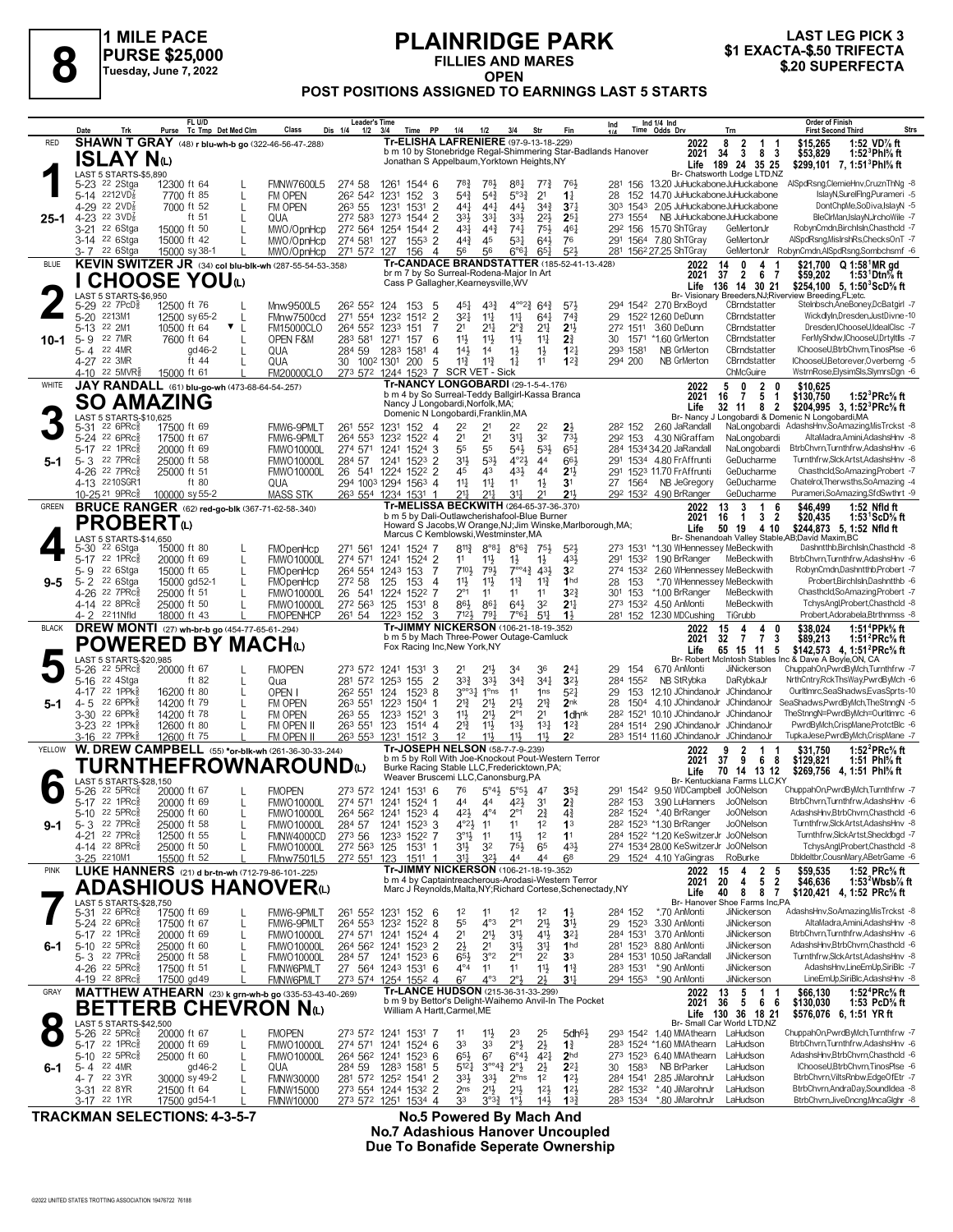

# **PLAINRIDGE PARK FILLIES AND MARES**



## **OPEN POST POSITIONS ASSIGNED TO EARNINGS LAST 5 STARTS**

|              | Trk<br>Date                                                           | FL U/D<br>Tc Tmp Det Med Clm<br>Purse                                               | Dis 1/4<br>1/2<br>Class                                        | <b>Leader's Time</b><br>Time PP<br>3/4                                                                             | 1/4<br>1/2                                                                    | 3/4<br>Str                                                                               | Fin                                 | Ind 1/4 Ind<br>Time Odds Drv<br>Ind                                                     | <b>Order of Finish</b><br><b>Strs</b><br><b>First Second Third</b><br>Trn                                                                                                   |
|--------------|-----------------------------------------------------------------------|-------------------------------------------------------------------------------------|----------------------------------------------------------------|--------------------------------------------------------------------------------------------------------------------|-------------------------------------------------------------------------------|------------------------------------------------------------------------------------------|-------------------------------------|-----------------------------------------------------------------------------------------|-----------------------------------------------------------------------------------------------------------------------------------------------------------------------------|
| RED          |                                                                       | SHAWN T GRAY (48) r blu-wh-b go (322-46-56-47-.288)                                 |                                                                | Tr-ELISHA LAFRENIERE (97-9-13-18-229)<br>b m 10 by Stonebridge Regal-Shimmering Star-Badlands Hanover              |                                                                               |                                                                                          |                                     | 2022<br>2021                                                                            | \$15,265<br>1:52 VD% ft<br>8<br>2<br>1<br>$\overline{\mathbf{3}}$<br>34<br>8 3<br>\$53,829<br>1:52 $^3$ Phl $\%$ ft                                                         |
|              | ISLAY Nω<br>LAST 5 STARTS-\$5,890                                     |                                                                                     |                                                                | Jonathan S Appelbaum, Yorktown Heights, NY                                                                         |                                                                               |                                                                                          |                                     |                                                                                         | Life 189 24 35 25<br>\$299,101 7, 1:51 <sup>3</sup> Phl <sup>5</sup> / <sub>8</sub> ft<br>Br- Chatsworth Lodge LTD,NZ                                                       |
|              | 5-23 <sup>22</sup> 2Stga                                              | 12300 ft 64                                                                         | <b>FMNW7600L5</b><br>274 58                                    | 1261<br>1544 6                                                                                                     | 784<br>783                                                                    | 887<br>7'3                                                                               | 76}                                 | 281<br>156 13.20 JuHuckaboneJuHuckabone                                                 | AlSpdRsng,ClemieHnv,CruznThNg -8                                                                                                                                            |
|              | 5-14 2212VD <sup>7</sup><br>4-29 22 2VD <sup>7</sup>                  | 7700 ft 85<br>7000 ft 52<br>L                                                       | 262 542<br>FM OPEN<br>263 55<br>FM OPEN                        | 152<br>3<br>1231<br>1231<br>1531<br>2                                                                              | $5^{4}$<br>$5^{4}$<br>$44\frac{1}{4}$<br>$44\frac{1}{4}$                      | 5°3 <sub>4</sub><br>2 <sup>1</sup><br>44}<br>$34\frac{3}{4}$                             | $1\frac{1}{4}$<br>$3^{7}{}_{4}$     | 152 14.70 JuHuckaboneJuHuckabone<br>28<br>1543 2.05 JuHuckaboneJuHuckabone<br>303       | IslayN,SurelFing,Purameri -5<br>DontChpMe,SoDiva,IslayN -5                                                                                                                  |
| $25-1$       | 4-23 22 $3VD_8^7$<br>22 6Stga<br>$3 - 21$                             | ft $51$<br>$\mathbf{I}$<br>15000 ft 50                                              | 272 583<br>QUA<br>272 564 1254<br>MWO/OpnHcp                   | 1273<br>2<br>1544<br>1544 2                                                                                        | 333<br>331<br>$4^{3}$<br>$44\frac{3}{4}$                                      | $3^{3}\frac{1}{2}$<br>$2^{2}$<br>$74\frac{1}{4}$<br>751,                                 | 25 <sub>7</sub><br>$46\frac{1}{4}$  | 273 1554<br>292 156 15.70 ShTGray                                                       | NB JuHuckaboneJuHuckabone<br>BleClrMan,IslayN,JrchoWile -7<br>RobynCmdn,BirchIsln,Chasthcld -7<br>GeMertonJr                                                                |
|              | 3-14 <sup>22</sup> 6Stga                                              | 15000 ft 42                                                                         | 274 581<br>MWO/OpnHcp                                          | 127<br>$155^3$ 2                                                                                                   | $44\frac{3}{4}$<br>45                                                         | 531<br>64}                                                                               | 76                                  | 291 1564 7.80 ShTGray                                                                   | AlSpdRsng, MisIrshRs, ChecksOnT -7<br>GeMertonJr                                                                                                                            |
| <b>BLUE</b>  | 3-7 22 6Stga                                                          | 15000 sy 38-1<br>KEVIN SWITZER JR (34) col blu-blk-wh (287-55-54-53-.358)           | 271 572 127<br>MWO/OpnHcp                                      | 156<br>$\overline{4}$<br>Tr-CANDACE BRANDSTATTER (185-52-41-13-.428)                                               | .56<br>56                                                                     | $6^{\circ}6^{\circ}$<br>$65\frac{1}{4}$                                                  | $5^{2}$                             | 281 1562 27.25 ShTGray<br>2022                                                          | RobynCmdn,AlSpdRsng,Sombchsmf -6<br>GeMertonJr<br>\$21,700 Q 1:58 <sup>1</sup> MR gd<br>14<br>0<br>4                                                                        |
|              |                                                                       | <b>CHOOSE YOU</b>                                                                   |                                                                | br m 7 by So Surreal-Rodena-Major In Art<br>Cass P Gallagher, Kearneysville, WV                                    |                                                                               |                                                                                          |                                     | 2021<br>Life                                                                            | 37<br>$\overline{2}$<br>6<br>- 7<br>\$59,202<br>1:53 Dtn% ft<br>136 14 30 21<br>\$254,100 5, 1:50 ${}^3$ ScD ${}^5$ s ft                                                    |
|              | LAST 5 STARTS-\$6.950<br>$22$ $7PCD85$<br>5-29                        | 12500 ft 76                                                                         | Mnw9500L5<br>26 <sup>2</sup> 55 <sup>2</sup> 124               |                                                                                                                    | $43\frac{3}{4}$<br>$45\frac{1}{4}$                                            | $4^{\circ}2^3$<br>$64\frac{3}{4}$                                                        | $5^{7}\frac{1}{2}$                  | 294 1542 2.70 BrxBoyd                                                                   | Br- Visionary Breeders, NJ; Riverview Breeding, FL; etc.<br>Stelnbsch, AneBoney, DcBatgirl -7<br>CBrndstatter                                                               |
|              | 2213M1<br>$5 - 20$                                                    | 12500 sy 65-2                                                                       | FMnw7500cd                                                     | 153<br>5<br>271 554 1232<br>$\overline{2}$<br>1512                                                                 | $3^{21}$<br>$11\frac{1}{4}$                                                   | $11\frac{1}{4}$<br>$64\frac{1}{4}$                                                       | $74\frac{3}{4}$                     | 152 <sup>2</sup> 12.60 DeDunn<br>29                                                     | CBrndstatter<br>WickdlyIn,Dresden,JustDivne-10                                                                                                                              |
| $10 - 1$     | 22 2M1<br>5-13<br>22 7MR<br>5-9                                       | 10500 ft 64<br>$\mathbf{v}$<br>7600 ft 64                                           | <b>FM15000CLO</b><br>283 581<br>OPEN F&M                       | 264 552 1233<br>151<br>1271<br>157<br>6                                                                            | 2 <sup>1</sup><br>$21\frac{1}{4}$<br>11}<br>11}                               | $2^{\circ}\frac{3}{4}$<br>2 <sup>11</sup><br>$11\frac{1}{2}$<br>$11\frac{1}{4}$          | 2 <sup>1</sup><br>2 <sup>3</sup>    | 272 1511<br>3.60 DeDunn<br>*1.60 GrMerton<br>30<br>1571                                 | Dresden, IChooseU, IdealClsc -7<br>CBrndstatter<br>CBrndstatter<br>FerMyShdw,IChooseU,DrtyItlls -7                                                                          |
|              | 22 4MR<br>5-4<br>4-27 22 3MR                                          | gd 46-2<br>ft 44                                                                    | QUA<br>284 59<br>QUA                                           | 1283<br>1581<br>4<br>30 1002 1301<br>200<br>5                                                                      | $14\frac{1}{2}$<br>14<br>$11\frac{3}{4}$<br>$11\frac{3}{4}$                   | $1\frac{1}{2}$<br>$1\frac{1}{2}$<br>$1\frac{1}{4}$<br>11                                 | $12\frac{1}{4}$<br>$1^{2}$          | 293 1581<br><b>NB GrMerton</b><br>294 200<br>NB GrMerton                                | CBrndstatter<br>IChooseU,BtrbChvrn,TinosPlse -6<br>IChooseU,Betorever,Overberng -5<br>CBrndstatter                                                                          |
|              | 4-10 22 5MVR                                                          | 15000 ft 61                                                                         | <b>FM20000CLO</b>                                              | 273 572 1244 1523 7 SCR VET - Sick                                                                                 |                                                                               |                                                                                          |                                     |                                                                                         | ChMcGuire<br>WstrnRose,ElysimSls,SlymrsDgn -6                                                                                                                               |
| WHITE        |                                                                       | JAY RANDALL (61) blu-go-wh (473-68-64-54-257)                                       |                                                                | <b>Tr-NANCY LONGOBARDI (29-1-5-4-.176)</b><br>b m 4 by So Surreal-Teddy Ballgirl-Kassa Branca                      |                                                                               |                                                                                          |                                     | 2022<br>2021                                                                            | $\overline{2}$<br>\$10,625<br>5<br>0<br>0<br>5 <sub>1</sub><br>16<br>$\overline{7}$<br>\$130,750<br>1:52 ${}^{3}$ PRc ${}^{5}_{8}$ ft                                       |
|              | <b>SO AMAZING</b><br>LAST 5 STARTS-\$10.625                           |                                                                                     |                                                                | Nancy J Longobardi, Norfolk, MA;<br>Domenic N Longobardi, Franklin, MA                                             |                                                                               |                                                                                          |                                     | Life                                                                                    | 32 11<br>8 2<br>\$204,995 3, 1:52 PRc % ft<br>Br- Nancy J Longobardi & Domenic N Longobardi, MA                                                                             |
|              | $22.6$ PR $c_{8}$<br>5-31<br>5-24 22 6PRc3                            | 17500 ft 69                                                                         | FMW6-9PMLT<br>261 552                                          | 152<br>1231<br>-4                                                                                                  | 2 <sup>2</sup><br>2 <sup>1</sup>                                              | 2 <sup>2</sup><br>22<br>34<br>32                                                         | $2\frac{1}{2}$<br>73}               | 28 <sup>2</sup> 152<br>2.60 JaRandall<br>4.30 NiGraffam                                 | NaLongobardi AdashsHnv,SoAmazing,MisTrckst -8<br>NaLongobardi<br>AltaMadra,Amini,AdashsHnv -8                                                                               |
|              | 22 1PRc<br>5-17                                                       | 17500 ft 67<br>20000 ft 69                                                          | FMW6-9PMLT<br>264 553<br><b>FMWO10000L</b><br>274 571          | 1232<br>1522 4<br>1241<br>1524<br>3                                                                                | 2 <sup>1</sup><br>55<br>55                                                    | 53}<br>$54\frac{1}{2}$                                                                   | $65\frac{1}{4}$                     | 292 153<br>284 1534 34.20 JaRandall                                                     | BtrbChvrn.Turnthfrw.AdashsHnv -6<br>NaLongobardi                                                                                                                            |
| 5-1          | 5-3 22 7PRc<br>22 7PRc<br>$4 - 26$                                    | 25000 ft 58<br>25000 ft 51                                                          | 284 57<br><b>FMWO10000L</b><br><b>FMWO10000L</b>               | 1241<br>$152^3$ 2<br>26 541 1224<br>1522 2                                                                         | 3 <sup>1</sup><br>531<br>43<br>45                                             | $4^{\circ}2\frac{1}{2}$<br>44<br>431<br>44                                               | 663<br>2 <sup>11</sup>              | 291 1534 4.80 Fr Affrunti<br>291 1523 11.70 FrAffrunti                                  | GeDucharme<br>Turnthfrw,SlckArtst,AdashsHnv -8<br>GeDucharme<br>Chasthcld,SoAmazing,Probert -7                                                                              |
|              | 4-13 2210SGR1<br>10-25 <sup>21</sup> 9PRc <sup>5</sup>                | ft 80<br>100000 sy 55-2                                                             | QUA<br><b>MASS STK</b>                                         | 294 1003 1294<br>$156^3$ 4<br>263 554 1234 1531 1                                                                  | $11\frac{1}{4}$<br>$11\frac{1}{4}$<br>21<br>$21\frac{1}{4}$                   | 11<br>$1\frac{1}{2}$<br>34<br>21                                                         | 3 <sup>1</sup><br>21,               | 27 1564<br>NB JeGregory<br>292 1532 4.90 BrRanger                                       | Chatelrol, Therwsths, SoAmazing -4<br>GeDucharme<br>Purameri, So Amazing, Sfd Swthrt - 9<br>GeDucharme                                                                      |
| <b>GREEN</b> |                                                                       | <b>BRUCE RANGER</b> (62) red-go-blk (367-71-62-58-.340)                             |                                                                | Tr-MELISSA BECKWITH (264-65-37-36-.370)                                                                            |                                                                               |                                                                                          |                                     | 2022                                                                                    | 3<br>$\mathbf{1}$<br>13<br>6<br>\$46,499<br>1:52 Nfld ft                                                                                                                    |
|              | PROBERT心                                                              |                                                                                     |                                                                | b m 5 by Dali-Outlawcherishafool-Blue Burner<br>Howard S Jacobs, W Orange, NJ; Jim Winske, Marlborough, MA;        |                                                                               |                                                                                          |                                     | 2021<br>Life                                                                            | 16<br>3 <sub>2</sub><br>\$20,435<br>$\overline{1}$<br>1:53 $^1$ ScD $\%$ ft<br>\$244,873 5, 1:52 Nfld ft<br>50 19<br>4 10                                                   |
|              | LAST 5 STARTS-\$14,650<br>22 6Stga<br>5-30                            | 15000 ft 80                                                                         | 271 561<br>FMOpenHcp                                           | Marcus C Kemblowski, Westminster, MA<br>1524<br>1241<br>-7                                                         | $8^{11}\frac{3}{4}$<br>$8^{\circ}8\frac{1}{4}$                                | $8^{\circ}6^{\frac{3}{4}}$<br>75}                                                        | $5^{2}$                             | 273 1531                                                                                | Br- Shenandoah Valley Stable, AB; David Maxim, BC<br>Dashntthb, BirchIsln, Chasthcld -8<br>*1.30 WHennessey MeBeckwith                                                      |
|              | $22$ 1PR $c_{8}^{5}$<br>$5 - 17$                                      | 20000 ft 69                                                                         | 274 571<br><b>FMWO10000L</b>                                   | 1524 2<br>1241                                                                                                     | 11<br>$11\frac{1}{2}$<br>$710\frac{1}{2}$                                     | $1\frac{1}{2}$<br>$1\frac{1}{2}$                                                         | 43}<br>3 <sup>2</sup>               | 1.90 BrRanger<br>291<br>1532                                                            | BtrbChvrn,Turnthfrw,AdashsHnv -6<br>MeBeckwith<br>2.60 WHennessey MeBeckwith<br>RobynCmdn,Dashntthb,Probert -7                                                              |
| $9 - 5$      | 5-9 <sup>22</sup> 6Stga<br>5-2 22 6Stga                               | 15000 ft 65<br>15000 gd52-1                                                         | <b>FMOpenHcp</b><br>272 58<br><b>FMOpenHcp</b>                 | 264 554 1243 153<br>125<br>153<br>4                                                                                | 791<br>11}<br>11}                                                             | $7^{\circ\circ}4^3$ 43 <sup>1</sup> / <sub>2</sub><br>$11\frac{3}{4}$<br>$11\frac{3}{4}$ | 1 <sub>hd</sub>                     | 274 1532<br>28<br>153                                                                   | *.70 WHennessey MeBeckwith<br>Probert, BirchIsln, Dashntthb -6                                                                                                              |
|              | 4-26 22 7PRc <sup>5</sup><br>4-14 22 8PRc                             | 25000 ft 51<br>25000 ft 50                                                          | 26<br>541<br><b>FMWO10000L</b><br>272 563<br><b>FMWO10000L</b> | 1224<br>1522<br>7<br>125<br>1531<br>8                                                                              | $2^{\circ}1$<br>11<br>86}<br>$86\frac{1}{4}$                                  | 11<br>11<br>$64\frac{1}{2}$<br>32                                                        | $3^{22}$<br>2 <sup>11</sup>         | *1.00 BrRanger<br>30 <sup>1</sup><br>153<br>273 1532 4.50 AnMonti                       | Chasthcld,SoAmazing,Probert -7<br>MeBeckwith<br>TchysAngl,Probert,Chasthcld -8<br>MeBeckwith                                                                                |
| <b>BLACK</b> | 2211Nfld<br>4-2                                                       | 18000 ft 43                                                                         | <b>FMOPENHCP</b><br>261 54                                     | 1223<br>152<br>3<br>Tr-JIMMY NICKERSON (106-21-18-19-.352)                                                         | 7121<br>79                                                                    | 7°61<br>5 <sup>11</sup>                                                                  | 1 <sup>1</sup>                      | 281 152 12.30 MDCushing                                                                 | TiGrubb<br>Probert, Adorabela, Btrthnmss -8<br>$\mathbf{0}$                                                                                                                 |
|              |                                                                       | DREW MONTI (27) wh-br-b go (454-77-65-61-294)<br><b>POWERED BY MACH</b> t           |                                                                | b m 5 by Mach Three-Power Outage-Camluck<br>Fox Racing Inc, New York, NY                                           |                                                                               |                                                                                          |                                     | 2022<br>2021                                                                            | 15<br>4<br>4<br>\$38,024<br>\$89,213<br>1:51 <sup>4</sup> PPk% ft<br>32<br>$\overline{7}$<br>$\overline{7}$<br>1:51 $^{2}$ PRc $\%$ ft<br>3                                 |
|              | LAST 5 STARTS-\$20,985                                                |                                                                                     |                                                                |                                                                                                                    |                                                                               |                                                                                          |                                     | Life                                                                                    | 65 15 11 5<br>\$142,573 4, 1:51 <sup>2</sup> PRc <sup>5</sup> / <sub>8</sub> ft<br>Br- Robert McIntosh Stables Inc & Dave A Boyle, ON, CA                                   |
|              | $22$ 5PR $c_{8}$<br>5-26<br>22 4Stga<br>5-16                          | 20000 ft 67<br>ft $82$                                                              | <b>FMOPEN</b><br>Qua                                           | 273 572 1241 1531<br>3<br>$\overline{2}$<br>281 572 1253<br>155                                                    | 2 <sup>1</sup><br>$21\frac{1}{2}$<br>$3^{3}\frac{3}{4}$<br>$3^{3}\frac{1}{2}$ | 34<br>36<br>$3^{4^{3}_{4}}$<br>$34\frac{1}{4}$                                           | $24\frac{1}{4}$<br>$3^{21}$         | 29<br>154<br>6.70 AnMonti<br>284 1552<br>NB StRybka                                     | ChuppahOn,PwrdByMch,Turnthfrw -7<br>JiNickerson<br>DaRybkaJr<br>NrthCntry,RckThsWay,PwrdByMch -6                                                                            |
| $5-1$        | 22 1PPk<br>4-17<br>22 6PPk<br>4-5                                     | 16200 ft 80<br>14200 ft 79                                                          | OPEN I<br>26 <sup>2</sup> 551<br>263 551<br>FM OPEN            | 124<br>$152^3$ 8<br>1504<br>1223                                                                                   | $3^{o_03}$ <sup>1</sup><br>1 <sup>o</sup> ns<br>$2^{13}$<br>$2^{11}$          | 11<br>1 <sub>ns</sub><br>$2^{13}$<br>21}                                                 | $5^{2}$<br>2 <sub>nk</sub>          | 153 12.10 JChindanoJr JChindanoJr<br>29<br>28<br>1504                                   | OurltImrc,SeaShadws,EvasSprts-10<br>4.10 JChindanoJr JChindanoJr<br>SeaShadws, PwrdByMch, The StnngN -5                                                                     |
|              | 22 6PPk<br>$3 - 30$                                                   | 14200 ft 78                                                                         | 263 55<br>FM OPEN                                              | 1233<br>$1521$ 3                                                                                                   | 11}<br>$21\frac{1}{2}$                                                        | $2^{\circ}1$<br>2 <sup>1</sup>                                                           | 1 <sub>dhnk</sub>                   | 282 1521 10.10 JChindanoJr JChindanoJr                                                  | TheStnngN=PwrdByMch=OurltImrc -6                                                                                                                                            |
|              | 3-23 <sup>22</sup> 1PPk<br>3-16 <sup>22</sup> 7PPk                    | 12600 ft 80<br>12600 ft 75                                                          | FM OPEN II<br>263 551<br>FM OPEN II<br>263 553 1231            | 123<br>1514 4<br>$151^2$ 3                                                                                         | $2^{13}$<br>$11\frac{1}{2}$<br>12<br>11,                                      | $13\frac{1}{2}$<br>$13\frac{1}{4}$<br>11}<br>11}                                         | $12\frac{3}{4}$<br>2 <sup>2</sup>   | 284 1514 2.90 JChindanoJr JChindanoJr<br>283 1514 11.60 JChindanoJr JChindanoJr         | PwrdByMch,CrispMane,ProtctBlc -6<br>TupkaJese,PwrdByMch,CrispMane -7                                                                                                        |
| YELLOW       |                                                                       | W. DREW CAMPBELL (55) *or-blk-wh (261-36-30-33-.244)                                |                                                                | Tr-JOSEPH NELSON (58-7-7-9-239)<br>b m 5 by Roll With Joe-Knockout Pout-Western Terror                             |                                                                               |                                                                                          |                                     | 2022<br>2021                                                                            | 1:52 $^{2}$ PRc $^{5}$ ft<br>9<br>2<br>\$31.750<br>37<br>-9<br>\$129,821<br>68<br>1:51 Phl% ft                                                                              |
|              | LAST 5 STARTS-\$28,150                                                | <b>TURNTHEFROWNAROUND</b> W                                                         |                                                                | Burke Racing Stable LLC, Fredericktown, PA;<br>Weaver Bruscemi LLC, Canonsburg, PA                                 |                                                                               |                                                                                          |                                     | Life                                                                                    | 70 14 13 12<br>\$269,756 4, 1:51 Phl% ft<br>Br- Kentuckiana Farms LLC,KY                                                                                                    |
|              | $22$ 5PR $c_{8}^5$<br>5-26                                            | 20000 ft 67                                                                         | <b>FMOPEN</b>                                                  | 273 572 1241 1531 6                                                                                                | 76<br>44                                                                      | $5^{\circ}4\frac{1}{2}$ $5^{\circ}5\frac{1}{2}$<br>47                                    | $35\frac{3}{4}$                     | 291 1542 9.50 WDCampbell JoONelson                                                      | ChuppahOn.PwrdBwlch.Turnthfrw -7<br>BtrbChvrn,Turnthfrw,AdashsHnv -6                                                                                                        |
|              | 5-17 22 1PRc <sup>5</sup><br>5-10<br>$22$ 5PR $c_{8}$                 | 20000 ft 69<br>25000 ft 60                                                          | <b>FMWO10000L</b><br><b>FMWO10000L</b>                         | 274 571 1241 1524 1<br>264 562 1241<br>1523 4                                                                      | 44                                                                            | 42}<br>3 <sup>1</sup><br>21                                                              | 21<br>44                            | 28 <sup>2</sup> 153 3.90 LuHanners JoONelson<br>28 <sup>2</sup> 1524 *.40 BrRanger      | Jo <sub>O</sub> Nelson<br>AdashsHnv,BtrbChvrn,Chasthcld -6                                                                                                                  |
| 9-1          | 5-3 22 7PRc <sup>5</sup><br>4-21 22 7PRc <sup>5</sup>                 | 25000 ft 58<br>$\mathbf{I}$<br>12500 ft 55                                          | <b>FMWO10000L</b><br>284 57<br>273 56<br>FMNW4000CD            | 1241 1523 3<br>1233<br>1522 7                                                                                      | $4^{\circ}2\frac{1}{2}$<br>11<br>$3^{01}$<br>11                               | 1 <sup>2</sup><br>11<br>$11\frac{1}{2}$<br>1 <sup>2</sup>                                | 1 <sup>3</sup><br>11                | 28 <sup>2</sup> 152 <sup>3</sup> *1.30 BrRanger<br>284 1522 *1.20 KeSwitzerJr JoONelson | JoONelson<br>Turnthfrw,SlckArtst,AdashsHnv -8<br>Turnthfrw,SlckArtst,Shecldbgd -7                                                                                           |
|              | 4-14 22 8PRc <sup>5</sup><br>3-25 2210M1                              | 25000 ft 50<br>15500 ft 52                                                          | <b>FMWO10000L</b><br>272 563 125<br>FMnw7501L5<br>272 551 123  | 1531 1<br>$151^1$ 1                                                                                                | 3 <sup>1</sup><br>3 <sup>2</sup><br>321<br>31                                 | $75\frac{1}{2}$<br>65<br>44<br>44                                                        | 431<br>6 <sup>8</sup>               | 274 1534 28.00 KeSwitzerJr JoONelson<br>29 1524 4.10 YaGingras                          | TchysAngl,Probert,Chasthcld -8<br>Dbldeltbr,CousnMary,ABetrGame -6<br>RoBurke                                                                                               |
| <b>PINK</b>  |                                                                       | LUKE HANNERS (21) d br-tn-wh (712-79-86-101-.225)                                   |                                                                | Tr-JIMMY NICKERSON (106-21-18-19-.352)                                                                             |                                                                               |                                                                                          |                                     | 2022                                                                                    | $\begin{array}{cc} 2 & 5 \\ 5 & 2 \end{array}$<br>\$59,535<br>1:52 PRc% ft<br>15<br>4                                                                                       |
|              |                                                                       | <b>ADASHIOUS HANOVER</b> W                                                          |                                                                | b m 4 by Captaintreacherous-Arodasi-Western Terror<br>Marc J Reynolds, Malta, NY; Richard Cortese, Schenectady, NY |                                                                               |                                                                                          |                                     | 2021<br>Life                                                                            | 20<br>4<br>1:53 $2$ Wbsb $\%$ ft<br>\$46,636<br>40<br>8<br>87<br>\$120,421 4, 1:52 PRc% ft                                                                                  |
|              | LAST 5 STARTS-\$28,750<br>5-31 22 6PRc <sup>3</sup>                   | 17500 ft 69<br>L                                                                    | FMW6-9PMLT                                                     | 261 552 1231 152 6                                                                                                 | 1 <sup>2</sup><br>11                                                          | 1 <sup>2</sup><br>1 <sup>2</sup>                                                         | $1\frac{1}{2}$                      | *.70 AnMonti<br>284 152                                                                 | Br- Hanover Shoe Farms Inc,PA<br>AdashsHnv,SoAmazing,MisTrckst -8<br>JiNickerson                                                                                            |
|              | 5-24 22 6PRc <sup>5</sup><br>5-17 22 1PRc                             | 17500 ft 67<br>L<br>20000 ft 69                                                     | FMW6-9PMLT<br><b>FMWO10000L</b>                                | 264 553 1232 1522 8                                                                                                | 55<br>$4^{\circ}3$<br>2 <sup>1</sup><br>$21\frac{1}{2}$                       | $2^{\circ}1$<br>$21\frac{1}{2}$<br>31}<br>$4^{11}$                                       | 3 <sup>1</sup><br>$3^{2}$           | 29 1523<br>3.30 AnMonti<br>284 1531 3.70 AnMonti                                        | AltaMadra,Amini,AdashsHnv -8<br>JiNickerson<br>BtrbChvrn,Turnthfrw,AdashsHnv -6<br>JiNickerson                                                                              |
| 6-1          | 5-10 $22$ 5PRc $\frac{5}{8}$                                          | L<br>25000 ft 60<br>L                                                               | <b>FMWO10000L</b>                                              | 274 571 1241 1524 4<br>264 562 1241 1523 2                                                                         | $2\frac{1}{2}$<br>21                                                          | $3^{11}$<br>3½                                                                           | 1 <sub>hd</sub>                     | 281 1523 8.80 AnMonti                                                                   | JiNickerson<br>AdashsHnv, BtrbChvrn, Chasthcld -6                                                                                                                           |
|              | $5 - 3$ 22 7PRc $\frac{5}{8}$<br>4-26 <sup>22</sup> 5PRc <sup>3</sup> | 25000 ft 58<br>17500 ft 51                                                          | <b>FMWO10000L</b><br>FMNW6PMLT                                 | 284 57 1241 1523 6<br>27 564 1243 1531 6                                                                           | 65}<br>3°2<br>$4^{\circ}4$<br>1 <sup>1</sup>                                  | 2 <sup>2</sup><br>$2^{\circ}1$<br>11<br>11                                               | 3 <sup>3</sup><br>$1\frac{13}{4}$   | 284 1531 10.50 JaRandall<br>283 1531<br>*.90 AnMonti                                    | JiNickerson<br>Turnthfrw, Slck Artst, AdashsHnv -8<br>AdashsHnv,LineEmUp,SiriBlc -7<br>JiNickerson                                                                          |
|              | 4-19 22 8PRc                                                          | 17500 gd 49                                                                         | <b>FMNW6PMLT</b>                                               | 273 574 1254 1552 4                                                                                                | 67<br>$4^{\circ}3$                                                            | $2^{\circ}3$<br>2}                                                                       | $3^{11}$                            | 294 1553<br>*.90 AnMonti                                                                | LineEmUp,SiriBlc,AdashsHnv -8<br>JiNickerson                                                                                                                                |
| GRAY         |                                                                       | MATTHEW ATHEARN (23) k grn-wh-b go (335-53-43-40-.269)<br><b>BETTERB CHEVRON Nω</b> |                                                                | Tr-LANCE HUDSON (215-36-31-33-299)<br>b m 9 by Bettor's Delight-Waihemo Anvil-In The Pocket                        |                                                                               |                                                                                          |                                     | 2022<br>2021                                                                            | $\begin{array}{c} 13 \\ 36 \end{array}$<br>$\begin{array}{cccc} 5 & 1 & 1 \\ 5 & 6 & 6 \end{array}$<br>\$66,130<br>1:52 ${}^4$ PRc ${}^5\!$ ft<br>\$130,030<br>1:53 PcD% ft |
|              | LAST 5 STARTS-\$42,500                                                |                                                                                     |                                                                | William A Hartt, Carmel, ME                                                                                        |                                                                               |                                                                                          |                                     |                                                                                         | Life 130 36 18 21<br>\$576,076 6, 1:51 YR ft<br>Br- Small Car World LTD,NZ                                                                                                  |
|              | $5 - 26$<br>$22$ 5PR $c_{8}^5$<br>5-17 22 1PRc <sup>5</sup>           | 20000 ft 67<br>$\mathbf{I}$<br>20000 ft 69<br>L                                     | <b>FMOPEN</b><br><b>FMWO10000L</b>                             | 273 572 1241 1531 7<br>274 571 1241 1524 6                                                                         | $11\frac{1}{2}$<br>11<br>33<br>33                                             | 23<br>25<br>$2^{\circ}3$<br>$2\frac{1}{2}$                                               | 5dh <sub>61</sub><br>$1\frac{3}{4}$ | 293 1542 1.40 MMAthearn LaHudson<br>283 1524 *1.60 MMAthearn                            | ChuppahOn,PwrdByMch,Turnthfrw -7<br>BtrbChvrn,Turnthfrw,AdashsHnv -6<br>LaHudson                                                                                            |
|              | 5-10 <sup>22</sup> 5PRc <sup>3</sup>                                  | 25000 ft 60<br>L                                                                    | <b>FMWO10000L</b>                                              | 264 562 1241 1523 6                                                                                                | $65\frac{1}{2}$<br>67                                                         | $4^{2}$<br>$6^\circ 4\frac{1}{2}$                                                        | 2 <sub>hd</sub>                     | 273 1523 6.40 MMAthearn<br>NB BrParker                                                  | AdashsHnv,BtrbChvrn,Chasthcld -6<br>LaHudson<br>IChooseU,BtrbChvrn,TinosPlse -6<br>LaHudson                                                                                 |
| 6-1          | 22 4MR<br>5-4<br>4-7 22 3YR                                           | gd 46-2<br>30000 sy 49-2                                                            | 284 59<br>QUA<br><b>FMNW30000</b>                              | 1283 1581 5<br>281 572 1252 1541 2                                                                                 | $5^{12}$<br>$3^{\circ 4}$<br>$3^{3}\frac{1}{2}$<br>$3^{3}\frac{1}{2}$         | $2\frac{1}{2}$<br>$2^{\circ}$ <sub>2</sub><br>$2^{\circ}$ ns<br>$1^2$                    | $2^{2}$<br>$1^{2}$                  | 30 1583<br>284 1541 2.85 JiMarohnJr                                                     | BtrbChvrn,ViltsRnbw,EdgeOfEtr -7<br>LaHudson                                                                                                                                |
|              | 3-31 22 8YR<br>3-17 22 1YR                                            | 21500 ft 64<br>17500 gd54-1                                                         | <b>FMNW15000</b><br><b>FMNW10000</b>                           | 273 554 1244 1532 2<br>273 572 1251 1534 4                                                                         | 2 <sup>11</sup><br>2 <sub>ns</sub><br>33<br>$3^{03}\frac{3}{4}$               | 2 <sup>11</sup><br>$12\frac{1}{2}$<br>$1^{\circ}3$<br>$14\frac{1}{2}$                    | $12\frac{1}{2}$<br>$13\frac{3}{4}$  | *.40 JiMarohnJr<br>282 1532<br>283 1534 *.80 JiMarohnJr                                 | BtrbChvrn,AndraDay,SoundIdea -8<br>LaHudson<br>BtrbChvrn,JiveDncng,MncaGlghr -8<br>LaHudson                                                                                 |

**TRACKMAN SELECTIONS: 4-3-5-7 No.5 Powered By Mach And No.7 Adashious Hanover Uncoupled Due To Bonafide Seperate Ownership**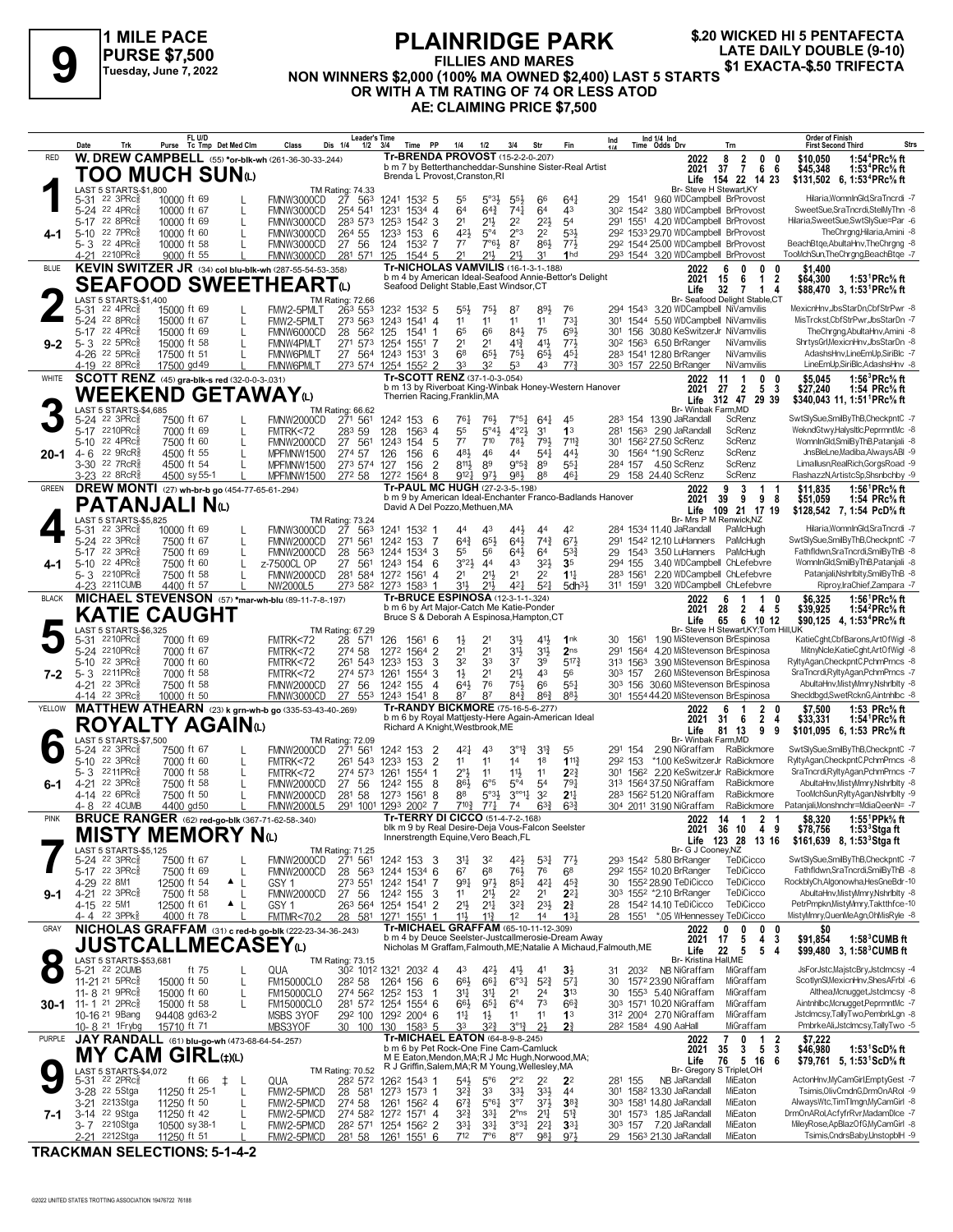

#### **PLAINRIDGE PARK FILLIES AND MARES NON WINNERS \$2,000 (100% MA OWNED \$2,400) LAST 5 STARTS OR WITH A TM RATING OF 74 OR LESS ATOD AE: CLAIMING PRICE \$7,500 1 MILE PACE PLAINRIDGE PARK** \$20 WICKED HI 5 PENTAFECTA<br>PURSE \$7,500 FILLIES AND MARES \$2,000 (10) PURSE \$1,2022<br>NON WINNERS \$2,000 (10) & MA OWNERS \$2,400) LAST 5 STARTS \$1 EXACTA-\$.50 TRIFECTA

|              |                 | Trk                                                    | Purse |                            | FL U/D<br>Tc Tmp Det Med Clm                            | Class                                                                            | <b>Leader's Time</b><br>Dis 1/4<br>$1/2$ $3/4$ |                 | PP<br>Time                                                                                           | 1/4                                | 1/2                                        | 3/4                                | Str                            | Fin                                                               | $\ln d$<br>1/4 |                     | Ind 1/4 Ind<br>Time Odds Drv                         |                                       | Trn                                                                                             |             | <b>Order of Finish</b><br><b>First Second Third</b> |                                                                                                 | <b>Strs</b> |  |
|--------------|-----------------|--------------------------------------------------------|-------|----------------------------|---------------------------------------------------------|----------------------------------------------------------------------------------|------------------------------------------------|-----------------|------------------------------------------------------------------------------------------------------|------------------------------------|--------------------------------------------|------------------------------------|--------------------------------|-------------------------------------------------------------------|----------------|---------------------|------------------------------------------------------|---------------------------------------|-------------------------------------------------------------------------------------------------|-------------|-----------------------------------------------------|-------------------------------------------------------------------------------------------------|-------------|--|
| RED          |                 |                                                        |       |                            |                                                         | W. DREW CAMPBELL (55) *or-blk-wh (261-36-30-33-244)                              |                                                |                 | <b>Tr-BRENDA PROVOST</b> (15-2-2-0-.207)                                                             |                                    |                                            |                                    |                                |                                                                   |                |                     |                                                      | 2022                                  | 8<br>$\overline{2}$<br>0                                                                        | 0           | \$10,050                                            | 1:54 <sup>4</sup> PRc <sup>5</sup> / <sub>8</sub> ft                                            |             |  |
|              |                 |                                                        |       |                            | TOO MUCH SUNധ                                           |                                                                                  |                                                |                 | Brenda L Provost, Cranston, RI                                                                       |                                    |                                            |                                    |                                | b m 7 by Betterthancheddar-Sunshine Sister-Real Artist            |                |                     |                                                      | 2021 37                               | $\overline{7}$<br>6<br>Life 154 22 14 23                                                        | -6          | \$45,348                                            | 1:53 <sup>4</sup> PRc <sup>5</sup> / <sub>8</sub> ft                                            |             |  |
|              |                 | LAST 5 STARTS-\$1,800                                  |       |                            |                                                         |                                                                                  | <b>TM Rating: 74.33</b>                        |                 |                                                                                                      |                                    |                                            |                                    |                                |                                                                   |                |                     |                                                      | Br- Steve H Stewart.KY                |                                                                                                 |             |                                                     | \$131,502 6, 1:53 <sup>4</sup> PRc <sup>5</sup> / <sub>8</sub> ft                               |             |  |
|              |                 | 5-31 22 3PRc <sup>5</sup><br>5-24 22 4PRc              |       | 10000 ft 69<br>10000 ft 67 |                                                         | FMNW3000CD                                                                       | 563<br>27<br>254 541                           |                 | 1241 1532 5                                                                                          | 55<br>6 <sup>4</sup>               | $5^{\circ}3\frac{1}{2}$<br>$64\frac{3}{4}$ | $55\frac{1}{2}$<br>$74\frac{1}{4}$ | 66<br>6 <sup>4</sup>           | 64 <sup>1</sup><br>43                                             |                |                     |                                                      |                                       | 29 1541 9.60 WDCampbell BrProvost<br>30 <sup>2</sup> 154 <sup>2</sup> 3.80 WDCampbell BrProvost |             |                                                     | Hilaria, WomnInGld, SraTncrdi - 7<br>SweetSue,SraTncrdi,StelMyThn -8                            |             |  |
|              |                 | 5-17 22 8PRc                                           |       | 10000 ft 69                | L                                                       | FMNW3000CD<br>FMNW3000CD                                                         | 283 573 1253 1542 3                            | 1231            | 1534 4                                                                                               | 2 <sup>1</sup>                     | $21\frac{1}{2}$                            | 2 <sup>2</sup>                     | $2^{21}$                       | 54                                                                |                |                     |                                                      |                                       | 291 1551 4.20 WDCampbell BrProvost                                                              |             |                                                     | Hilaria.SweetSue.SwtSlvSue=Par -6                                                               |             |  |
|              |                 | 5-10 22 7PRc                                           |       | 10000 ft 60                | L                                                       | FMNW3000CD                                                                       | 264 55                                         | 1233 153        | -6                                                                                                   | 421                                | $5^{\circ}4$                               | $2^{\circ}3$                       | 2 <sup>2</sup>                 | 531                                                               |                |                     |                                                      |                                       | 292 1533 29.70 WDCampbell BrProvost                                                             |             |                                                     | TheChrana.Hilaria.Amini -8                                                                      |             |  |
|              |                 | 5-3 22 4PRc<br>4-21 2210PRc                            |       | 10000 ft 58<br>9000 ft 55  | L                                                       | FMNW3000CD<br>FMNW3000CD                                                         | 27<br>56<br>281 571                            | 124<br>125      | 1532 7                                                                                               | 7 <sup>7</sup><br>21               | 7°61<br>21}                                | 87<br>21,                          | 861<br>31                      | 773<br>1 <sub>hd</sub>                                            |                |                     |                                                      |                                       | 292 1544 25.00 WDCampbell BrProvost<br>293 1544 3.20 WDCampbell BrProvost                       |             |                                                     | BeachBtge, AbultaHnv, The Chrgng -8<br>TooMchSun, TheChrgng, BeachBtge -7                       |             |  |
| BLUE         |                 |                                                        |       |                            |                                                         | KEVIN SWITZER JR (34) col blu-blk-wh (287-55-54-53-.358)                         |                                                |                 | 1544 5<br>Tr-NICHOLAS VAMVILIS (16-1-3-1-188)                                                        |                                    |                                            |                                    |                                |                                                                   |                |                     |                                                      | 2022                                  | - 6<br>0<br>0                                                                                   | 0           | \$1,400                                             |                                                                                                 |             |  |
|              |                 |                                                        |       |                            |                                                         | <b>SEAFOOD SWEETHEART</b> @                                                      |                                                |                 |                                                                                                      |                                    |                                            |                                    |                                | b m 4 by American Ideal-Seafood Annie-Bettor's Delight            |                |                     |                                                      | 2021<br>15                            | 6<br>$\overline{1}$                                                                             | $\mathbf 2$ | \$64,300                                            | 1:53 ${}^1$ PRc ${}^5\! s$ ft                                                                   |             |  |
|              |                 | LAST 5 STARTS-\$1,400                                  |       |                            |                                                         |                                                                                  | TM Rating: 72.66                               |                 | Seafood Delight Stable, East Windsor, CT                                                             |                                    |                                            |                                    |                                |                                                                   |                |                     |                                                      | Life                                  | 32<br>7<br>$\overline{1}$<br>Br- Seafood Delight Stable,CT                                      | 4           |                                                     | \$88,470 3, 1:53 <sup>1</sup> PRc <sup>5</sup> / <sub>8</sub> ft                                |             |  |
|              |                 | 5-31 22 4PRc <sup>5</sup>                              |       | 15000 ft 69                |                                                         | FMW2-5PMLT                                                                       | 263 553                                        |                 | 1232 1532 5                                                                                          | $55\frac{1}{2}$                    | $75\frac{1}{2}$                            | 87                                 | 893                            | 76                                                                |                |                     |                                                      |                                       | 294 1543 3.20 WDCampbell NiVamvilis                                                             |             |                                                     | MexicnHnv,JbsStarDn,CbfStrPwr -8                                                                |             |  |
|              |                 | 5-24 22 8PRc<br>5-17 22 4PRc                           |       | 15000 ft 67<br>15000 ft 69 | L<br>L                                                  | FMW2-5PMLT<br>FMNW6000CD                                                         | 273 563<br>562 125<br>28                       |                 | 1243 1541 4<br>1541 1                                                                                | 1 <sup>1</sup><br>65               | 11<br>66                                   | 11<br>84}                          | 11<br>75                       | $73\frac{1}{4}$<br>693                                            |                |                     |                                                      |                                       | 301 1544 5.50 WDCampbell NiVamvilis<br>301 156 30.80 KeSwitzerJr NiVamvilis                     |             |                                                     | MisTrckst,CbfStrPwr,JbsStarDn -7<br>TheChrana.AbultaHnv.Amini -8                                |             |  |
| $9 - 2$      | $5 - 3$         | 22 5PRc                                                |       | 15000 ft 58                | L                                                       | FMNW4PMLT                                                                        | 271 573 1254 1551                              |                 | -7                                                                                                   | 2 <sup>1</sup>                     | 2 <sup>1</sup>                             | $4^{13}$                           | 41}                            | 773                                                               |                |                     | 30 <sup>2</sup> 156 <sup>3</sup> 6.50 BrRanger       |                                       | NiVamvilis                                                                                      |             |                                                     | ShrtysGrl, MexicnHnv, JbsStarDn -8                                                              |             |  |
|              |                 | 4-26 22 5PRcs                                          |       | 17500 ft 51                | L                                                       | <b>FMNW6PMLT</b>                                                                 | 27 564 1243 1531                               |                 | 3                                                                                                    | 6 <sup>8</sup>                     | $65\frac{1}{2}$                            | 75}                                | $65\frac{1}{2}$                | $45\frac{1}{4}$                                                   |                |                     | 283 1541 12.80 BrRanger                              |                                       | NiVamvilis                                                                                      |             |                                                     | AdashsHnv,LineEmUp,SiriBlc -7                                                                   |             |  |
| WHITE        |                 | $4-19$ 22 8PRc <sup>5</sup>                            |       | 17500 gd 49                | SCOTT RENZ (45) gra-blk-s red (32-0-0-3-.031)           | FMNW6PMLT                                                                        | 273 574 1254 1552 2                            |                 | Tr-SCOTT RENZ (37-1-0-3-.054)                                                                        | 33                                 | 3 <sup>2</sup>                             | 53                                 | 43                             | 773                                                               |                |                     | 303 157 22.50 BrRanger                               |                                       | NiVamvilis<br>-1                                                                                | 0           |                                                     | LineEmUp,SiriBlc,AdashsHnv -8<br>1:56 <sup>3</sup> PRc <sup>5</sup> / <sub>8</sub> ft           |             |  |
|              |                 |                                                        |       |                            |                                                         |                                                                                  |                                                |                 |                                                                                                      |                                    |                                            |                                    |                                | b m 13 by Riverboat King-Winbak Honey-Western Hanover             |                |                     |                                                      | 2022<br>2021<br>27                    | 11<br>0<br>$\overline{2}$<br>5                                                                  | 3           | \$5.045<br>\$27,240                                 | 1:54 PRc% ft                                                                                    |             |  |
|              |                 |                                                        |       |                            | <b>WEEKEND GETAWAY</b> ω                                |                                                                                  |                                                |                 | Therrien Racing, Franklin, MA                                                                        |                                    |                                            |                                    |                                |                                                                   |                |                     |                                                      |                                       | Life 312 47 29 39                                                                               |             |                                                     | \$340,043 11, 1:51 PRc% ft                                                                      |             |  |
|              |                 | LAST 5 STARTS-\$4,685<br>5-24 22 3PRcs                 |       | 7500 ft 67                 |                                                         | FMNW2000CD                                                                       | TM Rating: 66.62<br>271 561                    |                 | 1242 153 6                                                                                           | $76\frac{1}{4}$                    | 76}                                        | $7°5\frac{1}{4}$                   | $64\frac{1}{4}$                | 45                                                                |                |                     | 283 154 13.90 JaRandall                              | Br- Winbak Farm, MD                   | ScRenz                                                                                          |             |                                                     | SwtSlySue,SmilByThB,CheckpntC -7                                                                |             |  |
|              |                 | 5-17 2210PRcs                                          |       | 7000 ft 69                 | L                                                       | FMTRK<72                                                                         | 283 59                                         | 128             | $1563$ 4                                                                                             | 55                                 | $5^{\circ}43$                              | $4^{\circ}2\frac{1}{2}$            | 3 <sup>1</sup>                 | 1 <sup>3</sup>                                                    |                |                     | 281 1563 2.90 JaRandall                              |                                       | ScRenz                                                                                          |             |                                                     | WekndGtwy,HalysItIc,PeprmntMc -8                                                                |             |  |
| $20 - 1$     | 4- 6            | 5-10 22 4PRc<br>22 9RcR                                |       | 7500 ft 60<br>4500 ft 55   | L                                                       | FMNW2000CD<br>MPFMNW1500                                                         | 27 561<br>274 57                               | 1243 154<br>126 | 5<br>156<br>6                                                                                        | 7 <sup>7</sup><br>481              | 710<br>46                                  | 783<br>44                          | 791<br>$5^{41}$                | $7^{11}\frac{3}{4}$<br>443                                        | 301<br>30      |                     | 156 <sup>2</sup> 27.50 ScRenz<br>1564 *1.90 ScRenz   |                                       | ScRenz<br>ScRenz                                                                                |             |                                                     | WomnInGld.SmilBvThB.Pataniali -8<br>JnsBleLne, Madiba, Always ABI -9                            |             |  |
|              |                 | 3-30 22 7RcR\$                                         |       | 4500 ft 54                 | L                                                       | MPFMNW1500                                                                       | 273 574 127                                    |                 | $\overline{2}$<br>156                                                                                | 8111                               | 89                                         | $9°5\frac{3}{4}$                   | 89                             | $55\frac{1}{4}$                                                   |                |                     | 284 157 4.50 ScRenz                                  |                                       | ScRenz                                                                                          |             |                                                     | Limallusn, Real Rich, Gorgs Road -9                                                             |             |  |
|              |                 | 3-23 22 8RcR\$                                         |       | 4500 sy 55-1               |                                                         | MPFMNW1500 272 58 1272 1564 8                                                    |                                                |                 |                                                                                                      | 9121                               | 973                                        | 981                                | 88                             | 461                                                               |                |                     | 29 158 24.40 ScRenz                                  |                                       | ScRenz                                                                                          |             |                                                     | FlashazzN, ArtistcSp, Shsnbchby -9                                                              |             |  |
| <b>GREEN</b> |                 |                                                        |       |                            | <b>DREW MONTI</b> (27) wh-br-b go (454-77-65-61-294)    |                                                                                  |                                                |                 | Tr-PAUL MC HUGH (27-2-3-5-.198)                                                                      |                                    |                                            |                                    |                                | b m 9 by American Ideal-Enchanter Franco-Badlands Hanover         |                |                     |                                                      | 2022<br>2021                          | 3<br>9<br>1<br>98<br>9<br>39                                                                    | -1          | \$11.835<br>\$51.059                                | 1:56 <sup>1</sup> PRc <sup>5</sup> / <sub>8</sub> ft<br>1:54 $PRc\%$ ft                         |             |  |
|              |                 | PATANJALI Nω                                           |       |                            |                                                         |                                                                                  |                                                |                 | David A Del Pozzo, Methuen, MA                                                                       |                                    |                                            |                                    |                                |                                                                   |                |                     |                                                      |                                       | Life 109 21 17 19                                                                               |             |                                                     | \$128,542 7, 1:54 PcD% ft                                                                       |             |  |
|              |                 | LAST 5 STARTS-\$5,825<br>22 3PRc3                      |       | 10000 ft 69                |                                                         | FMNW3000CD                                                                       | TM Rating: 73.24                               |                 | 1241 1532 1                                                                                          | 44                                 | 43                                         | 441                                | 44                             | 42                                                                |                |                     | 284 1534 11.40 JaRandall                             |                                       | Br- Mrs P M Renwick, NZ<br>PaMcHugh                                                             |             |                                                     | Hilaria, WomnInGld, SraTncrdi -7                                                                |             |  |
|              | 5-31            | 5-24 22 3PRc                                           |       | 7500 ft 67                 | L<br>L                                                  | FMNW2000CD                                                                       | 563<br>27<br>561<br>271                        | 1242 153        | - 7                                                                                                  | $64\frac{3}{4}$                    | 65}                                        | 641                                | $74\frac{3}{4}$                | 673                                                               |                |                     |                                                      | 291 1542 12.10 LuHanners              | PaMcHugh                                                                                        |             |                                                     | SwtSlySue,SmilByThB,CheckpntC -7                                                                |             |  |
|              |                 | 5-17 22 3PRcs                                          |       | 7500 ft 69                 | L                                                       | FMNW2000CD                                                                       | 28<br>563                                      |                 | 1244 1534 3                                                                                          | 55                                 | 56                                         | $64\frac{1}{2}$                    | 64                             | $5^{3}{}_{2}^{3}$                                                 | 29             |                     |                                                      | 1543 3.50 LuHanners                   | PaMcHugh                                                                                        |             |                                                     | Fathfldwn,SraTncrdi,SmilByThB -8                                                                |             |  |
| 4-1          |                 | 5-10 22 4PRc<br>5-3 2210PRcs                           |       | 7500 ft 60<br>7500 ft 58   |                                                         | z-7500CL OP<br>FMNW2000CD                                                        | 27<br>561<br>281 584 1272 1561                 | 1243 154        | 6<br>4                                                                                               | 3°2 <sup>1</sup><br>2 <sup>1</sup> | 4 <sup>4</sup><br>$2^{11}$                 | 43<br>2 <sup>1</sup>               | $3^{2}\frac{1}{2}$<br>22       | 3 <sub>5</sub><br>$11\frac{1}{4}$                                 |                | 294 155<br>283 1561 |                                                      |                                       | 3.40 WDCampbell ChLefebvre<br>2.20 WDCampbell ChLefebvre                                        |             |                                                     | WomnInGld,SmilByThB,Patanjali -8<br>Pataniali.Nshrlbltv.SmilBvThB -8                            |             |  |
|              |                 | 4-23 2211CUMB                                          |       | 4400 ft 57                 |                                                         | NW2000L5                                                                         | 273 582 1273 1583                              |                 |                                                                                                      | 31}                                | $21\frac{1}{2}$                            | 421                                | $5^{2}$                        | 5dh <sup>31</sup>                                                 |                | 311 1591            |                                                      |                                       | 3.20 WDCampbell ChLefebvre                                                                      |             |                                                     | Riproy, IraChief, Zampara - 7                                                                   |             |  |
| <b>BLACK</b> |                 |                                                        |       |                            |                                                         | MICHAEL STEVENSON (57) *mar-wh-blu (89-11-7-8-.197)                              |                                                |                 | Tr-BRUCE ESPINOSA (12-3-1-1-324)                                                                     |                                    |                                            |                                    |                                |                                                                   |                |                     |                                                      | 2022                                  | 6<br>-1<br>1                                                                                    |             | \$6.325                                             | 1:56 <sup>1</sup> PRc <sup>5</sup> / <sub>8</sub> ft                                            |             |  |
|              |                 |                                                        |       |                            | <b>KATIE CAUGHT</b>                                     |                                                                                  |                                                |                 | b m 6 by Art Major-Catch Me Katie-Ponder<br>Bruce S & Deborah A Espinosa, Hampton, CT                |                                    |                                            |                                    |                                |                                                                   |                |                     |                                                      | 28<br>2021<br>Life<br>65              | 2 4 5<br>6 10 12                                                                                |             | \$39,925                                            | 1:54 ${}^2$ PRc ${}^5\!$ ft<br>\$90,125 4, 1:53 <sup>4</sup> PRc <sup>5</sup> / <sub>8</sub> ft |             |  |
|              |                 | LAST 5 STARTS-\$6,325                                  |       |                            |                                                         |                                                                                  | TM Rating: 67.29                               |                 |                                                                                                      |                                    |                                            |                                    |                                |                                                                   |                |                     |                                                      |                                       | Br- Steve H Stewart, KY; Tom Hill, UK                                                           |             |                                                     |                                                                                                 |             |  |
|              | $5 - 31$        | 2210PRc흏<br>5-24 2210PRc                               |       | 7000 ft 69<br>7000 ft 67   |                                                         | FMTRK<72<br>FMTRK<72                                                             | 28<br>571<br>274 58                            | 126             | 1561 6<br>1272 1564 2                                                                                | $1\frac{1}{2}$<br>2 <sup>1</sup>   | 21<br>2 <sup>1</sup>                       | 31}<br>3 <sup>1</sup>              | $4^{11}$<br>3 <sup>1</sup>     | 1nk<br>2 <sub>ns</sub>                                            | 30<br>291      | 1561                |                                                      |                                       | 1.90 MiStevenson BrEspinosa<br>1564 4.20 MiStevenson BrEspinosa                                 |             |                                                     | KatieCght,CbfBarons,ArtOfWigl -8<br>MitnyNcle,KatieCght,ArtOfWigl -8                            |             |  |
|              |                 | 5-10 22 3PRc                                           |       | 7000 ft 60                 |                                                         | FMTRK<72                                                                         | 261 543 1233                                   |                 | 3<br>153                                                                                             | 32                                 | 33                                         | 37                                 | 39                             | $5^{17}$                                                          |                | 313 1563            |                                                      |                                       | 3.90 MiStevenson BrEspinosa                                                                     |             |                                                     | RyltyAgan,CheckpntC,PchmPrncs -8                                                                |             |  |
| $7 - 2$      | 5-3             | 2211PRc                                                |       | 7000 ft 58                 |                                                         | FMTRK<72                                                                         | 274 573                                        | 1261            | 1554<br>3                                                                                            | $1\frac{1}{2}$                     | 2 <sup>1</sup>                             | 213                                | 43                             | 56                                                                |                | 303 157             |                                                      |                                       | 2.60 MiStevenson BrEspinosa                                                                     |             |                                                     | SraTncrdi,RyltyAgan,PchmPrncs -7                                                                |             |  |
|              |                 | 4-21 22 3PRc<br>4-14 22 3PRc <sup>3</sup>              |       | 7500 ft 58<br>10000 ft 50  |                                                         | FMNW2000CD<br><b>FMNW3000CD</b>                                                  | 27 56<br>27 553 1243 1541                      | 1242 155        | $\overline{4}$<br>8                                                                                  | 643<br>87                          | 76<br>87                                   | 75}<br>$84\frac{3}{4}$             | 66<br>$86\frac{3}{4}$          | 55 <sub>1</sub><br>881                                            |                |                     |                                                      |                                       | 303 156 30.60 MiStevenson BrEspinosa<br>301 1554 44.20 MiStevenson BrEspinosa                   |             |                                                     | AbultaHnv, Misty Mmry, NshrIblty -8<br>Shecldbgd,SwetRcknG,Aintnhlbc -8                         |             |  |
| YELLOW       |                 |                                                        |       |                            |                                                         | MATTHEW ATHEARN (23) k grn-wh-b go (335-53-43-40-.269)                           |                                                |                 | Tr-RANDY BICKMORE (75-16-5-6-277)                                                                    |                                    |                                            |                                    |                                |                                                                   |                |                     |                                                      | 2022                                  | $\mathbf{2}$<br>6                                                                               | 0           | \$7.500                                             | 1:53 PRc% ft                                                                                    |             |  |
|              |                 |                                                        |       |                            | ROYALTY AGAINധ                                          |                                                                                  |                                                |                 | Richard A Knight, Westbrook, ME                                                                      |                                    |                                            |                                    |                                | b m 6 by Royal Mattjesty-Here Again-American Ideal                |                |                     |                                                      | 2021<br>31                            | 2<br>6                                                                                          | 4           | \$33,331                                            | 1:54 <sup>1</sup> PRc <sup>5</sup> / <sub>8</sub> ft                                            |             |  |
|              |                 | LAST 5 STARTS-\$7,500                                  |       |                            |                                                         |                                                                                  | TM Rating: 72.09                               |                 |                                                                                                      |                                    |                                            |                                    |                                |                                                                   |                |                     |                                                      | Life<br>Br- Winbak Farm, MD           | 9<br>81 13                                                                                      | 9           |                                                     | \$101,095 6, 1:53 PRc% ft                                                                       |             |  |
|              |                 | 5-24 22 3PRc <sup>5</sup>                              |       | 7500 ft 67                 |                                                         | FMNW2000CD                                                                       | 271 561                                        |                 | 1242 153 2                                                                                           | 421                                | 4 <sup>3</sup>                             | $3^{012}$                          | $3^{13}$                       | 55                                                                |                | 291 154             |                                                      | 2.90 NiGraffam                        | RaBickmore                                                                                      |             |                                                     | SwtSlySue,SmilByThB,CheckpntC -7                                                                |             |  |
|              | $5 - 10$<br>5-3 | 22 3PRc<br>2211PRc                                     |       | 7000 ft 60<br>7000 ft 58   | L<br>L                                                  | FMTRK<72<br>FMTRK<72                                                             | 261 543<br>274 573 1261                        | 1233 153        | $\overline{2}$<br>1554 1                                                                             | 11<br>$2^{\circ}$                  | 11<br>11                                   | 14<br>$11\frac{1}{2}$              | 18<br>11                       | 1113<br>$2^{2}$                                                   |                | 292 153             |                                                      |                                       | *1.00 KeSwitzerJr RaBickmore<br>301 1562 2.20 KeSwitzerJr RaBickmore                            |             |                                                     | RyltvAgan.CheckpntC.PchmPrncs -8<br>SraTncrdi, Rylty Agan, PchmPrncs -7                         |             |  |
| 6-1          |                 | 4-21 22 3PRc                                           |       | 7500 ft 58                 | L                                                       | FMNW2000CD                                                                       | 27<br>56                                       | 1242 155        | -8                                                                                                   | 861                                | $6^{\circ}5$                               | $5^{\circ}4$                       | 5 <sup>4</sup>                 | 791                                                               |                |                     | 313 1564 37.50 NiGraffam                             |                                       | RaBickmore                                                                                      |             |                                                     | AbultaHnv, MistyMmry, NshrIblty -8                                                              |             |  |
|              |                 | 4-14 22 6PRcs<br>4-8 22 4 CUMB                         |       | 7500 ft 50<br>4400 gd50    | L                                                       | FMNW2000CD                                                                       | 58<br>281<br>291 1001 1293 2002 7              | 1273 1561       | 8                                                                                                    | 88<br>710 }                        | $5°3\frac{1}{2}$                           | $3^{001}$<br>74                    | 32                             | 2 <sup>11</sup><br>$63\frac{3}{4}$                                |                |                     | 283 1562 51.20 NiGraffam<br>304 2011 31.90 NiGraffam |                                       | RaBickmore<br>RaBickmore                                                                        |             |                                                     | TooMchSun,RyltyAgan,Nshrlblty -9<br>Patanjali, Monshnchr=MdiaQeenN= -7                          |             |  |
| <b>PINK</b>  |                 |                                                        |       |                            | <b>BRUCE RANGER</b> (62) red-go-blk (367-71-62-58-.340) | <b>FMNW2000L5</b>                                                                |                                                |                 | Tr-TERRY DI CICCO (51-4-7-2-168)                                                                     |                                    | $77\frac{1}{4}$                            |                                    | $63\frac{3}{4}$                |                                                                   |                |                     |                                                      | 2022 14 1                             | 21                                                                                              |             | \$8,320                                             | 1:55 $1$ PPk $\%$ ft                                                                            |             |  |
|              |                 |                                                        |       |                            | MISTY MEMORY Nധ                                         |                                                                                  |                                                |                 | blk m 9 by Real Desire-Deja Vous-Falcon Seelster                                                     |                                    |                                            |                                    |                                |                                                                   |                |                     |                                                      |                                       | 2021 36 10 4 9                                                                                  |             | \$78,756                                            | 1:53°Stga ft                                                                                    |             |  |
|              |                 | LAST 5 STARTS-\$5,125                                  |       |                            |                                                         |                                                                                  | TM Rating: 71.25                               |                 | Innerstrength Equine, Vero Beach, FL                                                                 |                                    |                                            |                                    |                                |                                                                   |                |                     |                                                      | Br- G J Cooney, NZ                    | Life 123 28 13 16                                                                               |             |                                                     | \$161,639 8, 1:53 Stga ft                                                                       |             |  |
|              |                 | 5-24 22 3PRc <sup>5</sup>                              |       | 7500 ft 67                 |                                                         | FMNW2000CD                                                                       | 271 561                                        |                 | 1242 153 3                                                                                           | 31                                 | 32                                         | 423                                | $5^{31}$                       | $77\frac{1}{2}$                                                   |                |                     | 293 1542 5.80 BrRanger                               |                                       | TeDiCicco                                                                                       |             |                                                     | SwtSlySue,SmilByThB,CheckpntC -7                                                                |             |  |
|              |                 | 5-17 22 3PRcs<br>4-29 22 8M1                           |       | 7500 ft 69<br>12500 ft 54  | L<br>$\triangle$ $\perp$                                | FMNW2000CD<br>GSY 1                                                              | 28<br>563<br>273 551                           |                 | 1244 1534 6<br>1242 1541 7                                                                           | 67<br>991                          | 6 <sup>8</sup><br>$9^{7}\frac{1}{2}$       | 76}<br>$85\frac{1}{4}$             | 76<br>$4^{2}$                  | 68<br>$45\frac{3}{4}$                                             |                |                     | 292 1552 10.20 BrRanger<br>30 1552 28.90 TeDiCicco   |                                       | TeDiCicco<br>TeDiCicco                                                                          |             |                                                     | Fathfldwn,SraTncrdi,SmilByThB -8<br>RockblyCh,Algonowha,HesGneBdr-10                            |             |  |
| $9 - 1$      |                 | 4-21 22 3PRc <sup>5</sup>                              |       | 7500 ft 58                 | L                                                       | FMNW2000CD                                                                       | 27 56                                          | 1242 155        | 3                                                                                                    | 11                                 | $21\frac{1}{2}$                            | 22                                 | 2 <sup>1</sup>                 | $2^{21}$                                                          |                |                     | 303 1552 *2.10 BrRanger                              |                                       | TeDiCicco                                                                                       |             |                                                     | AbultaHnv, Misty Mmry, NshrIblty -8                                                             |             |  |
|              |                 | 4-15 22 5M1                                            |       | 12500 ft 61                | $\blacktriangle$                                        | GSY 1                                                                            | 263 564 1254 1541 2                            |                 |                                                                                                      | 2 <sup>1</sup>                     | $2^{11}$                                   | $3^{2}\frac{3}{4}$                 | $2^{3}\frac{1}{2}$             | $2\frac{3}{4}$                                                    |                |                     | 28 1542 14.10 TeDiCicco                              |                                       | TeDiCicco                                                                                       |             |                                                     | PetrPmpkn, MistyMmry, Taktthfce-10                                                              |             |  |
| GRAY         |                 | 4-4 22 3PPk                                            |       | 4000 ft 78                 |                                                         | <b>FMTMR&lt;70.2</b><br>NICHOLAS GRAFFAM (31) c red-b go-blk (222-23-34-36-.243) | 28                                             |                 | 581 1271 1551 1<br>Tr-MICHAEL GRAFFAM (65-10-11-12-309)                                              | 11}                                | $11\frac{3}{4}$                            | 1 <sup>2</sup>                     | 14                             | 13 <sub>1</sub>                                                   |                |                     |                                                      | 2022                                  | 28 1551 *.05 WHennessey TeDiCicco<br>0<br>0<br>0                                                | 0           | SO.                                                 | MistyMmry,QuenMeAgn,OhMisRyle -8                                                                |             |  |
|              |                 |                                                        |       |                            |                                                         |                                                                                  |                                                |                 |                                                                                                      |                                    |                                            |                                    |                                | b m 4 by Deuce Seelster-Justcallmerosie-Dream Away                |                |                     |                                                      | 2021<br>17                            | 4<br>5                                                                                          | 3           | \$91,854                                            | $1:58^3$ CUMB ft                                                                                |             |  |
| $\bullet$    |                 |                                                        |       |                            | JUSTCALLMECASEYω                                        |                                                                                  |                                                |                 |                                                                                                      |                                    |                                            |                                    |                                | Nicholas M Graffam, Falmouth, ME; Natalie A Michaud, Falmouth, ME |                |                     |                                                      | 22<br>Life                            | 5<br>5                                                                                          | -4          |                                                     | \$99,480 3, 1:58 <sup>3</sup> CUMB ft                                                           |             |  |
|              |                 | LAST 5 STARTS-\$53,681<br>5-21 22 2CUMB                |       |                            | ft 75<br>L                                              | QUA                                                                              | TM Rating: 73.15<br>302 1012 1321 2032 4       |                 |                                                                                                      | 43                                 | 42}                                        | 41}                                | 41                             | $3\frac{1}{2}$                                                    | 31             | 2032                |                                                      | Br- Kristina Hall, ME<br>NB NiGraffam | MiGraffam                                                                                       |             |                                                     | JsForJstc,MajstcBry,JstcImcsy -4                                                                |             |  |
|              |                 | 11-21 <sup>21</sup> 5PRc <sup>3</sup>                  |       | 15000 ft 50                | L                                                       | <b>FM15000CLO</b>                                                                | 282 58                                         | 1264 156        | 6                                                                                                    | 66}                                | 661                                        | 6°3 <sub>1</sub>                   | $5^{2}\frac{3}{4}$             | $5^{7}$                                                           | 30             |                     | 1572 23.90 NiGraffam                                 |                                       | MiGraffam                                                                                       |             |                                                     | ScotlynSl,MexicnHnv,ShesAFrbl -6                                                                |             |  |
| 30-1         |                 | 11- 8 21 9PRc3<br>11-1 <sup>21</sup> 2PRc <sup>5</sup> |       | 15000 ft 60<br>15000 ft 58 | L<br>$\mathbf{I}$                                       | <b>FM15000CLO</b><br><b>FM15000CLO</b>                                           | 274 562 1252 153<br>281 572 1254 1554 6        |                 | -1                                                                                                   | 31<br>$66\frac{1}{2}$              | 34<br>$65\frac{1}{4}$                      | 2 <sup>1</sup><br>$6^{\circ_4}$    | 24<br>7 <sup>3</sup>           | 3 <sup>13</sup><br>$66\frac{3}{4}$                                | 30             |                     | 1553 5.40 NiGraffam<br>303 1571 10.20 NiGraffam      |                                       | MiGraffam<br>MiGraffam                                                                          |             |                                                     | Althea, Mcnugget, Jstclmcsy -8<br>Aintnhlbc, Mcnugget, PeprmntMc -7                             |             |  |
|              |                 | 10-16 <sup>21</sup> 9 Bang                             |       |                            | 94408 gd63-2                                            | MSBS 3YOF                                                                        | 292 100 1292 2004 6                            |                 |                                                                                                      | $11\frac{1}{4}$                    | $1\frac{1}{2}$                             | 11                                 | 11                             | 1 <sup>3</sup>                                                    |                |                     | 312 2004 2.70 NiGraffam                              |                                       | MiGraffam                                                                                       |             |                                                     | Jstclmcsy,TallyTwo,PembrkLgn -8                                                                 |             |  |
|              |                 | 10-8 <sup>21</sup> 1 Frybg                             |       | 15710 ft 71                |                                                         | MBS3YOF                                                                          | 30 100 130 158 <sup>3</sup> 5                  |                 |                                                                                                      | 33                                 | 32½                                        | $3^{01}$                           | 2}                             | 2 <sup>3</sup>                                                    |                |                     | 28 <sup>2</sup> 1584 4.90 AaHall                     |                                       | MiGraffam                                                                                       |             |                                                     | PmbrkeAli,Jstclmcsy,TallyTwo -5                                                                 |             |  |
| PURPLE       |                 |                                                        |       |                            | JAY RANDALL (61) blu-go-wh (473-68-64-54-257)           |                                                                                  |                                                |                 | Tr-MICHAEL EATON (64-8-9-8-.245)<br>b m 6 by Pet Rock-One Fine Cam-Camluck                           |                                    |                                            |                                    |                                |                                                                   |                |                     |                                                      | 2022<br>2021                          | 0<br>7<br>$\begin{array}{ccc} 1 & 2 \\ 5 & 3 \end{array}$<br>3<br>35                            |             | \$7,222<br>\$46,980                                 | 1:53 ScD% ft                                                                                    |             |  |
|              |                 | MY CAM                                                 |       |                            | $GIRL$ (#)(L)                                           |                                                                                  |                                                |                 | M E Eaton, Mendon, MA; R J Mc Hugh, Norwood, MA;<br>R J Griffin, Salem, MA; R M Young, Wellesley, MA |                                    |                                            |                                    |                                |                                                                   |                |                     |                                                      | Life                                  | 5 16<br>76                                                                                      | - 6         |                                                     | \$79,761 5, 1:53 ScD% ft                                                                        |             |  |
|              |                 | LAST 5 STARTS-\$4,072<br>5-31 22 2PRc <sup>5</sup>     |       |                            | ft 66<br>$\ddagger$<br>$\mathsf{L}$                     | QUA                                                                              | <b>TM Rating: 70.52</b><br>282 572             |                 | 126 <sup>2</sup> 1543 1                                                                              | $5^{41}$                           | $5^{\circ}6$                               | $2^{\circ}2$                       | 2 <sup>2</sup>                 | 2 <sup>2</sup>                                                    |                | 281 155             | NB JaRandall                                         |                                       | Br- Gregory S Triplet, OH<br>MiEaton                                                            |             |                                                     | ActonHnv,MyCamGirl,EmptyGest -7                                                                 |             |  |
|              |                 | 3-28 22 5Stga                                          |       | 11250 ft 25-1              | L                                                       | FMW2-5PMCD                                                                       | 28<br>581                                      |                 | 1273 1573 1                                                                                          | 32}                                | 33                                         | 33}                                | $3^{3}\frac{1}{2}$             | 44                                                                |                |                     | 301 1582 13.30 JaRandall                             |                                       | MiEaton                                                                                         |             |                                                     | Tsimis, OlivCmdnG, DrmOnARol -9                                                                 |             |  |
|              |                 | 3-21 2213Stga<br>3-14 <sup>22</sup> 9Stga              |       | 11250 ft 50<br>11250 ft 42 | L<br>L                                                  | FMW2-5PMCD<br>FMW2-5PMCD                                                         | 274 58<br>274 582 1272 1571 4                  | 1261            | 1562 4                                                                                               | $6^{73}$<br>$3^{2}\frac{3}{4}$     | $5^{\circ}61$<br>3 <sup>31</sup>           | 3°7<br>$2^{\circ}$ ns              | $3^{7}\frac{1}{2}$<br>$2^{11}$ | 38 <sub>1</sub><br>$5^{13}$                                       |                |                     | 303 1581 14.80 JaRandall<br>301 1573 1.85 JaRandall  |                                       | MiEaton<br>MiEaton                                                                              |             |                                                     | AlwaysWtc,TimTImgn,MyCamGirl -8<br>DrmOnARol,AcfyfrRvr,MadamDlce -7                             |             |  |
| 7-1          |                 | 3-7 2210Stga                                           |       | 10500 sy 38-1              | L                                                       | FMW2-5PMCD                                                                       | 28 <sup>2</sup> 571 1254 156 <sup>2</sup> 2    |                 |                                                                                                      | 331                                | $3^{31}$                                   | $3^{\circ}3^{\circ}$               | $2^{21}$                       | $3^{3}{}_{7}$                                                     |                |                     | 303 157 7.20 JaRandall                               |                                       | MiEaton                                                                                         |             |                                                     | MileyRose,ApBlazOfG,MyCamGirl -8                                                                |             |  |
|              |                 | 2-21 <sup>2212</sup> Stga                              |       | 11250 ft 51                |                                                         | FMW2-5PMCD                                                                       | $28^1$ 58                                      |                 | 1261 1551 6                                                                                          | 712                                | 7°6                                        | $8^{\circ}7$                       | 981                            | 971                                                               |                |                     | 29 1563 21.30 JaRandall                              |                                       | MiEaton                                                                                         |             |                                                     | Tsimis,CndrsBaby,UnstopblH -9                                                                   |             |  |

**TRACKMAN SELECTIONS: 5-1-4-2**